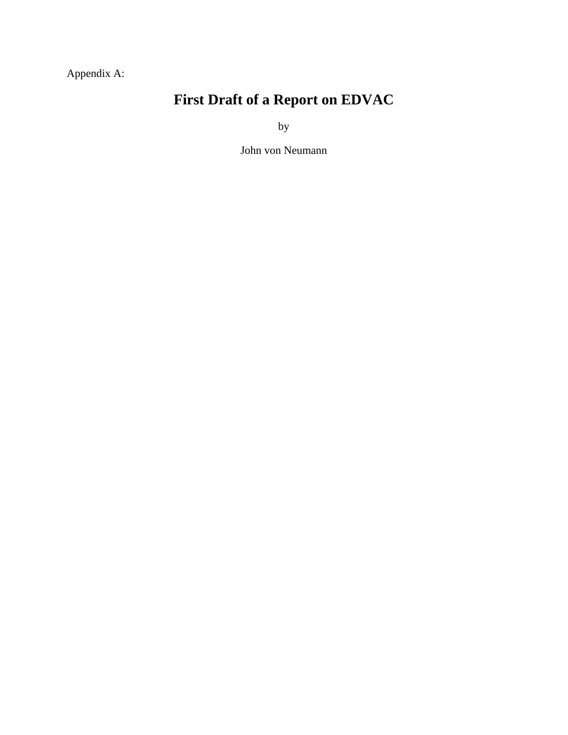Appendix A:

# **First Draft of a Report on EDVAC**

by

John von Neumann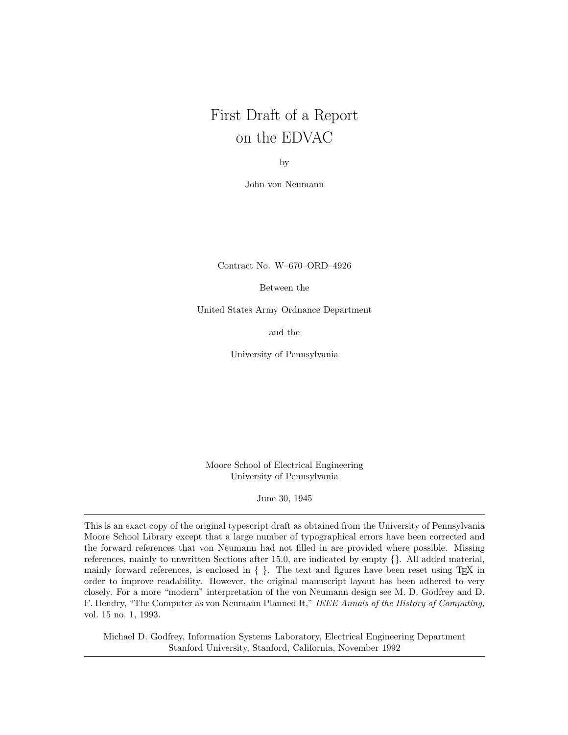by

John von Neumann

Contract No. W–670–ORD–4926

Between the

United States Army Ordnance Department

and the

University of Pennsylvania

Moore School of Electrical Engineering University of Pennsylvania

June 30, 1945

This is an exact copy of the original typescript draft as obtained from the University of Pennsylvania Moore School Library except that a large number of typographical errors have been corrected and the forward references that von Neumann had not filled in are provided where possible. Missing references, mainly to unwritten Sections after 15.0, are indicated by empty {}. All added material, mainly forward references, is enclosed in  $\{\}$ . The text and figures have been reset using T<sub>E</sub>X in order to improve readability. However, the original manuscript layout has been adhered to very closely. For a more "modern" interpretation of the von Neumann design see M. D. Godfrey and D. F. Hendry, "The Computer as von Neumann Planned It," IEEE Annals of the History of Computing, vol. 15 no. 1, 1993.

Michael D. Godfrey, Information Systems Laboratory, Electrical Engineering Department Stanford University, Stanford, California, November 1992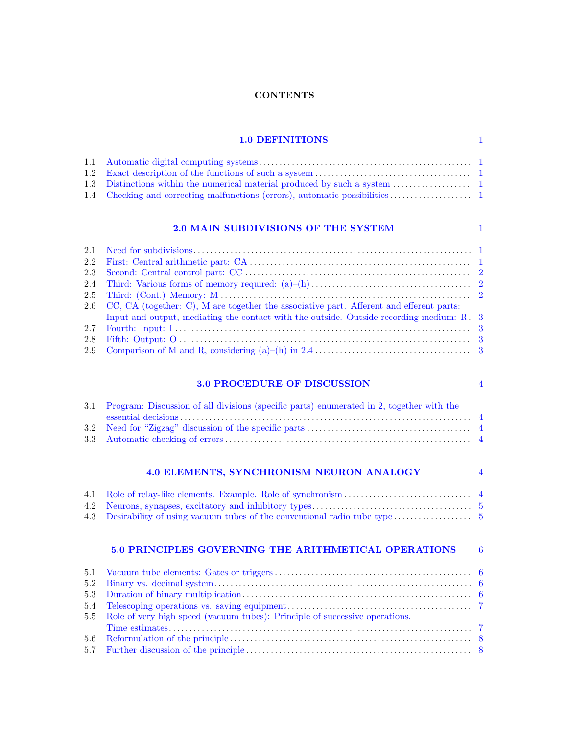#### **CONTENTS**

#### [1.0 DEFINITIONS](#page-6-0) [1](#page-6-0)

#### [2.0 MAIN SUBDIVISIONS OF THE SYSTEM](#page-6-5) [1](#page-6-5)

| 2.6 CC, CA (together: C), M are together the associative part. Afferent and efferent parts: |  |
|---------------------------------------------------------------------------------------------|--|
| Input and output, mediating the contact with the outside. Outside recording medium: R. 3    |  |
|                                                                                             |  |
|                                                                                             |  |
|                                                                                             |  |

#### [3.0 PROCEDURE OF DISCUSSION](#page-9-0) [4](#page-9-0)

| 3.1 Program: Discussion of all divisions (specific parts) enumerated in 2, together with the |  |  |  |
|----------------------------------------------------------------------------------------------|--|--|--|
|                                                                                              |  |  |  |
|                                                                                              |  |  |  |
|                                                                                              |  |  |  |

#### [4.0 ELEMENTS, SYNCHRONISM NEURON ANALOGY](#page-9-4) [4](#page-9-4)

### [5.0 PRINCIPLES GOVERNING THE ARITHMETICAL OPERATIONS](#page-11-0) [6](#page-11-0)

| 5.5 Role of very high speed (vacuum tubes): Principle of successive operations. |  |
|---------------------------------------------------------------------------------|--|
|                                                                                 |  |
|                                                                                 |  |
|                                                                                 |  |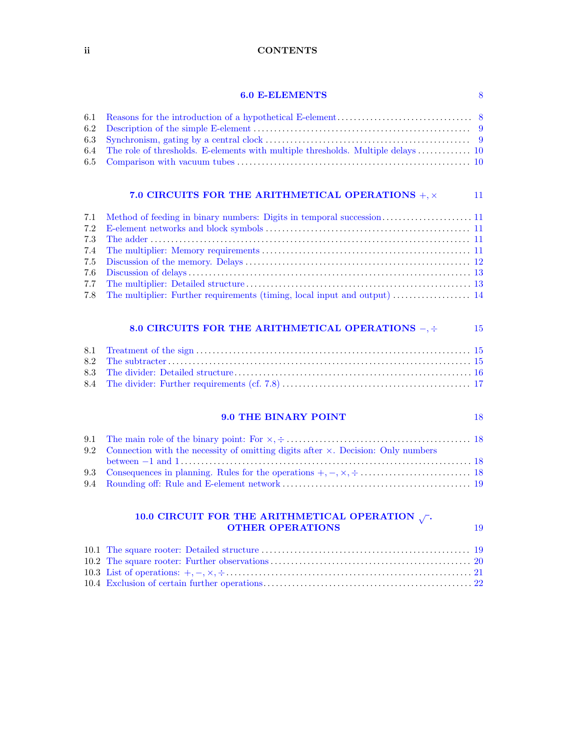#### [6.0 E-ELEMENTS](#page-13-2) [8](#page-13-2)

| 6.4 The role of thresholds. E-elements with multiple thresholds. Multiple delays  10 |  |
|--------------------------------------------------------------------------------------|--|
|                                                                                      |  |

#### [7.0 CIRCUITS FOR THE ARITHMETICAL OPERATIONS](#page-16-0)  $+$ ,  $\times$  [11](#page-16-0)

| 7.1 Method of feeding in binary numbers: Digits in temporal succession 11     |  |
|-------------------------------------------------------------------------------|--|
|                                                                               |  |
|                                                                               |  |
|                                                                               |  |
|                                                                               |  |
|                                                                               |  |
|                                                                               |  |
| 7.8 The multiplier: Further requirements (timing, local input and output)  14 |  |

#### [8.0 CIRCUITS FOR THE ARITHMETICAL OPERATIONS](#page-20-0)  $-, \div$  [15](#page-20-0)

#### [9.0 THE BINARY POINT](#page-23-0) [18](#page-23-0)

| 9.1 The main role of the binary point: For $\times, \div, \ldots, \ldots, \ldots, \ldots, \ldots, \ldots, \ldots, \ldots, \ldots$ |  |
|-----------------------------------------------------------------------------------------------------------------------------------|--|
| 9.2 Connection with the necessity of omitting digits after $\times$ . Decision: Only numbers                                      |  |
|                                                                                                                                   |  |
|                                                                                                                                   |  |
|                                                                                                                                   |  |

## [10.0 CIRCUIT FOR THE ARITHMETICAL OPERATION](#page-24-1)  $\sqrt{ }$ . **[OTHER OPERATIONS](#page-24-1)** [19](#page-24-1)

|  | 10.3 List of operations: $+, -, \times, \div, \ldots, \times, \ldots, \times, \ldots, \times, \ldots, \times, \ldots, \times, \ldots, \times, \ldots, 21$ |  |
|--|-----------------------------------------------------------------------------------------------------------------------------------------------------------|--|
|  |                                                                                                                                                           |  |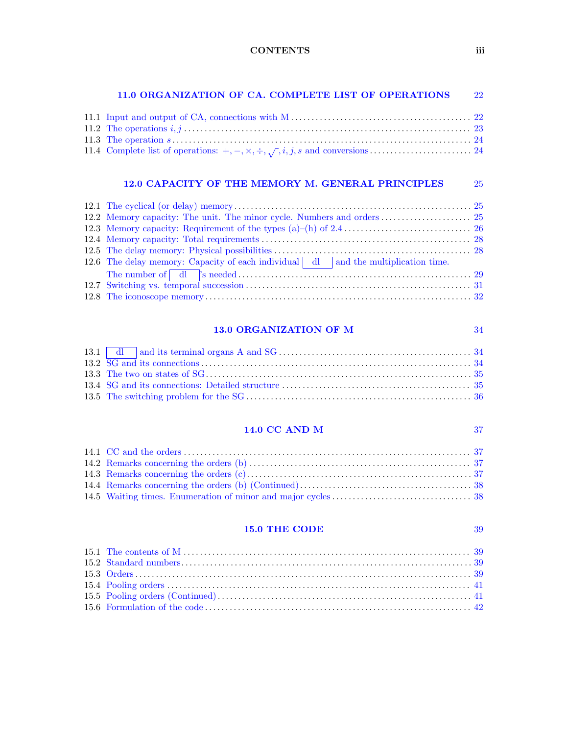#### CONTENTS iii

#### [11.0 ORGANIZATION OF CA. COMPLETE LIST OF OPERATIONS](#page-27-1) [22](#page-27-1)

#### [12.0 CAPACITY OF THE MEMORY M. GENERAL PRINCIPLES](#page-30-0) [25](#page-30-0)

| 12.6 The delay memory: Capacity of each individual dl and the multiplication time. |  |
|------------------------------------------------------------------------------------|--|
|                                                                                    |  |
|                                                                                    |  |
|                                                                                    |  |

#### [13.0 ORGANIZATION OF M](#page-39-0) [34](#page-39-0)

#### [14.0 CC AND M](#page-42-0) [37](#page-42-0)

#### **[15.0 THE CODE](#page-44-0) [39](#page-44-0)**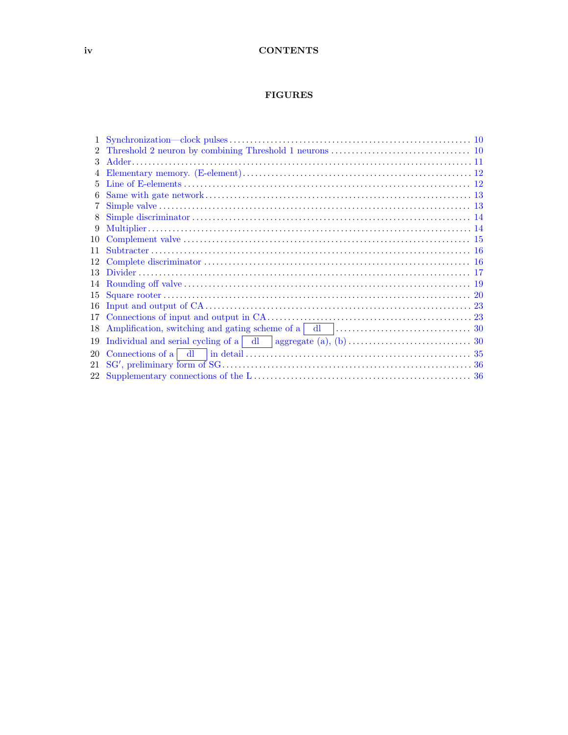#### **CONTENTS**

### **FIGURES**

| $\mathfrak{D}$ |                                                                                                        |  |
|----------------|--------------------------------------------------------------------------------------------------------|--|
| 3              |                                                                                                        |  |
| 4              |                                                                                                        |  |
| 5.             |                                                                                                        |  |
| 6              |                                                                                                        |  |
| 7              |                                                                                                        |  |
| 8              |                                                                                                        |  |
| 9              |                                                                                                        |  |
| 10             |                                                                                                        |  |
| 11             |                                                                                                        |  |
| 12             |                                                                                                        |  |
| 13             |                                                                                                        |  |
| 14             |                                                                                                        |  |
| 15             |                                                                                                        |  |
| 16             |                                                                                                        |  |
| 17             |                                                                                                        |  |
| 18             |                                                                                                        |  |
| 19             | Individual and serial cycling of a dl aggregate (a), (b) $\dots\dots\dots\dots\dots\dots\dots\dots$ 30 |  |
| 20             |                                                                                                        |  |
| 21             |                                                                                                        |  |
|                |                                                                                                        |  |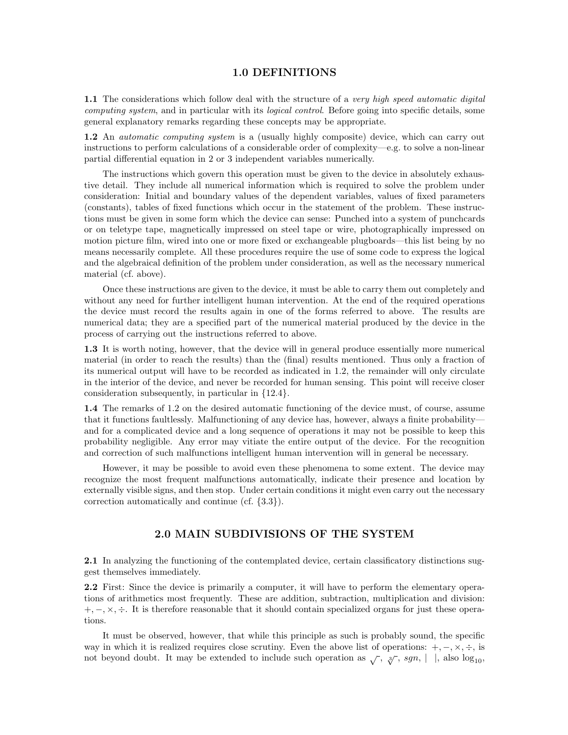#### 1.0 DEFINITIONS

<span id="page-6-1"></span><span id="page-6-0"></span>1.1 The considerations which follow deal with the structure of a very high speed automatic digital computing system, and in particular with its logical control. Before going into specific details, some general explanatory remarks regarding these concepts may be appropriate.

<span id="page-6-2"></span>1.2 An *automatic computing system* is a (usually highly composite) device, which can carry out instructions to perform calculations of a considerable order of complexity—e.g. to solve a non-linear partial differential equation in 2 or 3 independent variables numerically.

The instructions which govern this operation must be given to the device in absolutely exhaustive detail. They include all numerical information which is required to solve the problem under consideration: Initial and boundary values of the dependent variables, values of fixed parameters (constants), tables of fixed functions which occur in the statement of the problem. These instructions must be given in some form which the device can sense: Punched into a system of punchcards or on teletype tape, magnetically impressed on steel tape or wire, photographically impressed on motion picture film, wired into one or more fixed or exchangeable plugboards—this list being by no means necessarily complete. All these procedures require the use of some code to express the logical and the algebraical definition of the problem under consideration, as well as the necessary numerical material (cf. above).

Once these instructions are given to the device, it must be able to carry them out completely and without any need for further intelligent human intervention. At the end of the required operations the device must record the results again in one of the forms referred to above. The results are numerical data; they are a specified part of the numerical material produced by the device in the process of carrying out the instructions referred to above.

<span id="page-6-3"></span>1.3 It is worth noting, however, that the device will in general produce essentially more numerical material (in order to reach the results) than the (final) results mentioned. Thus only a fraction of its numerical output will have to be recorded as indicated in 1.2, the remainder will only circulate in the interior of the device, and never be recorded for human sensing. This point will receive closer consideration subsequently, in particular in {12.4}.

<span id="page-6-4"></span>1.4 The remarks of 1.2 on the desired automatic functioning of the device must, of course, assume that it functions faultlessly. Malfunctioning of any device has, however, always a finite probability and for a complicated device and a long sequence of operations it may not be possible to keep this probability negligible. Any error may vitiate the entire output of the device. For the recognition and correction of such malfunctions intelligent human intervention will in general be necessary.

<span id="page-6-5"></span>However, it may be possible to avoid even these phenomena to some extent. The device may recognize the most frequent malfunctions automatically, indicate their presence and location by externally visible signs, and then stop. Under certain conditions it might even carry out the necessary correction automatically and continue (cf. {3.3}).

#### 2.0 MAIN SUBDIVISIONS OF THE SYSTEM

<span id="page-6-6"></span>2.1 In analyzing the functioning of the contemplated device, certain classificatory distinctions suggest themselves immediately.

<span id="page-6-7"></span>2.2 First: Since the device is primarily a computer, it will have to perform the elementary operations of arithmetics most frequently. These are addition, subtraction, multiplication and division:  $+,-,\times,-$ . It is therefore reasonable that it should contain specialized organs for just these operations.

It must be observed, however, that while this principle as such is probably sound, the specific way in which it is realized requires close scrutiny. Even the above list of operations:  $+$ ,  $-$ ,  $\times$ ,  $\div$ , is not beyond doubt. It may be extended to include such operation as  $\sqrt{}, \sqrt[3]{}, sgn, | \nvert$ , also  $\log_{10}$ ,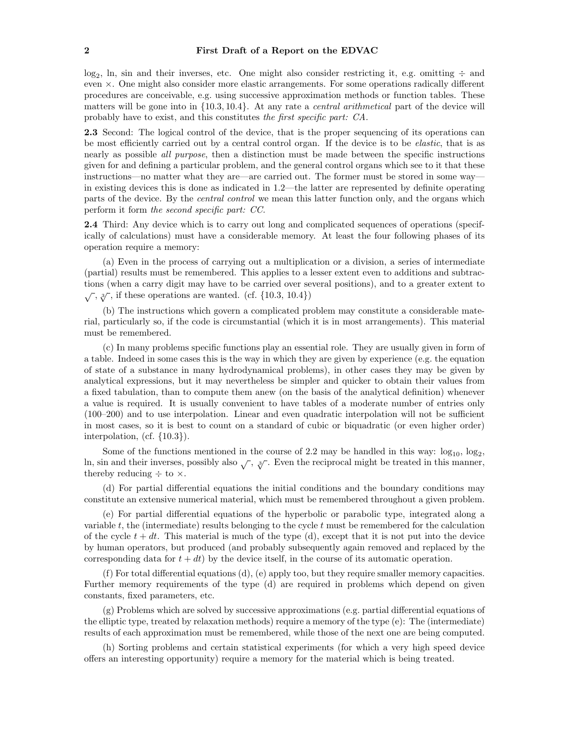$log_2$ , ln, sin and their inverses, etc. One might also consider restricting it, e.g. omitting  $\div$  and even ×. One might also consider more elastic arrangements. For some operations radically different procedures are conceivable, e.g. using successive approximation methods or function tables. These matters will be gone into in  $\{10.3, 10.4\}$ . At any rate a *central arithmetical* part of the device will probably have to exist, and this constitutes the first specific part: CA.

<span id="page-7-0"></span>2.3 Second: The logical control of the device, that is the proper sequencing of its operations can be most efficiently carried out by a central control organ. If the device is to be elastic, that is as nearly as possible all purpose, then a distinction must be made between the specific instructions given for and defining a particular problem, and the general control organs which see to it that these instructions—no matter what they are—are carried out. The former must be stored in some way in existing devices this is done as indicated in 1.2—the latter are represented by definite operating parts of the device. By the central control we mean this latter function only, and the organs which perform it form the second specific part: CC.

<span id="page-7-1"></span>2.4 Third: Any device which is to carry out long and complicated sequences of operations (specifically of calculations) must have a considerable memory. At least the four following phases of its operation require a memory:

(a) Even in the process of carrying out a multiplication or a division, a series of intermediate (partial) results must be remembered. This applies to a lesser extent even to additions and subtractions (when a carry digit may have to be carried over several positions), and to a greater extent to  $\sqrt{$ ,  $\sqrt[3]{}$ , if these operations are wanted. (cf. {10.3, 10.4})

(b) The instructions which govern a complicated problem may constitute a considerable material, particularly so, if the code is circumstantial (which it is in most arrangements). This material must be remembered.

(c) In many problems specific functions play an essential role. They are usually given in form of a table. Indeed in some cases this is the way in which they are given by experience (e.g. the equation of state of a substance in many hydrodynamical problems), in other cases they may be given by analytical expressions, but it may nevertheless be simpler and quicker to obtain their values from a fixed tabulation, than to compute them anew (on the basis of the analytical definition) whenever a value is required. It is usually convenient to have tables of a moderate number of entries only (100–200) and to use interpolation. Linear and even quadratic interpolation will not be sufficient in most cases, so it is best to count on a standard of cubic or biquadratic (or even higher order) interpolation, (cf. {10.3}).

Some of the functions mentioned in the course of 2.2 may be handled in this way:  $log_{10}$ ,  $log_2$ , ln, sin and their inverses, possibly also  $\sqrt{}$ ,  $\sqrt[3]{}$ . Even the reciprocal might be treated in this manner, thereby reducing  $\div$  to  $\times$ .

(d) For partial differential equations the initial conditions and the boundary conditions may constitute an extensive numerical material, which must be remembered throughout a given problem.

(e) For partial differential equations of the hyperbolic or parabolic type, integrated along a variable t, the (intermediate) results belonging to the cycle t must be remembered for the calculation of the cycle  $t + dt$ . This material is much of the type (d), except that it is not put into the device by human operators, but produced (and probably subsequently again removed and replaced by the corresponding data for  $t + dt$ ) by the device itself, in the course of its automatic operation.

(f) For total differential equations (d), (e) apply too, but they require smaller memory capacities. Further memory requirements of the type (d) are required in problems which depend on given constants, fixed parameters, etc.

(g) Problems which are solved by successive approximations (e.g. partial differential equations of the elliptic type, treated by relaxation methods) require a memory of the type (e): The (intermediate) results of each approximation must be remembered, while those of the next one are being computed.

<span id="page-7-2"></span>(h) Sorting problems and certain statistical experiments (for which a very high speed device offers an interesting opportunity) require a memory for the material which is being treated.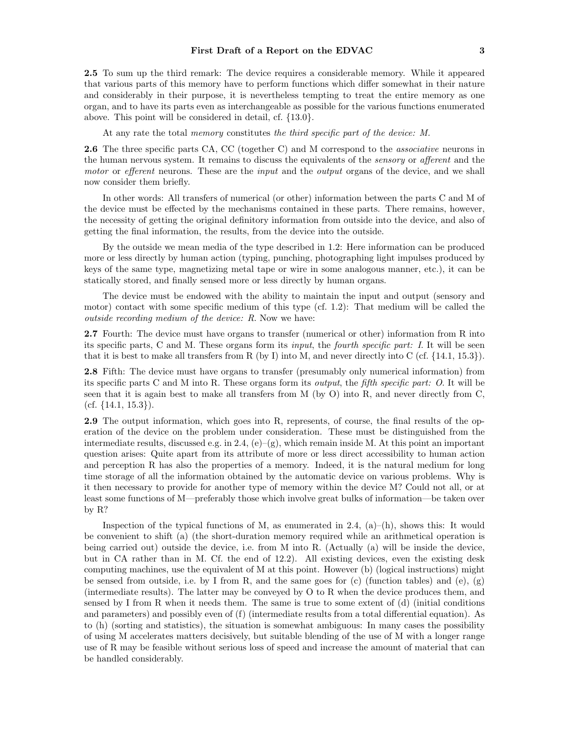2.5 To sum up the third remark: The device requires a considerable memory. While it appeared that various parts of this memory have to perform functions which differ somewhat in their nature and considerably in their purpose, it is nevertheless tempting to treat the entire memory as one organ, and to have its parts even as interchangeable as possible for the various functions enumerated above. This point will be considered in detail, cf. {13.0}.

At any rate the total memory constitutes the third specific part of the device: M.

<span id="page-8-0"></span>2.6 The three specific parts CA, CC (together C) and M correspond to the *associative* neurons in the human nervous system. It remains to discuss the equivalents of the sensory or afferent and the motor or efferent neurons. These are the *input* and the *output* organs of the device, and we shall now consider them briefly.

In other words: All transfers of numerical (or other) information between the parts C and M of the device must be effected by the mechanisms contained in these parts. There remains, however, the necessity of getting the original definitory information from outside into the device, and also of getting the final information, the results, from the device into the outside.

By the outside we mean media of the type described in 1.2: Here information can be produced more or less directly by human action (typing, punching, photographing light impulses produced by keys of the same type, magnetizing metal tape or wire in some analogous manner, etc.), it can be statically stored, and finally sensed more or less directly by human organs.

The device must be endowed with the ability to maintain the input and output (sensory and motor) contact with some specific medium of this type (cf. 1.2): That medium will be called the outside recording medium of the device: R. Now we have:

<span id="page-8-1"></span>2.7 Fourth: The device must have organs to transfer (numerical or other) information from R into its specific parts, C and M. These organs form its input, the fourth specific part: I. It will be seen that it is best to make all transfers from R (by I) into M, and never directly into C (cf.  $\{14.1, 15.3\}$ ).

<span id="page-8-2"></span>2.8 Fifth: The device must have organs to transfer (presumably only numerical information) from its specific parts C and M into R. These organs form its output, the fifth specific part: O. It will be seen that it is again best to make all transfers from M (by O) into R, and never directly from C, (cf.  $\{14.1, 15.3\}$ ).

<span id="page-8-3"></span>2.9 The output information, which goes into R, represents, of course, the final results of the operation of the device on the problem under consideration. These must be distinguished from the intermediate results, discussed e.g. in 2.4,  $(e)$ – $(g)$ , which remain inside M. At this point an important question arises: Quite apart from its attribute of more or less direct accessibility to human action and perception R has also the properties of a memory. Indeed, it is the natural medium for long time storage of all the information obtained by the automatic device on various problems. Why is it then necessary to provide for another type of memory within the device M? Could not all, or at least some functions of M—preferably those which involve great bulks of information—be taken over by R?

Inspection of the typical functions of M, as enumerated in 2.4,  $(a)$ – $(h)$ , shows this: It would be convenient to shift (a) (the short-duration memory required while an arithmetical operation is being carried out) outside the device, i.e. from M into R. (Actually (a) will be inside the device, but in CA rather than in M. Cf. the end of 12.2). All existing devices, even the existing desk computing machines, use the equivalent of M at this point. However (b) (logical instructions) might be sensed from outside, i.e. by I from R, and the same goes for  $(c)$  (function tables) and  $(e)$ ,  $(g)$ (intermediate results). The latter may be conveyed by O to R when the device produces them, and sensed by I from R when it needs them. The same is true to some extent of (d) (initial conditions and parameters) and possibly even of (f) (intermediate results from a total differential equation). As to (h) (sorting and statistics), the situation is somewhat ambiguous: In many cases the possibility of using M accelerates matters decisively, but suitable blending of the use of M with a longer range use of R may be feasible without serious loss of speed and increase the amount of material that can be handled considerably.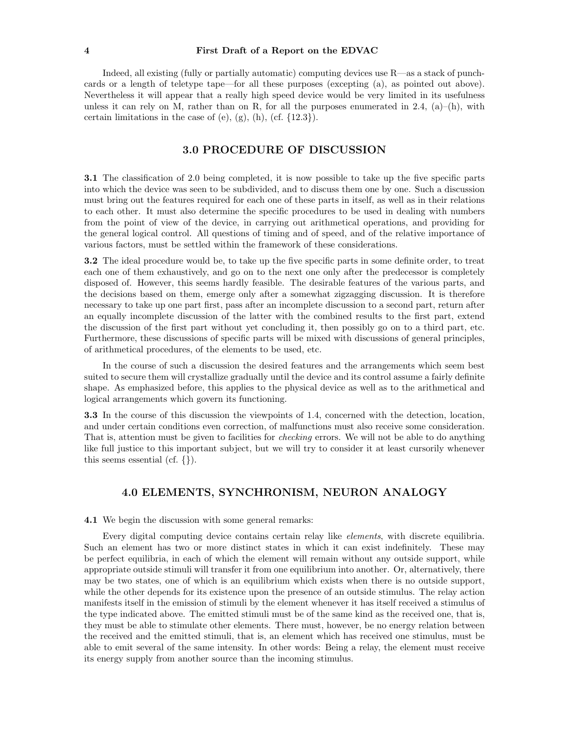Indeed, all existing (fully or partially automatic) computing devices use R—as a stack of punchcards or a length of teletype tape—for all these purposes (excepting (a), as pointed out above). Nevertheless it will appear that a really high speed device would be very limited in its usefulness unless it can rely on M, rather than on R, for all the purposes enumerated in 2.4,  $(a)$ – $(h)$ , with certain limitations in the case of (e), (g), (h), (cf.  $\{12.3\}$ ).

#### 3.0 PROCEDURE OF DISCUSSION

<span id="page-9-1"></span><span id="page-9-0"></span>**3.1** The classification of 2.0 being completed, it is now possible to take up the five specific parts into which the device was seen to be subdivided, and to discuss them one by one. Such a discussion must bring out the features required for each one of these parts in itself, as well as in their relations to each other. It must also determine the specific procedures to be used in dealing with numbers from the point of view of the device, in carrying out arithmetical operations, and providing for the general logical control. All questions of timing and of speed, and of the relative importance of various factors, must be settled within the framework of these considerations.

<span id="page-9-2"></span>3.2 The ideal procedure would be, to take up the five specific parts in some definite order, to treat each one of them exhaustively, and go on to the next one only after the predecessor is completely disposed of. However, this seems hardly feasible. The desirable features of the various parts, and the decisions based on them, emerge only after a somewhat zigzagging discussion. It is therefore necessary to take up one part first, pass after an incomplete discussion to a second part, return after an equally incomplete discussion of the latter with the combined results to the first part, extend the discussion of the first part without yet concluding it, then possibly go on to a third part, etc. Furthermore, these discussions of specific parts will be mixed with discussions of general principles, of arithmetical procedures, of the elements to be used, etc.

In the course of such a discussion the desired features and the arrangements which seem best suited to secure them will crystallize gradually until the device and its control assume a fairly definite shape. As emphasized before, this applies to the physical device as well as to the arithmetical and logical arrangements which govern its functioning.

<span id="page-9-3"></span>3.3 In the course of this discussion the viewpoints of 1.4, concerned with the detection, location, and under certain conditions even correction, of malfunctions must also receive some consideration. That is, attention must be given to facilities for checking errors. We will not be able to do anything like full justice to this important subject, but we will try to consider it at least cursorily whenever this seems essential (cf.  $\{\}\right).$ 

#### <span id="page-9-4"></span>4.0 ELEMENTS, SYNCHRONISM, NEURON ANALOGY

#### <span id="page-9-5"></span>4.1 We begin the discussion with some general remarks:

Every digital computing device contains certain relay like elements, with discrete equilibria. Such an element has two or more distinct states in which it can exist indefinitely. These may be perfect equilibria, in each of which the element will remain without any outside support, while appropriate outside stimuli will transfer it from one equilibrium into another. Or, alternatively, there may be two states, one of which is an equilibrium which exists when there is no outside support, while the other depends for its existence upon the presence of an outside stimulus. The relay action manifests itself in the emission of stimuli by the element whenever it has itself received a stimulus of the type indicated above. The emitted stimuli must be of the same kind as the received one, that is, they must be able to stimulate other elements. There must, however, be no energy relation between the received and the emitted stimuli, that is, an element which has received one stimulus, must be able to emit several of the same intensity. In other words: Being a relay, the element must receive its energy supply from another source than the incoming stimulus.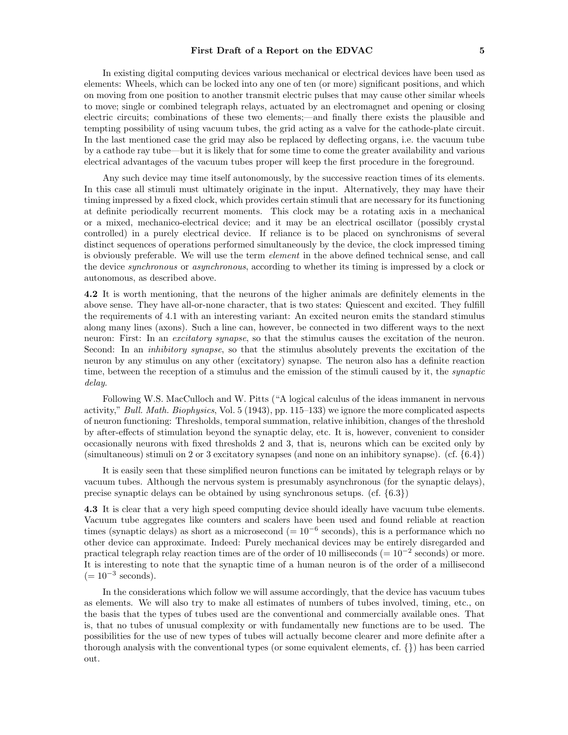In existing digital computing devices various mechanical or electrical devices have been used as elements: Wheels, which can be locked into any one of ten (or more) significant positions, and which on moving from one position to another transmit electric pulses that may cause other similar wheels to move; single or combined telegraph relays, actuated by an electromagnet and opening or closing electric circuits; combinations of these two elements;—and finally there exists the plausible and tempting possibility of using vacuum tubes, the grid acting as a valve for the cathode-plate circuit. In the last mentioned case the grid may also be replaced by deflecting organs, i.e. the vacuum tube by a cathode ray tube—but it is likely that for some time to come the greater availability and various electrical advantages of the vacuum tubes proper will keep the first procedure in the foreground.

Any such device may time itself autonomously, by the successive reaction times of its elements. In this case all stimuli must ultimately originate in the input. Alternatively, they may have their timing impressed by a fixed clock, which provides certain stimuli that are necessary for its functioning at definite periodically recurrent moments. This clock may be a rotating axis in a mechanical or a mixed, mechanico-electrical device; and it may be an electrical oscillator (possibly crystal controlled) in a purely electrical device. If reliance is to be placed on synchronisms of several distinct sequences of operations performed simultaneously by the device, the clock impressed timing is obviously preferable. We will use the term *element* in the above defined technical sense, and call the device synchronous or asynchronous, according to whether its timing is impressed by a clock or autonomous, as described above.

<span id="page-10-0"></span>4.2 It is worth mentioning, that the neurons of the higher animals are definitely elements in the above sense. They have all-or-none character, that is two states: Quiescent and excited. They fulfill the requirements of 4.1 with an interesting variant: An excited neuron emits the standard stimulus along many lines (axons). Such a line can, however, be connected in two different ways to the next neuron: First: In an *excitatory synapse*, so that the stimulus causes the excitation of the neuron. Second: In an inhibitory synapse, so that the stimulus absolutely prevents the excitation of the neuron by any stimulus on any other (excitatory) synapse. The neuron also has a definite reaction time, between the reception of a stimulus and the emission of the stimuli caused by it, the *synaptic* delay.

Following W.S. MacCulloch and W. Pitts ("A logical calculus of the ideas immanent in nervous activity," Bull. Math. Biophysics, Vol.  $5$  (1943), pp. 115–133) we ignore the more complicated aspects of neuron functioning: Thresholds, temporal summation, relative inhibition, changes of the threshold by after-effects of stimulation beyond the synaptic delay, etc. It is, however, convenient to consider occasionally neurons with fixed thresholds 2 and 3, that is, neurons which can be excited only by (simultaneous) stimuli on 2 or 3 excitatory synapses (and none on an inhibitory synapse). (cf.  $\{6.4\}$ )

It is easily seen that these simplified neuron functions can be imitated by telegraph relays or by vacuum tubes. Although the nervous system is presumably asynchronous (for the synaptic delays), precise synaptic delays can be obtained by using synchronous setups. (cf.  $\{6.3\}$ )

<span id="page-10-1"></span>4.3 It is clear that a very high speed computing device should ideally have vacuum tube elements. Vacuum tube aggregates like counters and scalers have been used and found reliable at reaction times (synaptic delays) as short as a microsecond  $(=10^{-6}$  seconds), this is a performance which no other device can approximate. Indeed: Purely mechanical devices may be entirely disregarded and practical telegraph relay reaction times are of the order of 10 milliseconds (=  $10^{-2}$  seconds) or more. It is interesting to note that the synaptic time of a human neuron is of the order of a millisecond  $(=10^{-3}$  seconds).

In the considerations which follow we will assume accordingly, that the device has vacuum tubes as elements. We will also try to make all estimates of numbers of tubes involved, timing, etc., on the basis that the types of tubes used are the conventional and commercially available ones. That is, that no tubes of unusual complexity or with fundamentally new functions are to be used. The possibilities for the use of new types of tubes will actually become clearer and more definite after a thorough analysis with the conventional types (or some equivalent elements, cf. {}) has been carried out.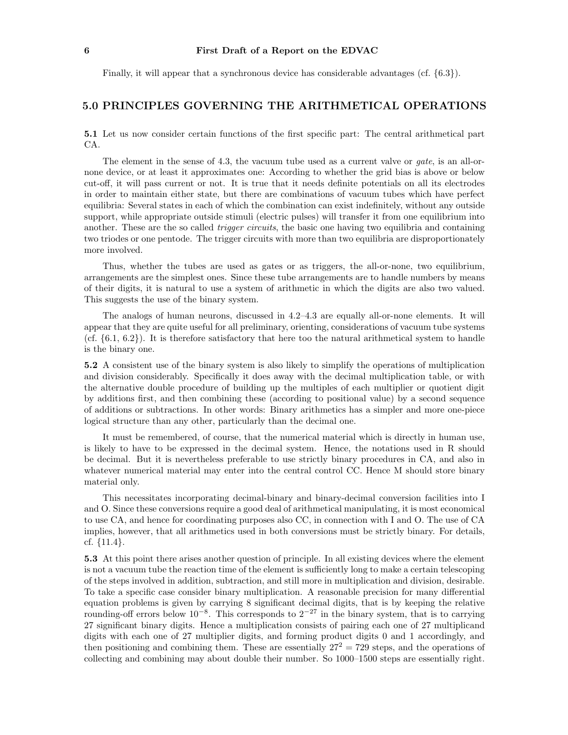<span id="page-11-0"></span>Finally, it will appear that a synchronous device has considerable advantages (cf. {6.3}).

#### 5.0 PRINCIPLES GOVERNING THE ARITHMETICAL OPERATIONS

<span id="page-11-1"></span>5.1 Let us now consider certain functions of the first specific part: The central arithmetical part CA.

The element in the sense of 4.3, the vacuum tube used as a current valve or *qate*, is an all-ornone device, or at least it approximates one: According to whether the grid bias is above or below cut-off, it will pass current or not. It is true that it needs definite potentials on all its electrodes in order to maintain either state, but there are combinations of vacuum tubes which have perfect equilibria: Several states in each of which the combination can exist indefinitely, without any outside support, while appropriate outside stimuli (electric pulses) will transfer it from one equilibrium into another. These are the so called *trigger circuits*, the basic one having two equilibria and containing two triodes or one pentode. The trigger circuits with more than two equilibria are disproportionately more involved.

Thus, whether the tubes are used as gates or as triggers, the all-or-none, two equilibrium, arrangements are the simplest ones. Since these tube arrangements are to handle numbers by means of their digits, it is natural to use a system of arithmetic in which the digits are also two valued. This suggests the use of the binary system.

The analogs of human neurons, discussed in 4.2–4.3 are equally all-or-none elements. It will appear that they are quite useful for all preliminary, orienting, considerations of vacuum tube systems (cf.  $\{6.1, 6.2\}$ ). It is therefore satisfactory that here too the natural arithmetical system to handle is the binary one.

<span id="page-11-2"></span>5.2 A consistent use of the binary system is also likely to simplify the operations of multiplication and division considerably. Specifically it does away with the decimal multiplication table, or with the alternative double procedure of building up the multiples of each multiplier or quotient digit by additions first, and then combining these (according to positional value) by a second sequence of additions or subtractions. In other words: Binary arithmetics has a simpler and more one-piece logical structure than any other, particularly than the decimal one.

It must be remembered, of course, that the numerical material which is directly in human use, is likely to have to be expressed in the decimal system. Hence, the notations used in R should be decimal. But it is nevertheless preferable to use strictly binary procedures in CA, and also in whatever numerical material may enter into the central control CC. Hence M should store binary material only.

This necessitates incorporating decimal-binary and binary-decimal conversion facilities into I and O. Since these conversions require a good deal of arithmetical manipulating, it is most economical to use CA, and hence for coordinating purposes also CC, in connection with I and O. The use of CA implies, however, that all arithmetics used in both conversions must be strictly binary. For details, cf. {11.4}.

<span id="page-11-3"></span>5.3 At this point there arises another question of principle. In all existing devices where the element is not a vacuum tube the reaction time of the element is sufficiently long to make a certain telescoping of the steps involved in addition, subtraction, and still more in multiplication and division, desirable. To take a specific case consider binary multiplication. A reasonable precision for many differential equation problems is given by carrying 8 significant decimal digits, that is by keeping the relative rounding-off errors below  $10^{-8}$ . This corresponds to  $2^{-27}$  in the binary system, that is to carrying 27 significant binary digits. Hence a multiplication consists of pairing each one of 27 multiplicand digits with each one of 27 multiplier digits, and forming product digits 0 and 1 accordingly, and then positioning and combining them. These are essentially  $27^2 = 729$  steps, and the operations of collecting and combining may about double their number. So 1000–1500 steps are essentially right.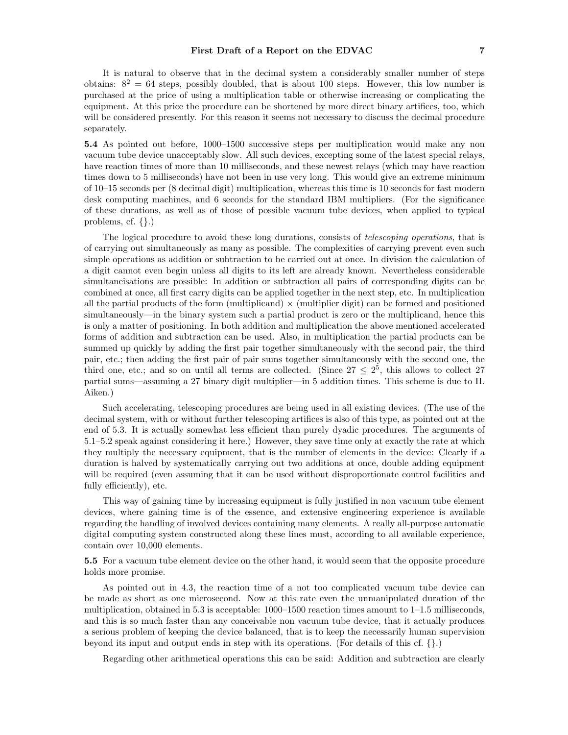It is natural to observe that in the decimal system a considerably smaller number of steps obtains:  $8^2 = 64$  steps, possibly doubled, that is about 100 steps. However, this low number is purchased at the price of using a multiplication table or otherwise increasing or complicating the equipment. At this price the procedure can be shortened by more direct binary artifices, too, which will be considered presently. For this reason it seems not necessary to discuss the decimal procedure separately.

<span id="page-12-0"></span>5.4 As pointed out before, 1000–1500 successive steps per multiplication would make any non vacuum tube device unacceptably slow. All such devices, excepting some of the latest special relays, have reaction times of more than 10 milliseconds, and these newest relays (which may have reaction times down to 5 milliseconds) have not been in use very long. This would give an extreme minimum of 10–15 seconds per (8 decimal digit) multiplication, whereas this time is 10 seconds for fast modern desk computing machines, and 6 seconds for the standard IBM multipliers. (For the significance of these durations, as well as of those of possible vacuum tube devices, when applied to typical problems, cf. {}.)

The logical procedure to avoid these long durations, consists of telescoping operations, that is of carrying out simultaneously as many as possible. The complexities of carrying prevent even such simple operations as addition or subtraction to be carried out at once. In division the calculation of a digit cannot even begin unless all digits to its left are already known. Nevertheless considerable simultaneisations are possible: In addition or subtraction all pairs of corresponding digits can be combined at once, all first carry digits can be applied together in the next step, etc. In multiplication all the partial products of the form (multiplicand)  $\times$  (multiplier digit) can be formed and positioned simultaneously—in the binary system such a partial product is zero or the multiplicand, hence this is only a matter of positioning. In both addition and multiplication the above mentioned accelerated forms of addition and subtraction can be used. Also, in multiplication the partial products can be summed up quickly by adding the first pair together simultaneously with the second pair, the third pair, etc.; then adding the first pair of pair sums together simultaneously with the second one, the third one, etc.; and so on until all terms are collected. (Since  $27 \le 2^5$ , this allows to collect 27 partial sums—assuming a 27 binary digit multiplier—in 5 addition times. This scheme is due to H. Aiken.)

Such accelerating, telescoping procedures are being used in all existing devices. (The use of the decimal system, with or without further telescoping artifices is also of this type, as pointed out at the end of 5.3. It is actually somewhat less efficient than purely dyadic procedures. The arguments of 5.1–5.2 speak against considering it here.) However, they save time only at exactly the rate at which they multiply the necessary equipment, that is the number of elements in the device: Clearly if a duration is halved by systematically carrying out two additions at once, double adding equipment will be required (even assuming that it can be used without disproportionate control facilities and fully efficiently), etc.

This way of gaining time by increasing equipment is fully justified in non vacuum tube element devices, where gaining time is of the essence, and extensive engineering experience is available regarding the handling of involved devices containing many elements. A really all-purpose automatic digital computing system constructed along these lines must, according to all available experience, contain over 10,000 elements.

<span id="page-12-1"></span>5.5 For a vacuum tube element device on the other hand, it would seem that the opposite procedure holds more promise.

As pointed out in 4.3, the reaction time of a not too complicated vacuum tube device can be made as short as one microsecond. Now at this rate even the unmanipulated duration of the multiplication, obtained in 5.3 is acceptable:  $1000-1500$  reaction times amount to  $1-1.5$  milliseconds, and this is so much faster than any conceivable non vacuum tube device, that it actually produces a serious problem of keeping the device balanced, that is to keep the necessarily human supervision beyond its input and output ends in step with its operations. (For details of this cf.  $\{\}\$ .)

Regarding other arithmetical operations this can be said: Addition and subtraction are clearly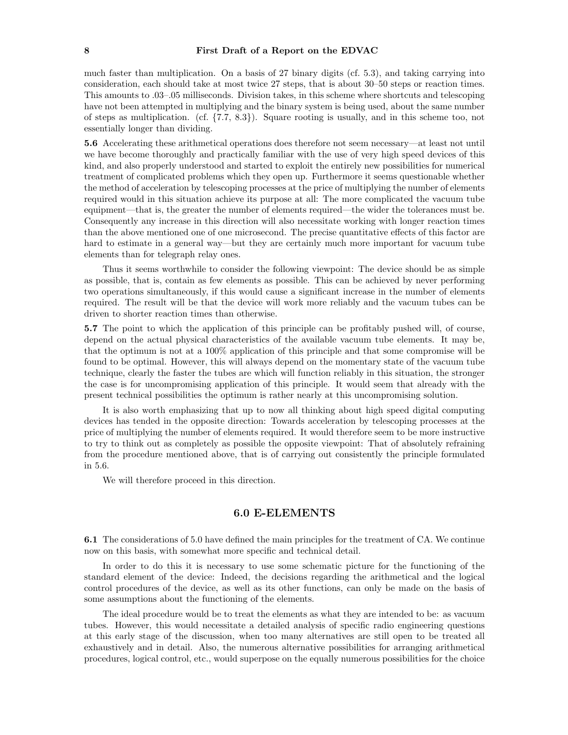much faster than multiplication. On a basis of 27 binary digits (cf. 5.3), and taking carrying into consideration, each should take at most twice 27 steps, that is about 30–50 steps or reaction times. This amounts to .03–.05 milliseconds. Division takes, in this scheme where shortcuts and telescoping have not been attempted in multiplying and the binary system is being used, about the same number of steps as multiplication. (cf. {7.7, 8.3}). Square rooting is usually, and in this scheme too, not essentially longer than dividing.

<span id="page-13-0"></span>5.6 Accelerating these arithmetical operations does therefore not seem necessary—at least not until we have become thoroughly and practically familiar with the use of very high speed devices of this kind, and also properly understood and started to exploit the entirely new possibilities for numerical treatment of complicated problems which they open up. Furthermore it seems questionable whether the method of acceleration by telescoping processes at the price of multiplying the number of elements required would in this situation achieve its purpose at all: The more complicated the vacuum tube equipment—that is, the greater the number of elements required—the wider the tolerances must be. Consequently any increase in this direction will also necessitate working with longer reaction times than the above mentioned one of one microsecond. The precise quantitative effects of this factor are hard to estimate in a general way—but they are certainly much more important for vacuum tube elements than for telegraph relay ones.

Thus it seems worthwhile to consider the following viewpoint: The device should be as simple as possible, that is, contain as few elements as possible. This can be achieved by never performing two operations simultaneously, if this would cause a significant increase in the number of elements required. The result will be that the device will work more reliably and the vacuum tubes can be driven to shorter reaction times than otherwise.

<span id="page-13-1"></span>5.7 The point to which the application of this principle can be profitably pushed will, of course, depend on the actual physical characteristics of the available vacuum tube elements. It may be, that the optimum is not at a 100% application of this principle and that some compromise will be found to be optimal. However, this will always depend on the momentary state of the vacuum tube technique, clearly the faster the tubes are which will function reliably in this situation, the stronger the case is for uncompromising application of this principle. It would seem that already with the present technical possibilities the optimum is rather nearly at this uncompromising solution.

It is also worth emphasizing that up to now all thinking about high speed digital computing devices has tended in the opposite direction: Towards acceleration by telescoping processes at the price of multiplying the number of elements required. It would therefore seem to be more instructive to try to think out as completely as possible the opposite viewpoint: That of absolutely refraining from the procedure mentioned above, that is of carrying out consistently the principle formulated in 5.6.

<span id="page-13-2"></span>We will therefore proceed in this direction.

#### 6.0 E-ELEMENTS

<span id="page-13-3"></span>6.1 The considerations of 5.0 have defined the main principles for the treatment of CA. We continue now on this basis, with somewhat more specific and technical detail.

In order to do this it is necessary to use some schematic picture for the functioning of the standard element of the device: Indeed, the decisions regarding the arithmetical and the logical control procedures of the device, as well as its other functions, can only be made on the basis of some assumptions about the functioning of the elements.

The ideal procedure would be to treat the elements as what they are intended to be: as vacuum tubes. However, this would necessitate a detailed analysis of specific radio engineering questions at this early stage of the discussion, when too many alternatives are still open to be treated all exhaustively and in detail. Also, the numerous alternative possibilities for arranging arithmetical procedures, logical control, etc., would superpose on the equally numerous possibilities for the choice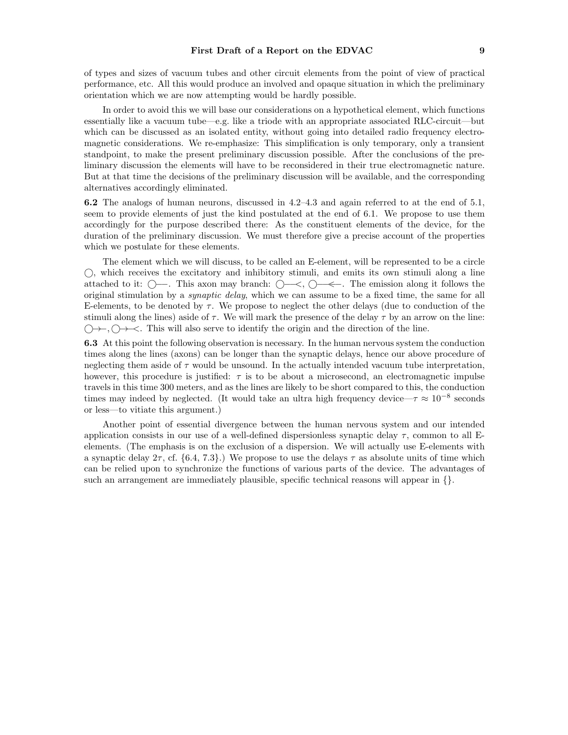of types and sizes of vacuum tubes and other circuit elements from the point of view of practical performance, etc. All this would produce an involved and opaque situation in which the preliminary orientation which we are now attempting would be hardly possible.

In order to avoid this we will base our considerations on a hypothetical element, which functions essentially like a vacuum tube—e.g. like a triode with an appropriate associated RLC-circuit—but which can be discussed as an isolated entity, without going into detailed radio frequency electromagnetic considerations. We re-emphasize: This simplification is only temporary, only a transient standpoint, to make the present preliminary discussion possible. After the conclusions of the preliminary discussion the elements will have to be reconsidered in their true electromagnetic nature. But at that time the decisions of the preliminary discussion will be available, and the corresponding alternatives accordingly eliminated.

<span id="page-14-0"></span>6.2 The analogs of human neurons, discussed in 4.2–4.3 and again referred to at the end of 5.1, seem to provide elements of just the kind postulated at the end of 6.1. We propose to use them accordingly for the purpose described there: As the constituent elements of the device, for the duration of the preliminary discussion. We must therefore give a precise account of the properties which we postulate for these elements.

The element which we will discuss, to be called an E-element, will be represented to be a circle  $\bigcirc$ , which receives the excitatory and inhibitory stimuli, and emits its own stimuli along a line attached to it:  $\bigcirc$ —. This axon may branch:  $\bigcirc$ — $\lt$ ,  $\bigcirc$ — $\lt$ . The emission along it follows the original stimulation by a *synaptic delay*, which we can assume to be a fixed time, the same for all E-elements, to be denoted by  $\tau$ . We propose to neglect the other delays (due to conduction of the stimuli along the lines) aside of  $\tau$ . We will mark the presence of the delay  $\tau$  by an arrow on the line: →−, →−<. This will also serve to identify the origin and the direction of the line.

<span id="page-14-1"></span>6.3 At this point the following observation is necessary. In the human nervous system the conduction times along the lines (axons) can be longer than the synaptic delays, hence our above procedure of neglecting them aside of  $\tau$  would be unsound. In the actually intended vacuum tube interpretation, however, this procedure is justified:  $\tau$  is to be about a microsecond, an electromagnetic impulse travels in this time 300 meters, and as the lines are likely to be short compared to this, the conduction times may indeed by neglected. (It would take an ultra high frequency device— $\tau \approx 10^{-8}$  seconds or less—to vitiate this argument.)

Another point of essential divergence between the human nervous system and our intended application consists in our use of a well-defined dispersionless synaptic delay  $\tau$ , common to all Eelements. (The emphasis is on the exclusion of a dispersion. We will actually use E-elements with a synaptic delay  $2\tau$ , cf.  $\{6.4, 7.3\}$ .) We propose to use the delays  $\tau$  as absolute units of time which can be relied upon to synchronize the functions of various parts of the device. The advantages of such an arrangement are immediately plausible, specific technical reasons will appear in  $\{\}$ .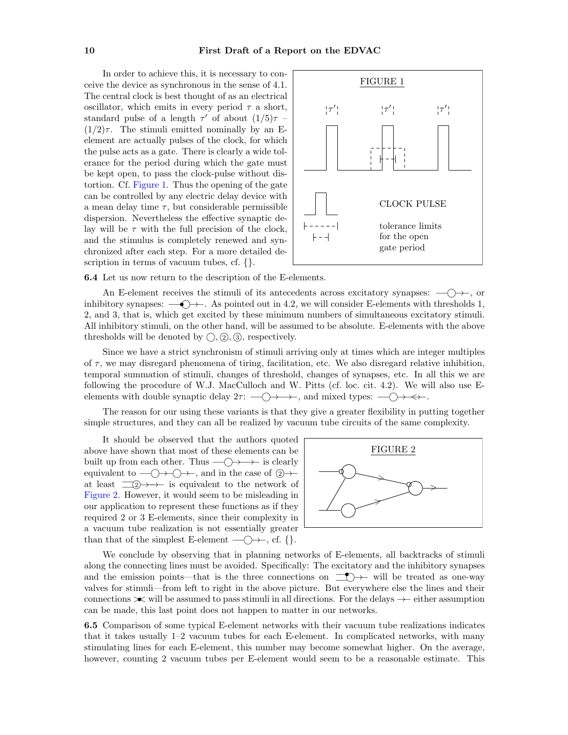<span id="page-15-2"></span>In order to achieve this, it is necessary to conceive the device as synchronous in the sense of 4.1. The central clock is best thought of as an electrical oscillator, which emits in every period  $\tau$  a short, standard pulse of a length  $\tau'$  of about  $(1/5)\tau$  $(1/2)\tau$ . The stimuli emitted nominally by an Eelement are actually pulses of the clock, for which the pulse acts as a gate. There is clearly a wide tolerance for the period during which the gate must be kept open, to pass the clock-pulse without distortion. Cf. [Figure 1](#page-15-2). Thus the opening of the gate can be controlled by any electric delay device with a mean delay time  $\tau$ , but considerable permissible dispersion. Nevertheless the effective synaptic delay will be  $\tau$  with the full precision of the clock, and the stimulus is completely renewed and synchronized after each step. For a more detailed description in terms of vacuum tubes, cf.  $\{\}.$ 



<span id="page-15-0"></span>6.4 Let us now return to the description of the E-elements.

An E-element receives the stimuli of its antecedents across excitatory synapses:  $-\bigcirc$  →, or inhibitory synapses:  $\longrightarrow$ . As pointed out in 4.2, we will consider E-elements with thresholds 1, 2, and 3, that is, which get excited by these minimum numbers of simultaneous excitatory stimuli. All inhibitory stimuli, on the other hand, will be assumed to be absolute. E-elements with the above thresholds will be denoted by  $\bigcirc$ ,  $\bigcirc$ ,  $\bigcirc$ ,  $\circ$ , respectively.

Since we have a strict synchronism of stimuli arriving only at times which are integer multiples of  $\tau$ , we may disregard phenomena of tiring, facilitation, etc. We also disregard relative inhibition, temporal summation of stimuli, changes of threshold, changes of synapses, etc. In all this we are following the procedure of W.J. MacCulloch and W. Pitts (cf. loc. cit. 4.2). We will also use Eelements with double synaptic delay  $2\tau$ :  $-\bigcirc \rightarrow \rightarrow$ , and mixed types:  $-\bigcirc \rightarrow \leftrightarrow$ .

The reason for our using these variants is that they give a greater flexibility in putting together simple structures, and they can all be realized by vacuum tube circuits of the same complexity.

<span id="page-15-3"></span>It should be observed that the authors quoted above have shown that most of these elements can be built up from each other. Thus  $-\bigcirc$  → is clearly equivalent to  $-\bigcirc \rightarrow \bigcirc \rightarrow$ , and in the case of  $\circled{2}$ at least  $\frac{1}{\sqrt{2}}$  is equivalent to the network of [Figure 2.](#page-15-3) However, it would seem to be misleading in our application to represent these functions as if they required 2 or 3 E-elements, since their complexity in a vacuum tube realization is not essentially greater than that of the simplest E-element  $-\bigcirc \rightarrow$ , cf. {}.



We conclude by observing that in planning networks of E-elements, all backtracks of stimuli along the connecting lines must be avoided. Specifically: The excitatory and the inhibitory synapses and the emission points—that is the three connections on  $\Box$  → will be treated as one-way valves for stimuli—from left to right in the above picture. But everywhere else the lines and their connections >•< will be assumed to pass stimuli in all directions. For the delays →− either assumption can be made, this last point does not happen to matter in our networks.

<span id="page-15-1"></span>6.5 Comparison of some typical E-element networks with their vacuum tube realizations indicates that it takes usually 1–2 vacuum tubes for each E-element. In complicated networks, with many stimulating lines for each E-element, this number may become somewhat higher. On the average, however, counting 2 vacuum tubes per E-element would seem to be a reasonable estimate. This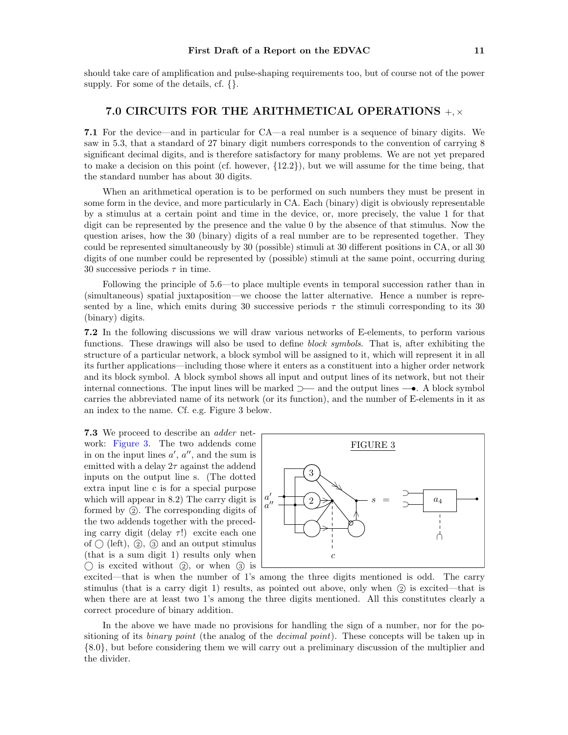<span id="page-16-0"></span>should take care of amplification and pulse-shaping requirements too, but of course not of the power supply. For some of the details, cf. {}.

#### 7.0 CIRCUITS FOR THE ARITHMETICAL OPERATIONS  $+$ ,  $\times$

<span id="page-16-1"></span>7.1 For the device—and in particular for CA—a real number is a sequence of binary digits. We saw in 5.3, that a standard of 27 binary digit numbers corresponds to the convention of carrying 8 significant decimal digits, and is therefore satisfactory for many problems. We are not yet prepared to make a decision on this point (cf. however, {12.2}), but we will assume for the time being, that the standard number has about 30 digits.

When an arithmetical operation is to be performed on such numbers they must be present in some form in the device, and more particularly in CA. Each (binary) digit is obviously representable by a stimulus at a certain point and time in the device, or, more precisely, the value 1 for that digit can be represented by the presence and the value 0 by the absence of that stimulus. Now the question arises, how the 30 (binary) digits of a real number are to be represented together. They could be represented simultaneously by 30 (possible) stimuli at 30 different positions in CA, or all 30 digits of one number could be represented by (possible) stimuli at the same point, occurring during 30 successive periods  $\tau$  in time.

Following the principle of 5.6—to place multiple events in temporal succession rather than in (simultaneous) spatial juxtaposition—we choose the latter alternative. Hence a number is represented by a line, which emits during 30 successive periods  $\tau$  the stimuli corresponding to its 30 (binary) digits.

<span id="page-16-2"></span>7.2 In the following discussions we will draw various networks of E-elements, to perform various functions. These drawings will also be used to define *block symbols*. That is, after exhibiting the structure of a particular network, a block symbol will be assigned to it, which will represent it in all its further applications—including those where it enters as a constituent into a higher order network and its block symbol. A block symbol shows all input and output lines of its network, but not their internal connections. The input lines will be marked ⊃−− and the output lines −−•. A block symbol carries the abbreviated name of its network (or its function), and the number of E-elements in it as an index to the name. Cf. e.g. Figure 3 below.

<span id="page-16-5"></span><span id="page-16-3"></span>7.3 We proceed to describe an *adder* network: [Figure 3.](#page-16-5) The two addends come in on the input lines  $a'$ ,  $a''$ , and the sum is emitted with a delay  $2\tau$  against the addend inputs on the output line s. (The dotted extra input line c is for a special purpose which will appear in 8.2) The carry digit is formed by  $(2)$ . The corresponding digits of the two addends together with the preceding carry digit (delay  $\tau$ !) excite each one of  $\bigcap$  (left),  $\bigcirc$ ,  $\bigcirc$ ,  $\bigcirc$  and an output stimulus (that is a sum digit 1) results only when  $\bigcap$  is excited without  $\bigcirc$ , or when  $\bigcirc$  is



excited—that is when the number of 1's among the three digits mentioned is odd. The carry stimulus (that is a carry digit 1) results, as pointed out above, only when  $(2)$  is excited—that is when there are at least two 1's among the three digits mentioned. All this constitutes clearly a correct procedure of binary addition.

<span id="page-16-4"></span>In the above we have made no provisions for handling the sign of a number, nor for the positioning of its *binary point* (the analog of the *decimal point*). These concepts will be taken up in {8.0}, but before considering them we will carry out a preliminary discussion of the multiplier and the divider.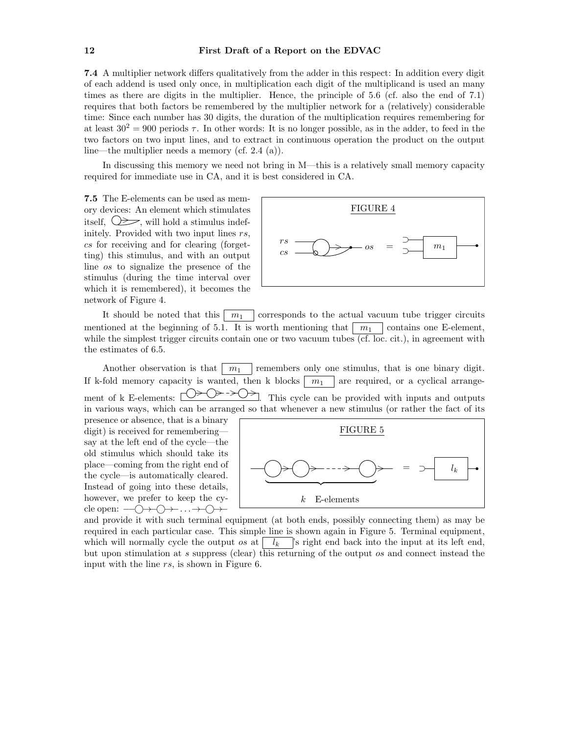7.4 A multiplier network differs qualitatively from the adder in this respect: In addition every digit of each addend is used only once, in multiplication each digit of the multiplicand is used an many times as there are digits in the multiplier. Hence, the principle of 5.6 (cf. also the end of 7.1) requires that both factors be remembered by the multiplier network for a (relatively) considerable time: Since each number has 30 digits, the duration of the multiplication requires remembering for at least  $30^2 = 900$  periods  $\tau$ . In other words: It is no longer possible, as in the adder, to feed in the two factors on two input lines, and to extract in continuous operation the product on the output line—the multiplier needs a memory (cf. 2.4 (a)).

In discussing this memory we need not bring in M—this is a relatively small memory capacity required for immediate use in CA, and it is best considered in CA.

<span id="page-17-1"></span><span id="page-17-0"></span>7.5 The E-elements can be used as memory devices: An element which stimulates itself,  $\circled{2}$ , will hold a stimulus indefinitely. Provided with two input lines rs, cs for receiving and for clearing (forgetting) this stimulus, and with an output line os to signalize the presence of the stimulus (during the time interval over which it is remembered), it becomes the network of Figure 4.



It should be noted that this  $m_1$  corresponds to the actual vacuum tube trigger circuits mentioned at the beginning of 5.1. It is worth mentioning that  $\boxed{m_1}$  contains one E-element, while the simplest trigger circuits contain one or two vacuum tubes (cf. loc. cit.), in agreement with the estimates of 6.5.

Another observation is that  $\boxed{m_1}$  remembers only one stimulus, that is one binary digit. If k-fold memory capacity is wanted, then k blocks  $\boxed{m_1}$  are required, or a cyclical arrangement of k E-elements:  $\bigcirc$   $\rightarrow$   $\circ$   $\rightarrow$   $\circ$  This cycle can be provided with inputs and outputs in various ways, which can be arranged so that whenever a new stimulus (or rather the fact of its

<span id="page-17-2"></span>presence or absence, that is a binary digit) is received for remembering say at the left end of the cycle—the old stimulus which should take its place—coming from the right end of the cycle—is automatically cleared. Instead of going into these details, however, we prefer to keep the cycle open:  $\longrightarrow \bigcirc \rightarrow \dots \rightarrow \bigcirc \rightarrow$ 



and provide it with such terminal equipment (at both ends, possibly connecting them) as may be required in each particular case. This simple line is shown again in Figure 5. Terminal equipment, which will normally cycle the output os at l<sup>k</sup> 's right end back into the input at its left end, but upon stimulation at s suppress (clear) this returning of the output os and connect instead the input with the line rs, is shown in Figure 6.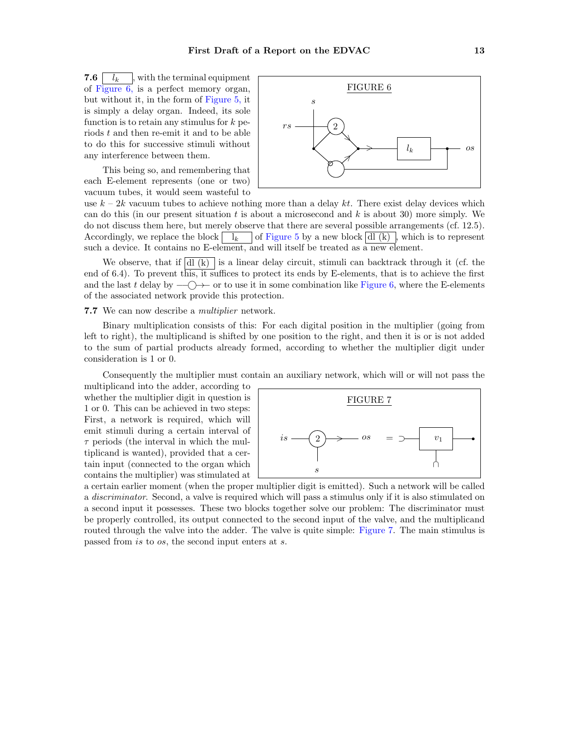<span id="page-18-2"></span><span id="page-18-0"></span>**7.6**  $\vert \quad \vert_k \quad \vert$ , with the terminal equipment of [Figure 6,](#page-18-2) is a perfect memory organ, but without it, in the form of [Figure 5,](#page-17-2) it is simply a delay organ. Indeed, its sole function is to retain any stimulus for  $k$  periods  $t$  and then re-emit it and to be able to do this for successive stimuli without any interference between them.

This being so, and remembering that each E-element represents (one or two) vacuum tubes, it would seem wasteful to

 $\overline{\pi}$ 1  $l_k$ os use  $k - 2k$  vacuum tubes to achieve nothing more than a delay kt. There exist delay devices which

 $rs \longrightarrow 2$ 

s

FIGURE 6

can do this (in our present situation t is about a microsecond and  $k$  is about 30) more simply. We do not discuss them here, but merely observe that there are several possible arrangements (cf. 12.5). Accordingly, we replace the block  $\boxed{l_k}$  of [Figure 5](#page-17-2) by a new block  $\boxed{\mathrm{d}l$  (k), which is to represent such a device. It contains no E-element, and will itself be treated as a new element.

We observe, that if  $\overline{d}l(k)$  is a linear delay circuit, stimuli can backtrack through it (cf. the end of 6.4). To prevent this, it suffices to protect its ends by E-elements, that is to achieve the first and the last t delay by  $-\bigcirc$  or to use it in some combination like [Figure 6,](#page-18-2) where the E-elements of the associated network provide this protection.

#### <span id="page-18-1"></span>7.7 We can now describe a multiplier network.

Binary multiplication consists of this: For each digital position in the multiplier (going from left to right), the multiplicand is shifted by one position to the right, and then it is or is not added to the sum of partial products already formed, according to whether the multiplier digit under consideration is 1 or 0.

Consequently the multiplier must contain an auxiliary network, which will or will not pass the

<span id="page-18-3"></span>multiplicand into the adder, according to whether the multiplier digit in question is 1 or 0. This can be achieved in two steps: First, a network is required, which will emit stimuli during a certain interval of  $\tau$  periods (the interval in which the multiplicand is wanted), provided that a certain input (connected to the organ which contains the multiplier) was stimulated at



a certain earlier moment (when the proper multiplier digit is emitted). Such a network will be called a discriminator. Second, a valve is required which will pass a stimulus only if it is also stimulated on a second input it possesses. These two blocks together solve our problem: The discriminator must be properly controlled, its output connected to the second input of the valve, and the multiplicand routed through the valve into the adder. The valve is quite simple: [Figure 7.](#page-18-3) The main stimulus is passed from is to os, the second input enters at s.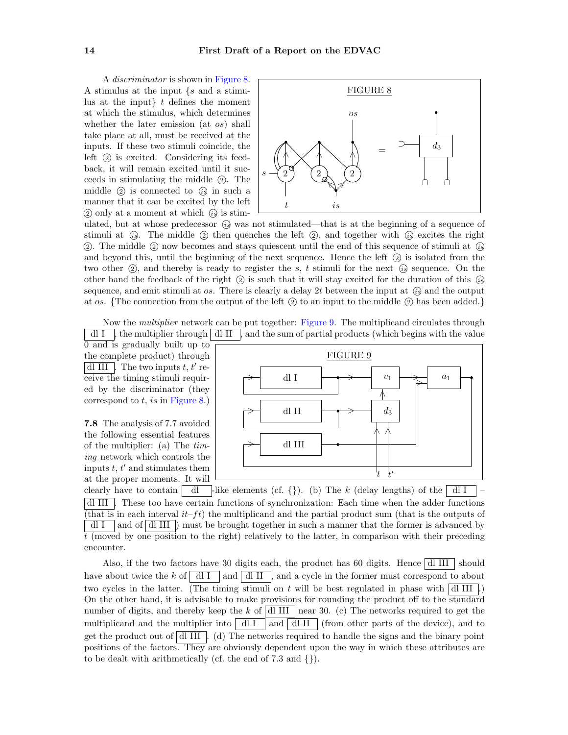<span id="page-19-1"></span>A discriminator is shown in [Figure 8](#page-19-1). A stimulus at the input  $\{s \text{ and a stimu-}\}$ lus at the input $\{t\}$  defines the moment at which the stimulus, which determines whether the later emission (at *os*) shall take place at all, must be received at the inputs. If these two stimuli coincide, the left  $(2)$  is excited. Considering its feedback, it will remain excited until it succeeds in stimulating the middle  $(2)$ . The middle  $(2)$  is connected to  $(i)$  in such a manner that it can be excited by the left  $(2)$  only at a moment at which  $(i)$  is stim-



ulated, but at whose predecessor  $\omega$  was not stimulated—that is at the beginning of a sequence of stimuli at  $\omega$ . The middle  $\omega$  then quenches the left  $\omega$ , and together with  $\omega$  excites the right 2. The middle 2 now becomes and stays quiescent until the end of this sequence of stimuli at  $\omega$ and beyond this, until the beginning of the next sequence. Hence the left  $(2)$  is isolated from the two other  $(2)$ , and thereby is ready to register the s, t stimuli for the next  $(i)$  sequence. On the other hand the feedback of the right  $\circled{2}$  is such that it will stay excited for the duration of this  $\circled{3}$ sequence, and emit stimuli at os. There is clearly a delay 2t between the input at  $\omega$  and the output at os. {The connection from the output of the left  $\circled{2}$  to an input to the middle  $\circled{2}$  has been added.}

Now the *multiplier* network can be put together: [Figure 9](#page-19-2). The multiplicand circulates through dl I  $\parallel$ , the multiplier through dl II  $\parallel$ , and the sum of partial products (which begins with the value

<span id="page-19-2"></span>0 and is gradually built up to the complete product) through  $\overline{\text{dl III}}$ . The two inputs t, t' receive the timing stimuli required by the discriminator (they correspond to  $t$ , is in [Figure 8.](#page-19-1))

<span id="page-19-0"></span>7.8 The analysis of 7.7 avoided the following essential features of the multiplier: (a) The timing network which controls the inputs  $t, t'$  and stimulates them at the proper moments. It will



clearly have to contain dl  $\Box$  -like elements (cf. {}). (b) The k (delay lengths) of the dl I dl III . These too have certain functions of synchronization: Each time when the adder functions (that is in each interval  $it-ft$ ) the multiplicand and the partial product sum (that is the outputs of  $\frac{d}{d}\Pi$  and of  $\frac{d}{d}\Pi$  must be brought together in such a manner that the former is advanced by t (moved by one position to the right) relatively to the latter, in comparison with their preceding encounter.

Also, if the two factors have 30 digits each, the product has 60 digits. Hence dl III should have about twice the k of dl I  $\|$  and dl II  $\|$ , and a cycle in the former must correspond to about two cycles in the latter. (The timing stimuli on t will be best regulated in phase with  $\left| d\right|$  III  $\left|$ ) On the other hand, it is advisable to make provisions for rounding the product off to the standard number of digits, and thereby keep the k of dl III near 30. (c) The networks required to get the multiplicand and the multiplier into  $\boxed{dI I}$  and  $\boxed{dI I I}$  (from other parts of the device), and to get the product out of  $\boxed{\text{d} \text{I} \text{II}}$ . (d) The networks required to handle the signs and the binary point positions of the factors. They are obviously dependent upon the way in which these attributes are to be dealt with arithmetically (cf. the end of 7.3 and {}).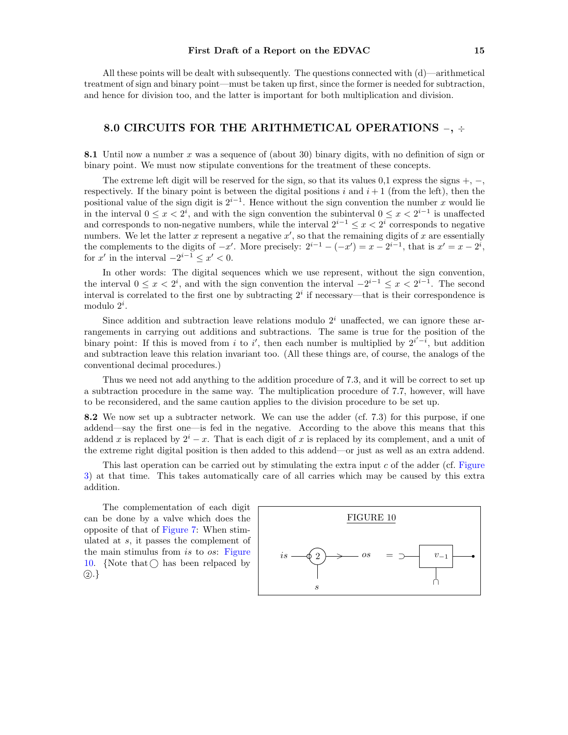All these points will be dealt with subsequently. The questions connected with (d)—arithmetical treatment of sign and binary point—must be taken up first, since the former is needed for subtraction, and hence for division too, and the latter is important for both multiplication and division.

#### <span id="page-20-0"></span>8.0 CIRCUITS FOR THE ARITHMETICAL OPERATIONS -, ÷

<span id="page-20-1"></span>8.1 Until now a number x was a sequence of (about 30) binary digits, with no definition of sign or binary point. We must now stipulate conventions for the treatment of these concepts.

The extreme left digit will be reserved for the sign, so that its values  $0,1$  express the signs  $+$ ,  $-$ , respectively. If the binary point is between the digital positions i and  $i + 1$  (from the left), then the positional value of the sign digit is  $2^{i-1}$ . Hence without the sign convention the number x would lie in the interval  $0 \leq x < 2^i$ , and with the sign convention the subinterval  $0 \leq x < 2^{i-1}$  is unaffected and corresponds to non-negative numbers, while the interval  $2^{i-1} \leq x < 2^i$  corresponds to negative numbers. We let the latter x represent a negative  $x'$ , so that the remaining digits of x are essentially the complements to the digits of  $-x'$ . More precisely:  $2^{i-1} - (-x') = x - 2^{i-1}$ , that is  $x' = x - 2^i$ , for x' in the interval  $-2^{i-1} \leq x' < 0$ .

In other words: The digital sequences which we use represent, without the sign convention, the interval  $0 \leq x < 2^i$ , and with the sign convention the interval  $-2^{i-1} \leq x < 2^{i-1}$ . The second interval is correlated to the first one by subtracting  $2<sup>i</sup>$  if necessary—that is their correspondence is modulo  $2^i$ .

Since addition and subtraction leave relations modulo  $2<sup>i</sup>$  unaffected, we can ignore these arrangements in carrying out additions and subtractions. The same is true for the position of the binary point: If this is moved from i to i', then each number is multiplied by  $2^{i'-i}$ , but addition and subtraction leave this relation invariant too. (All these things are, of course, the analogs of the conventional decimal procedures.)

Thus we need not add anything to the addition procedure of 7.3, and it will be correct to set up a subtraction procedure in the same way. The multiplication procedure of 7.7, however, will have to be reconsidered, and the same caution applies to the division procedure to be set up.

<span id="page-20-2"></span>8.2 We now set up a subtracter network. We can use the adder (cf. 7.3) for this purpose, if one addend—say the first one—is fed in the negative. According to the above this means that this addend x is replaced by  $2^{i} - x$ . That is each digit of x is replaced by its complement, and a unit of the extreme right digital position is then added to this addend—or just as well as an extra addend.

This last operation can be carried out by stimulating the extra input  $c$  of the adder (cf. [Figure](#page-16-5) [3\)](#page-16-5) at that time. This takes automatically care of all carries which may be caused by this extra addition.

<span id="page-20-3"></span>The complementation of each digit can be done by a valve which does the opposite of that of [Figure 7](#page-18-3): When stimulated at s, it passes the complement of the main stimulus from is to os: [Figure](#page-20-3) [10.](#page-20-3) {Note that  $\cap$  has been relpaced by  $(2).$ 

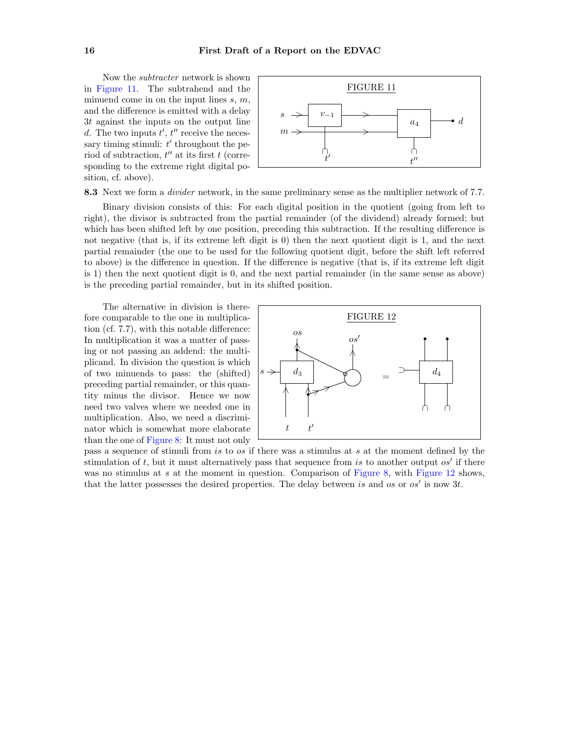<span id="page-21-1"></span>Now the subtracter network is shown in [Figure 11](#page-21-1). The subtrahend and the minuend come in on the input lines  $s, m$ , and the difference is emitted with a delay 3t against the inputs on the output line d. The two inputs  $t'$ ,  $t''$  receive the necessary timing stimuli:  $t'$  throughout the period of subtraction,  $t''$  at its first  $t$  (corresponding to the extreme right digital position, cf. above).



<span id="page-21-0"></span>8.3 Next we form a *divider* network, in the same preliminary sense as the multiplier network of 7.7.

Binary division consists of this: For each digital position in the quotient (going from left to right), the divisor is subtracted from the partial remainder (of the dividend) already formed; but which has been shifted left by one position, preceding this subtraction. If the resulting difference is not negative (that is, if its extreme left digit is 0) then the next quotient digit is 1, and the next partial remainder (the one to be used for the following quotient digit, before the shift left referred to above) is the difference in question. If the difference is negative (that is, if its extreme left digit is 1) then the next quotient digit is 0, and the next partial remainder (in the same sense as above) is the preceding partial remainder, but in its shifted position.

<span id="page-21-2"></span>The alternative in division is therefore comparable to the one in multiplication (cf. 7.7), with this notable difference: In multiplication it was a matter of passing or not passing an addend: the multiplicand. In division the question is which of two minuends to pass: the (shifted) preceding partial remainder, or this quantity minus the divisor. Hence we now need two valves where we needed one in multiplication. Also, we need a discriminator which is somewhat more elaborate than the one of [Figure 8:](#page-19-1) It must not only



pass a sequence of stimuli from is to os if there was a stimulus at s at the moment defined by the stimulation of t, but it must alternatively pass that sequence from is to another output  $os'$  if there was no stimulus at s at the moment in question. Comparison of [Figure 8,](#page-19-1) with [Figure 12](#page-21-2) shows, that the latter possesses the desired properties. The delay between is and os or os' is now  $3t$ .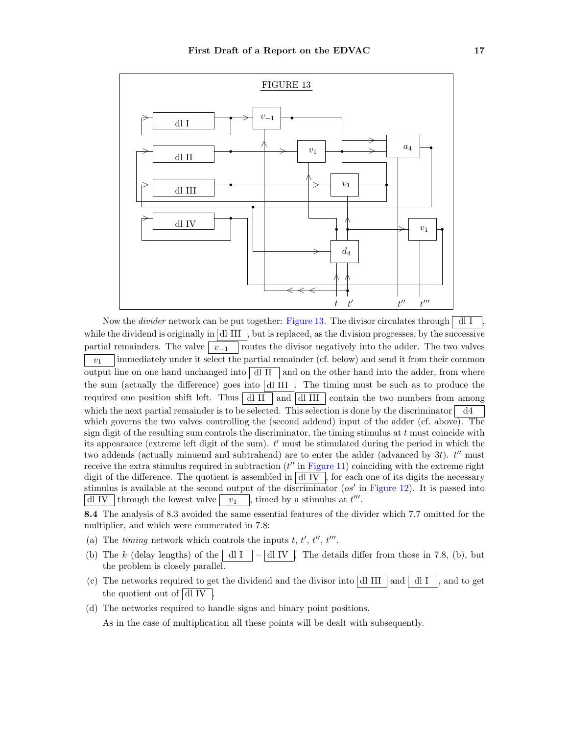<span id="page-22-1"></span>

Now the *divider* network can be put together: [Figure 13](#page-22-1). The divisor circulates through dl I while the dividend is originally in  $\left| \frac{d}{d} \right|$  III  $\left| \right|$ , but is replaced, as the division progresses, by the successive partial remainders. The valve  $\sqrt{v_{-1}}$  routes the divisor negatively into the adder. The two valves v<sup>1</sup> immediately under it select the partial remainder (cf. below) and send it from their common output line on one hand unchanged into  $\boxed{dl II}$  and on the other hand into the adder, from where the sum (actually the difference) goes into dl III . The timing must be such as to produce the required one position shift left. Thus dl II  $\vert$  and dl III contain the two numbers from among which the next partial remainder is to be selected. This selection is done by the discriminator  $\begin{bmatrix} d4 \end{bmatrix}$ which governs the two valves controlling the (second addend) input of the adder (cf. above). The sign digit of the resulting sum controls the discriminator, the timing stimulus at  $t$  must coincide with its appearance (extreme left digit of the sum).  $t'$  must be stimulated during the period in which the two addends (actually minuend and subtrahend) are to enter the adder (advanced by  $3t$ ).  $t''$  must receive the extra stimulus required in subtraction  $(t'$  in [Figure 11\)](#page-21-1) coinciding with the extreme right digit of the difference. The quotient is assembled in  $\text{d}I$  IV  $\parallel$ , for each one of its digits the necessary stimulus is available at the second output of the discriminator  $(\alpha s)$  in [Figure 12\)](#page-21-2). It is passed into dl IV through the lowest valve  $\begin{bmatrix} v_1 \end{bmatrix}$ , timed by a stimulus at  $t'''$ .

<span id="page-22-0"></span>8.4 The analysis of 8.3 avoided the same essential features of the divider which 7.7 omitted for the multiplier, and which were enumerated in 7.8:

- (a) The timing network which controls the inputs  $t, t', t'', t'''$ .
- (b) The k (delay lengths) of the dl I dl IV. The details differ from those in 7.8, (b), but the problem is closely parallel.
- (c) The networks required to get the dividend and the divisor into  $\boxed{d\ 1 \ 1\ 1}$  and  $\boxed{d\ 1\ 1}$ , and to get the quotient out of  $\text{d}$  IV  $\text{d}$ .
- (d) The networks required to handle signs and binary point positions.

As in the case of multiplication all these points will be dealt with subsequently.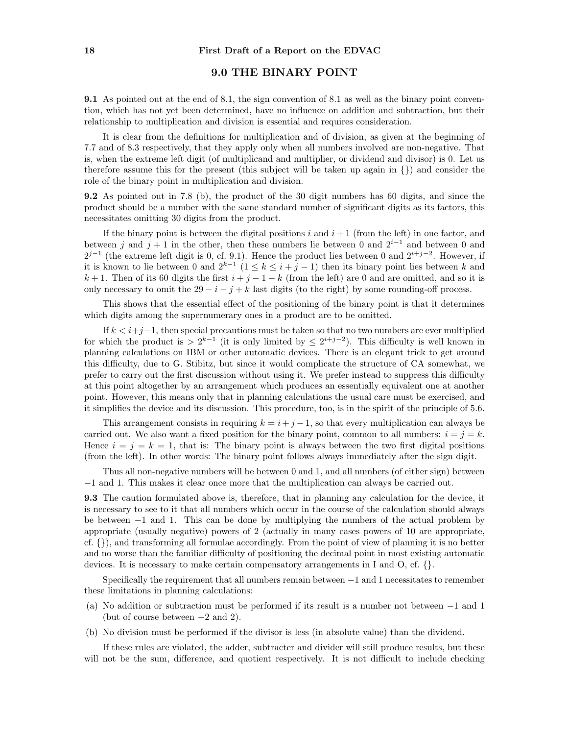#### 9.0 THE BINARY POINT

<span id="page-23-1"></span><span id="page-23-0"></span>9.1 As pointed out at the end of 8.1, the sign convention of 8.1 as well as the binary point convention, which has not yet been determined, have no influence on addition and subtraction, but their relationship to multiplication and division is essential and requires consideration.

It is clear from the definitions for multiplication and of division, as given at the beginning of 7.7 and of 8.3 respectively, that they apply only when all numbers involved are non-negative. That is, when the extreme left digit (of multiplicand and multiplier, or dividend and divisor) is 0. Let us therefore assume this for the present (this subject will be taken up again in {}) and consider the role of the binary point in multiplication and division.

<span id="page-23-2"></span>9.2 As pointed out in 7.8 (b), the product of the 30 digit numbers has 60 digits, and since the product should be a number with the same standard number of significant digits as its factors, this necessitates omitting 30 digits from the product.

If the binary point is between the digital positions  $i$  and  $i + 1$  (from the left) in one factor, and between j and j + 1 in the other, then these numbers lie between 0 and  $2^{i-1}$  and between 0 and  $2^{j-1}$  (the extreme left digit is 0, cf. 9.1). Hence the product lies between 0 and  $2^{i+j-2}$ . However, if it is known to lie between 0 and  $2^{k-1}$   $(1 \le k \le i+j-1)$  then its binary point lies between k and  $k+1$ . Then of its 60 digits the first  $i+j-1-k$  (from the left) are 0 and are omitted, and so it is only necessary to omit the  $29 - i - j + k$  last digits (to the right) by some rounding-off process.

This shows that the essential effect of the positioning of the binary point is that it determines which digits among the supernumerary ones in a product are to be omitted.

If  $k < i+j-1$ , then special precautions must be taken so that no two numbers are ever multiplied for which the product is >  $2^{k-1}$  (it is only limited by  $\leq 2^{i+j-2}$ ). This difficulty is well known in planning calculations on IBM or other automatic devices. There is an elegant trick to get around this difficulty, due to G. Stibitz, but since it would complicate the structure of CA somewhat, we prefer to carry out the first discussion without using it. We prefer instead to suppress this difficulty at this point altogether by an arrangement which produces an essentially equivalent one at another point. However, this means only that in planning calculations the usual care must be exercised, and it simplifies the device and its discussion. This procedure, too, is in the spirit of the principle of 5.6.

This arrangement consists in requiring  $k = i + j - 1$ , so that every multiplication can always be carried out. We also want a fixed position for the binary point, common to all numbers:  $i = j = k$ . Hence  $i = j = k = 1$ , that is: The binary point is always between the two first digital positions (from the left). In other words: The binary point follows always immediately after the sign digit.

Thus all non-negative numbers will be between 0 and 1, and all numbers (of either sign) between −1 and 1. This makes it clear once more that the multiplication can always be carried out.

<span id="page-23-3"></span>9.3 The caution formulated above is, therefore, that in planning any calculation for the device, it is necessary to see to it that all numbers which occur in the course of the calculation should always be between −1 and 1. This can be done by multiplying the numbers of the actual problem by appropriate (usually negative) powers of 2 (actually in many cases powers of 10 are appropriate, cf.  $\{\}$ , and transforming all formulae accordingly. From the point of view of planning it is no better and no worse than the familiar difficulty of positioning the decimal point in most existing automatic devices. It is necessary to make certain compensatory arrangements in I and O, cf. {}.

Specifically the requirement that all numbers remain between −1 and 1 necessitates to remember these limitations in planning calculations:

- (a) No addition or subtraction must be performed if its result is a number not between −1 and 1 (but of course between −2 and 2).
- (b) No division must be performed if the divisor is less (in absolute value) than the dividend.

If these rules are violated, the adder, subtracter and divider will still produce results, but these will not be the sum, difference, and quotient respectively. It is not difficult to include checking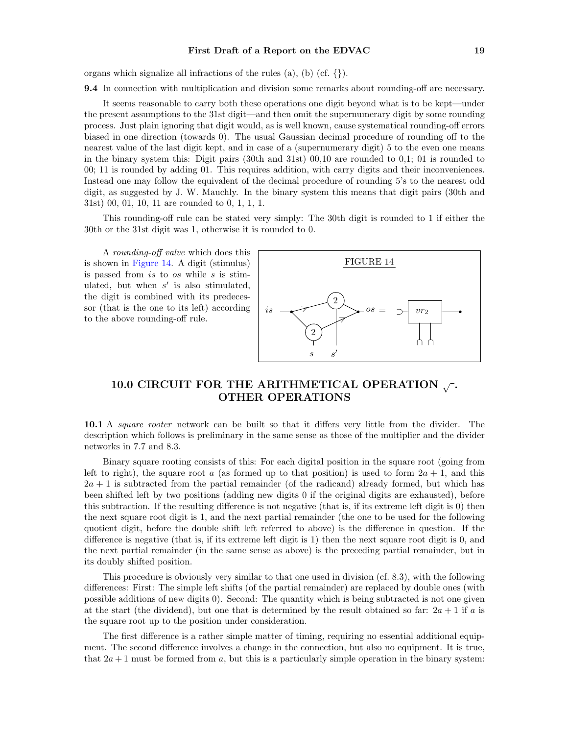organs which signalize all infractions of the rules (a), (b) (cf.  $\{\}\$ ).

<span id="page-24-0"></span>9.4 In connection with multiplication and division some remarks about rounding-off are necessary.

It seems reasonable to carry both these operations one digit beyond what is to be kept—under the present assumptions to the 31st digit—and then omit the supernumerary digit by some rounding process. Just plain ignoring that digit would, as is well known, cause systematical rounding-off errors biased in one direction (towards 0). The usual Gaussian decimal procedure of rounding off to the nearest value of the last digit kept, and in case of a (supernumerary digit) 5 to the even one means in the binary system this: Digit pairs (30th and 31st) 00,10 are rounded to 0,1; 01 is rounded to 00; 11 is rounded by adding 01. This requires addition, with carry digits and their inconveniences. Instead one may follow the equivalent of the decimal procedure of rounding 5's to the nearest odd digit, as suggested by J. W. Mauchly. In the binary system this means that digit pairs (30th and 31st) 00, 01, 10, 11 are rounded to 0, 1, 1, 1.

This rounding-off rule can be stated very simply: The 30th digit is rounded to 1 if either the 30th or the 31st digit was 1, otherwise it is rounded to 0.

<span id="page-24-3"></span>A rounding-off valve which does this is shown in [Figure 14](#page-24-3). A digit (stimulus) is passed from is to os while  $s$  is stimulated, but when  $s'$  is also stimulated, the digit is combined with its predecessor (that is the one to its left) according to the above rounding-off rule.



### <span id="page-24-1"></span>10.0 CIRCUIT FOR THE ARITHMETICAL OPERATION  $\sqrt{\cdot}$ . OTHER OPERATIONS

<span id="page-24-2"></span>10.1 A *square rooter* network can be built so that it differs very little from the divider. The description which follows is preliminary in the same sense as those of the multiplier and the divider networks in 7.7 and 8.3.

Binary square rooting consists of this: For each digital position in the square root (going from left to right), the square root a (as formed up to that position) is used to form  $2a + 1$ , and this  $2a + 1$  is subtracted from the partial remainder (of the radicand) already formed, but which has been shifted left by two positions (adding new digits 0 if the original digits are exhausted), before this subtraction. If the resulting difference is not negative (that is, if its extreme left digit is 0) then the next square root digit is 1, and the next partial remainder (the one to be used for the following quotient digit, before the double shift left referred to above) is the difference in question. If the difference is negative (that is, if its extreme left digit is 1) then the next square root digit is 0, and the next partial remainder (in the same sense as above) is the preceding partial remainder, but in its doubly shifted position.

This procedure is obviously very similar to that one used in division (cf. 8.3), with the following differences: First: The simple left shifts (of the partial remainder) are replaced by double ones (with possible additions of new digits 0). Second: The quantity which is being subtracted is not one given at the start (the dividend), but one that is determined by the result obtained so far:  $2a + 1$  if a is the square root up to the position under consideration.

The first difference is a rather simple matter of timing, requiring no essential additional equipment. The second difference involves a change in the connection, but also no equipment. It is true, that  $2a + 1$  must be formed from a, but this is a particularly simple operation in the binary system: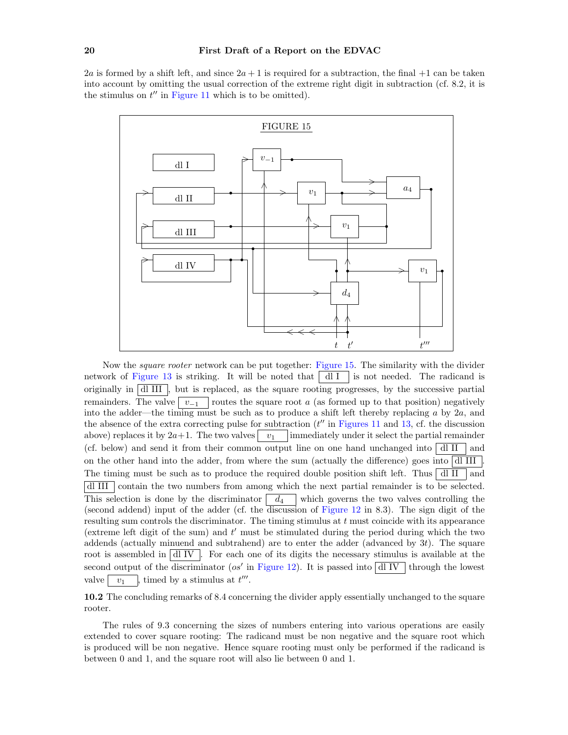2a is formed by a shift left, and since  $2a + 1$  is required for a subtraction, the final  $+1$  can be taken into account by omitting the usual correction of the extreme right digit in subtraction (cf. 8.2, it is the stimulus on  $t''$  in [Figure 11](#page-21-1) which is to be omitted).

<span id="page-25-1"></span>

Now the *square rooter* network can be put together: [Figure 15.](#page-25-1) The similarity with the divider network of [Figure 13](#page-22-1) is striking. It will be noted that  $\boxed{d\,\overline{1}\,}$  is not needed. The radicand is originally in  $\overline{d}$  III, but is replaced, as the square rooting progresses, by the successive partial remainders. The valve  $\sqrt{v_{-1}}$  routes the square root a (as formed up to that position) negatively into the adder—the timing must be such as to produce a shift left thereby replacing  $a$  by  $2a$ , and the absence of the extra correcting pulse for subtraction  $(t'$  in [Figures 11](#page-21-1) and [13,](#page-22-1) cf. the discussion above) replaces it by  $2a+1$ . The two valves  $\boxed{v_1}$  immediately under it select the partial remainder (cf. below) and send it from their common output line on one hand unchanged into  $\frac{d}{dt} \Pi$  and on the other hand into the adder, from where the sum (actually the difference) goes into  $\frac{d}{d}$  III The timing must be such as to produce the required double position shift left. Thus  $\frac{d}{d} \Pi \parallel$  and dl III contain the two numbers from among which the next partial remainder is to be selected. This selection is done by the discriminator  $\begin{vmatrix} d_4 \\ d_5 \end{vmatrix}$  which governs the two valves controlling the (second addend) input of the adder (cf. the discussion of [Figure 12](#page-21-2) in 8.3). The sign digit of the resulting sum controls the discriminator. The timing stimulus at  $t$  must coincide with its appearance (extreme left digit of the sum) and  $t'$  must be stimulated during the period during which the two addends (actually minuend and subtrahend) are to enter the adder (advanced by  $3t$ ). The square root is assembled in dl IV. For each one of its digits the necessary stimulus is available at the second output of the discriminator (*os'* in [Figure 12](#page-21-2)). It is passed into  $\boxed{dl \ IV}$  through the lowest valve  $\boxed{v_1}$ , timed by a stimulus at  $t'''$ .

<span id="page-25-0"></span>10.2 The concluding remarks of 8.4 concerning the divider apply essentially unchanged to the square rooter.

The rules of 9.3 concerning the sizes of numbers entering into various operations are easily extended to cover square rooting: The radicand must be non negative and the square root which is produced will be non negative. Hence square rooting must only be performed if the radicand is between 0 and 1, and the square root will also lie between 0 and 1.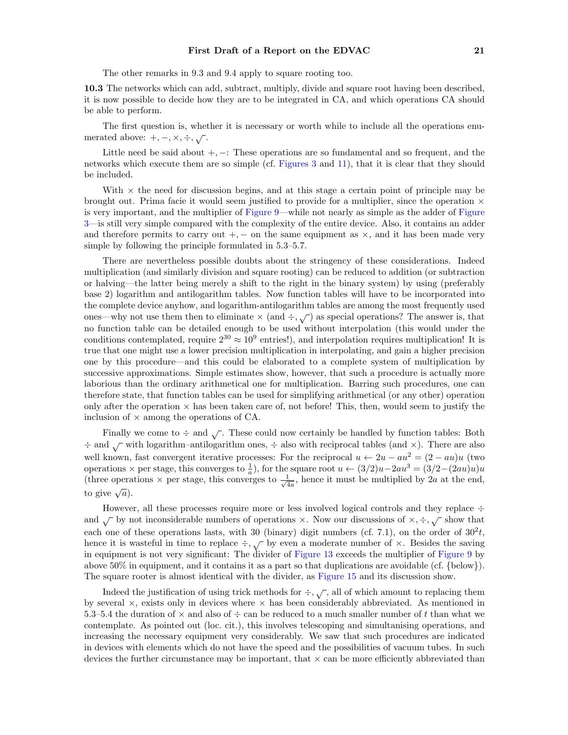The other remarks in 9.3 and 9.4 apply to square rooting too.

<span id="page-26-0"></span>10.3 The networks which can add, subtract, multiply, divide and square root having been described, it is now possible to decide how they are to be integrated in CA, and which operations CA should be able to perform.

The first question is, whether it is necessary or worth while to include all the operations enumerated above:  $+,-, \times, \div, \sqrt{ }$ .

Little need be said about  $+,-$ : These operations are so fundamental and so frequent, and the networks which execute them are so simple (cf. [Figures 3](#page-16-5) and [11\)](#page-21-1), that it is clear that they should be included.

With  $\times$  the need for discussion begins, and at this stage a certain point of principle may be brought out. Prima facie it would seem justified to provide for a multiplier, since the operation  $\times$ is very important, and the multiplier of [Figure 9—](#page-19-2)while not nearly as simple as the adder of [Figure](#page-16-5) [3—](#page-16-5)is still very simple compared with the complexity of the entire device. Also, it contains an adder and therefore permits to carry out  $+$ ,  $-$  on the same equipment as  $\times$ , and it has been made very simple by following the principle formulated in 5.3–5.7.

There are nevertheless possible doubts about the stringency of these considerations. Indeed multiplication (and similarly division and square rooting) can be reduced to addition (or subtraction or halving—the latter being merely a shift to the right in the binary system) by using (preferably base 2) logarithm and antilogarithm tables. Now function tables will have to be incorporated into the complete device anyhow, and logarithm-antilogarithm tables are among the most frequently used ones—why not use them then to eliminate  $\times$  (and  $\div$ ,  $\sqrt{\ }$ ) as special operations? The answer is, that no function table can be detailed enough to be used without interpolation (this would under the conditions contemplated, require  $2^{30} \approx 10^9$  entries!), and interpolation requires multiplication! It is true that one might use a lower precision multiplication in interpolating, and gain a higher precision one by this procedure—and this could be elaborated to a complete system of multiplication by successive approximations. Simple estimates show, however, that such a procedure is actually more laborious than the ordinary arithmetical one for multiplication. Barring such procedures, one can therefore state, that function tables can be used for simplifying arithmetical (or any other) operation only after the operation  $\times$  has been taken care of, not before! This, then, would seem to justify the inclusion of  $\times$  among the operations of CA.

Finally we come to  $\div$  and  $\sqrt{\ }$ . These could now certainly be handled by function tables: Both  $\div$  and  $\sqrt{\ }$  with logarithm–antilogarithm ones,  $\div$  also with reciprocal tables (and  $\times$ ). There are also well known, fast convergent iterative processes: For the reciprocal  $u \leftarrow 2u - au^2 = (2 - au)u$  (two operations  $\times$  per stage, this converges to  $\frac{1}{a}$ ), for the square root  $u \leftarrow (3/2)u-2au^3 = (3/2-(2au)u)u$ (three operations  $\times$  per stage, this converges to  $\frac{1}{\sqrt{2}}$  $\frac{1}{4a}$ , hence it must be multiplied by 2*a* at the end, to give  $\sqrt{a}$ ).

However, all these processes require more or less involved logical controls and they replace ÷ and  $\sqrt{\ }$  by not inconsiderable numbers of operations  $\times$ . Now our discussions of  $\times, \div, \sqrt{\ }$  show that each one of these operations lasts, with 30 (binary) digit numbers (cf. 7.1), on the order of  $30^2 t$ , hence it is wasteful in time to replace  $\div, \sqrt{\ }$  by even a moderate number of  $\times$ . Besides the saving in equipment is not very significant: The divider of [Figure 13](#page-22-1) exceeds the multiplier of [Figure 9](#page-19-2) by above 50% in equipment, and it contains it as a part so that duplications are avoidable (cf. {below}). The square rooter is almost identical with the divider, as [Figure 15](#page-25-1) and its discussion show.

Indeed the justification of using trick methods for  $\div$ ,  $\sqrt{\ }$ , all of which amount to replacing them by several  $\times$ , exists only in devices where  $\times$  has been considerably abbreviated. As mentioned in 5.3–5.4 the duration of  $\times$  and also of  $\div$  can be reduced to a much smaller number of t than what we contemplate. As pointed out (loc. cit.), this involves telescoping and simultanising operations, and increasing the necessary equipment very considerably. We saw that such procedures are indicated in devices with elements which do not have the speed and the possibilities of vacuum tubes. In such devices the further circumstance may be important, that  $\times$  can be more efficiently abbreviated than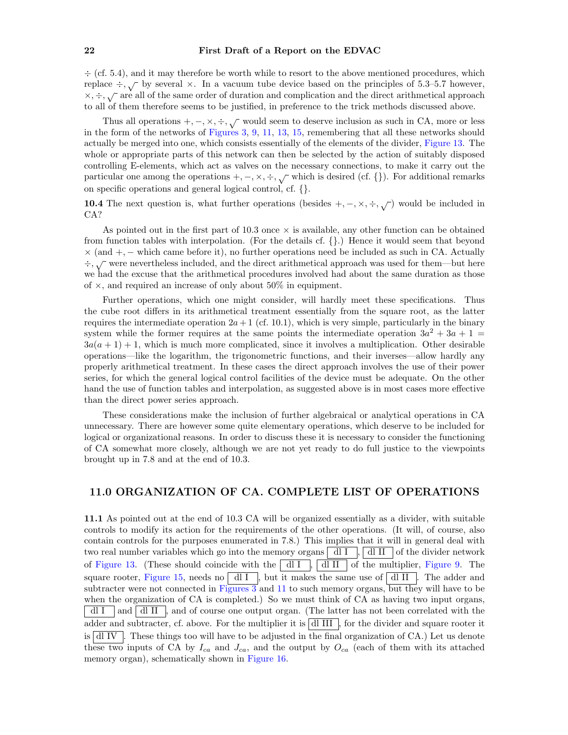$\div$  (cf. 5.4), and it may therefore be worth while to resort to the above mentioned procedures, which replace  $\div$ ,  $\sqrt{\ }$  by several  $\times$ . In a vacuum tube device based on the principles of 5.3–5.7 however,  $\times, \div, \sqrt{\ }$  are all of the same order of duration and complication and the direct arithmetical approach to all of them therefore seems to be justified, in preference to the trick methods discussed above.

Thus all operations  $+, -, \times, \div, \sqrt{\ }$  would seem to deserve inclusion as such in CA, more or less in the form of the networks of [Figures 3,](#page-16-5) [9,](#page-19-2) [11,](#page-21-1) [13,](#page-22-1) [15](#page-25-1), remembering that all these networks should actually be merged into one, which consists essentially of the elements of the divider, [Figure 13.](#page-22-1) The whole or appropriate parts of this network can then be selected by the action of suitably disposed controlling E-elements, which act as valves on the necessary connections, to make it carry out the particular one among the operations  $+,-, \times, \div, \sqrt{\ }$  which is desired (cf. {}). For additional remarks on specific operations and general logical control, cf. {}.

<span id="page-27-0"></span>**10.4** The next question is, what further operations (besides  $+,-, \times, \div, \sqrt{ }$ ) would be included in CA?

As pointed out in the first part of 10.3 once  $\times$  is available, any other function can be obtained from function tables with interpolation. (For the details cf. {}.) Hence it would seem that beyond  $\times$  (and  $+$ , – which came before it), no further operations need be included as such in CA. Actually  $\div$ ,  $\sqrt{\ }$  were nevertheless included, and the direct arithmetical approach was used for them—but here we had the excuse that the arithmetical procedures involved had about the same duration as those of  $\times$ , and required an increase of only about 50% in equipment.

Further operations, which one might consider, will hardly meet these specifications. Thus the cube root differs in its arithmetical treatment essentially from the square root, as the latter requires the intermediate operation  $2a + 1$  (cf. 10.1), which is very simple, particularly in the binary system while the former requires at the same points the intermediate operation  $3a^2 + 3a + 1 =$  $3a(a + 1) + 1$ , which is much more complicated, since it involves a multiplication. Other desirable operations—like the logarithm, the trigonometric functions, and their inverses—allow hardly any properly arithmetical treatment. In these cases the direct approach involves the use of their power series, for which the general logical control facilities of the device must be adequate. On the other hand the use of function tables and interpolation, as suggested above is in most cases more effective than the direct power series approach.

These considerations make the inclusion of further algebraical or analytical operations in CA unnecessary. There are however some quite elementary operations, which deserve to be included for logical or organizational reasons. In order to discuss these it is necessary to consider the functioning of CA somewhat more closely, although we are not yet ready to do full justice to the viewpoints brought up in 7.8 and at the end of 10.3.

#### <span id="page-27-1"></span>11.0 ORGANIZATION OF CA. COMPLETE LIST OF OPERATIONS

<span id="page-27-2"></span>11.1 As pointed out at the end of 10.3 CA will be organized essentially as a divider, with suitable controls to modify its action for the requirements of the other operations. (It will, of course, also contain controls for the purposes enumerated in 7.8.) This implies that it will in general deal with two real number variables which go into the memory organs  $\boxed{dI\quad}$ ,  $\boxed{dI\quad}$  of the divider network of [Figure 13](#page-22-1). (These should coincide with the  $\boxed{dI\ I}$ ,  $\boxed{dI\ II}$  of the multiplier, [Figure 9.](#page-19-2) The square rooter, [Figure 15](#page-25-1), needs no dl I , but it makes the same use of dl II . The adder and subtracter were not connected in [Figures 3](#page-16-5) and [11](#page-21-1) to such memory organs, but they will have to be when the organization of CA is completed.) So we must think of CA as having two input organs, dl I  $\parallel$  and  $\parallel$  dl II  $\parallel$ , and of course one output organ. (The latter has not been correlated with the adder and subtracter, cf. above. For the multiplier it is  $\boxed{d$  III  $\parallel$ , for the divider and square rooter it is dl IV . These things too will have to be adjusted in the final organization of CA.) Let us denote these two inputs of CA by  $I_{ca}$  and  $J_{ca}$ , and the output by  $O_{ca}$  (each of them with its attached memory organ), schematically shown in [Figure 16](#page-28-1).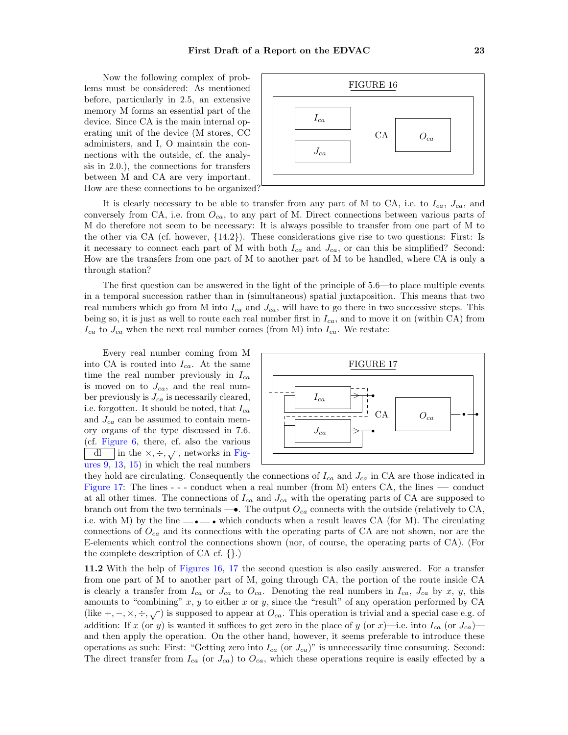<span id="page-28-1"></span>Now the following complex of problems must be considered: As mentioned before, particularly in 2.5, an extensive memory M forms an essential part of the device. Since CA is the main internal operating unit of the device (M stores, CC administers, and I, O maintain the connections with the outside, cf. the analysis in 2.0.), the connections for transfers between M and CA are very important. How are these connections to be organized?



It is clearly necessary to be able to transfer from any part of M to CA, i.e. to  $I_{ca}$ ,  $J_{ca}$ , and conversely from CA, i.e. from  $O_{ca}$ , to any part of M. Direct connections between various parts of M do therefore not seem to be necessary: It is always possible to transfer from one part of M to the other via CA (cf. however,  $\{14.2\}$ ). These considerations give rise to two questions: First: Is it necessary to connect each part of M with both  $I_{ca}$  and  $J_{ca}$ , or can this be simplified? Second: How are the transfers from one part of M to another part of M to be handled, where CA is only a through station?

The first question can be answered in the light of the principle of 5.6—to place multiple events in a temporal succession rather than in (simultaneous) spatial juxtaposition. This means that two real numbers which go from M into  $I_{ca}$  and  $J_{ca}$ , will have to go there in two successive steps. This being so, it is just as well to route each real number first in  $I_{ca}$ , and to move it on (within CA) from  $I_{ca}$  to  $J_{ca}$  when the next real number comes (from M) into  $I_{ca}$ . We restate:

<span id="page-28-2"></span>Every real number coming from M into CA is routed into  $I_{ca}$ . At the same time the real number previously in  $I_{ca}$ is moved on to  $J_{ca}$ , and the real number previously is  $J_{ca}$  is necessarily cleared, i.e. forgotten. It should be noted, that  $I_{ca}$ and  $J_{ca}$  can be assumed to contain memory organs of the type discussed in 7.6. (cf. [Figure 6](#page-18-2), there, cf. also the various  $\frac{d}{dl}$  in the  $\times, \div, \sqrt{ }$ , networks in [Fig](#page-19-2)[ures 9,](#page-19-2) [13,](#page-22-1) [15](#page-25-1)) in which the real numbers



they hold are circulating. Consequently the connections of  $I_{ca}$  and  $J_{ca}$  in CA are those indicated in [Figure 17](#page-28-2): The lines - - - conduct when a real number (from M) enters CA, the lines — conduct at all other times. The connections of  $I_{ca}$  and  $J_{ca}$  with the operating parts of CA are supposed to branch out from the two terminals  $-\bullet$ . The output  $O_{ca}$  connects with the outside (relatively to CA, i.e. with M) by the line  $\longrightarrow \bullet$  which conducts when a result leaves CA (for M). The circulating connections of  $O_{ca}$  and its connections with the operating parts of CA are not shown, nor are the E-elements which control the connections shown (nor, of course, the operating parts of CA). (For the complete description of CA cf. {}.)

<span id="page-28-0"></span>11.2 With the help of [Figures 16,](#page-28-1) [17](#page-28-2) the second question is also easily answered. For a transfer from one part of M to another part of M, going through CA, the portion of the route inside CA is clearly a transfer from  $I_{ca}$  or  $J_{ca}$  to  $O_{ca}$ . Denoting the real numbers in  $I_{ca}$ ,  $J_{ca}$  by x, y, this amounts to "combining"  $x, y$  to either  $x$  or  $y$ , since the "result" of any operation performed by CA (like  $+,-, \times, \div, \sqrt{}$ ) is supposed to appear at  $O_{ca}$ . This operation is trivial and a special case e.g. of addition: If x (or y) is wanted it suffices to get zero in the place of y (or x)—i.e. into  $I_{ca}$  (or  $J_{ca}$ ) and then apply the operation. On the other hand, however, it seems preferable to introduce these operations as such: First: "Getting zero into  $I_{ca}$  (or  $J_{ca}$ )" is unnecessarily time consuming. Second: The direct transfer from  $I_{ca}$  (or  $J_{ca}$ ) to  $O_{ca}$ , which these operations require is easily effected by a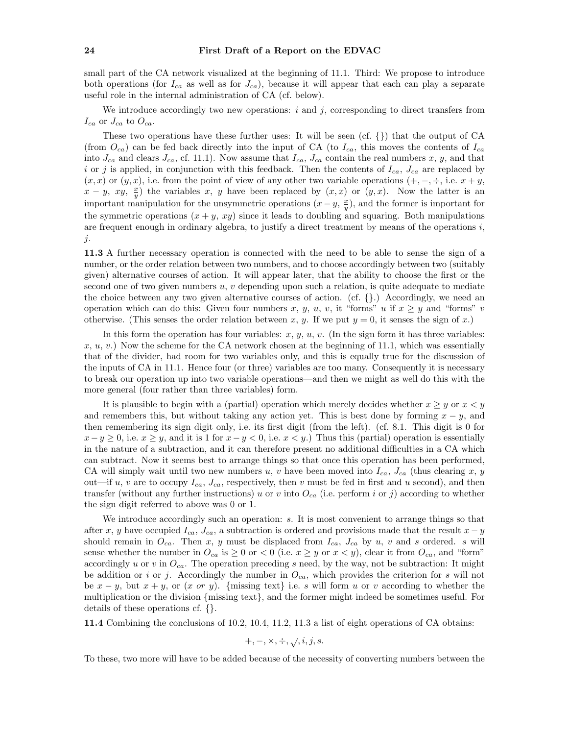small part of the CA network visualized at the beginning of 11.1. Third: We propose to introduce both operations (for  $I_{ca}$  as well as for  $J_{ca}$ ), because it will appear that each can play a separate useful role in the internal administration of CA (cf. below).

We introduce accordingly two new operations:  $i$  and  $j$ , corresponding to direct transfers from  $I_{ca}$  or  $J_{ca}$  to  $O_{ca}$ .

These two operations have these further uses: It will be seen (cf.  $\{\}\$ ) that the output of CA (from  $O_{ca}$ ) can be fed back directly into the input of CA (to  $I_{ca}$ , this moves the contents of  $I_{ca}$ into  $J_{ca}$  and clears  $J_{ca}$ , cf. 11.1). Now assume that  $I_{ca}$ ,  $J_{ca}$  contain the real numbers x, y, and that i or j is applied, in conjunction with this feedback. Then the contents of  $I_{ca}$ ,  $J_{ca}$  are replaced by  $(x, x)$  or  $(y, x)$ , i.e. from the point of view of any other two variable operations  $(+, -, \div, i.e. x + y, ...)$  $(x - y, xy, \frac{x}{y})$  the variables x, y have been replaced by  $(x, x)$  or  $(y, x)$ . Now the latter is an important manipulation for the unsymmetric operations  $(x - y, \frac{x}{y})$ , and the former is important for the symmetric operations  $(x + y, xy)$  since it leads to doubling and squaring. Both manipulations are frequent enough in ordinary algebra, to justify a direct treatment by means of the operations  $i$ , j.

<span id="page-29-0"></span>11.3 A further necessary operation is connected with the need to be able to sense the sign of a number, or the order relation between two numbers, and to choose accordingly between two (suitably given) alternative courses of action. It will appear later, that the ability to choose the first or the second one of two given numbers  $u, v$  depending upon such a relation, is quite adequate to mediate the choice between any two given alternative courses of action. (cf.  $\{\}\$ .) Accordingly, we need an operation which can do this: Given four numbers x, y, u, v, it "forms" u if  $x \geq y$  and "forms" v otherwise. (This senses the order relation between x, y. If we put  $y = 0$ , it senses the sign of x.)

In this form the operation has four variables:  $x, y, u, v$ . (In the sign form it has three variables:  $x, u, v$ .) Now the scheme for the CA network chosen at the beginning of 11.1, which was essentially that of the divider, had room for two variables only, and this is equally true for the discussion of the inputs of CA in 11.1. Hence four (or three) variables are too many. Consequently it is necessary to break our operation up into two variable operations—and then we might as well do this with the more general (four rather than three variables) form.

It is plausible to begin with a (partial) operation which merely decides whether  $x \geq y$  or  $x < y$ and remembers this, but without taking any action yet. This is best done by forming  $x - y$ , and then remembering its sign digit only, i.e. its first digit (from the left). (cf. 8.1. This digit is 0 for  $x - y \ge 0$ , i.e.  $x \ge y$ , and it is 1 for  $x - y < 0$ , i.e.  $x < y$ .) Thus this (partial) operation is essentially in the nature of a subtraction, and it can therefore present no additional difficulties in a CA which can subtract. Now it seems best to arrange things so that once this operation has been performed, CA will simply wait until two new numbers u, v have been moved into  $I_{ca}$ ,  $J_{ca}$  (thus clearing x, y out—if u, v are to occupy  $I_{ca}$ ,  $J_{ca}$ , respectively, then v must be fed in first and u second), and then transfer (without any further instructions) u or v into  $O_{ca}$  (i.e. perform i or j) according to whether the sign digit referred to above was 0 or 1.

We introduce accordingly such an operation: s. It is most convenient to arrange things so that after x, y have occupied  $I_{ca}$ ,  $J_{ca}$ , a subtraction is ordered and provisions made that the result  $x - y$ should remain in  $O_{ca}$ . Then x, y must be displaced from  $I_{ca}$ ,  $J_{ca}$  by u, v and s ordered. s will sense whether the number in  $O_{ca}$  is  $\geq 0$  or  $\lt 0$  (i.e.  $x \geq y$  or  $x \lt y$ ), clear it from  $O_{ca}$ , and "form" accordingly u or v in  $O_{ca}$ . The operation preceding s need, by the way, not be subtraction: It might be addition or i or j. Accordingly the number in  $O_{ca}$ , which provides the criterion for s will not be  $x - y$ , but  $x + y$ , or  $(x \text{ or } y)$ . {missing text} i.e. s will form u or v according to whether the multiplication or the division {missing text}, and the former might indeed be sometimes useful. For details of these operations cf. {}.

<span id="page-29-1"></span>11.4 Combining the conclusions of 10.2, 10.4, 11.2, 11.3 a list of eight operations of CA obtains:

$$
+,-,\times,\div,\sqrt{,}i,j,s.
$$

To these, two more will have to be added because of the necessity of converting numbers between the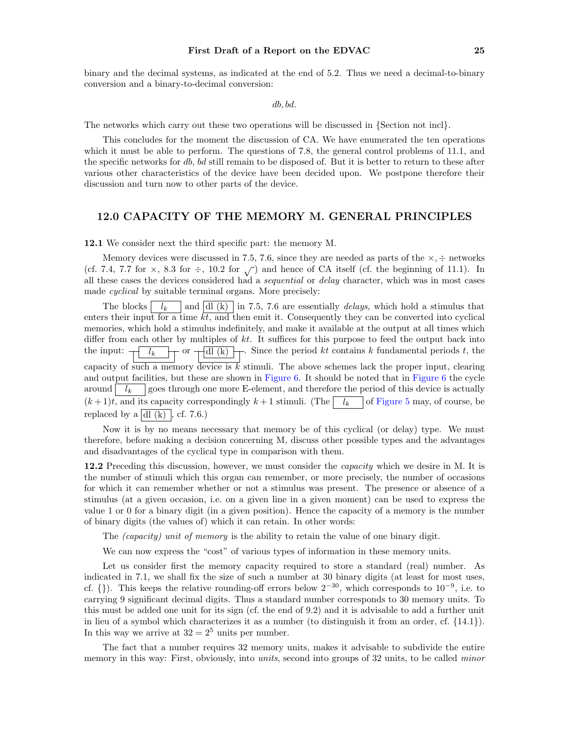binary and the decimal systems, as indicated at the end of 5.2. Thus we need a decimal-to-binary conversion and a binary-to-decimal conversion:

#### $db, bd.$

The networks which carry out these two operations will be discussed in {Section not incl}.

This concludes for the moment the discussion of CA. We have enumerated the ten operations which it must be able to perform. The questions of 7.8, the general control problems of 11.1, and the specific networks for db, bd still remain to be disposed of. But it is better to return to these after various other characteristics of the device have been decided upon. We postpone therefore their discussion and turn now to other parts of the device.

#### <span id="page-30-0"></span>12.0 CAPACITY OF THE MEMORY M. GENERAL PRINCIPLES

<span id="page-30-1"></span>12.1 We consider next the third specific part: the memory M.

Memory devices were discussed in 7.5, 7.6, since they are needed as parts of the  $\times, \div$  networks (cf. 7.4, 7.7 for  $\times$ , 8.3 for  $\div$ , 10.2 for  $\sqrt{\ }$ ) and hence of CA itself (cf. the beginning of 11.1). In all these cases the devices considered had a sequential or delay character, which was in most cases made cyclical by suitable terminal organs. More precisely:

The blocks  $\boxed{l_k}$  and  $\boxed{\mathrm{dl}(\mathrm{k})}$  in 7.5, 7.6 are essentially *delays*, which hold a stimulus that enters their input for a time  $kt$ , and then emit it. Consequently they can be converted into cyclical memories, which hold a stimulus indefinitely, and make it available at the output at all times which differ from each other by multiples of  $kt$ . It suffices for this purpose to feed the output back into the input:  $\frac{1}{k}$  or  $\frac{1}{\vert \mathbf{d} \vert}$  (k)  $\frac{1}{\vert \mathbf{d} \vert}$ . Since the period kt contains k fundamental periods t, the capacity of such a memory device is  $k$  stimuli. The above schemes lack the proper input, clearing and output facilities, but these are shown in [Figure 6.](#page-18-2) It should be noted that in [Figure 6](#page-18-2) the cycle around  $\sqrt{a_k}$  goes through one more E-element, and therefore the period of this device is actually  $(k+1)t$ , and its capacity correspondingly  $k+1$  stimuli. (The  $\lceil k \rceil$  of [Figure 5](#page-17-2) may, of course, be replaced by a  $|dl (k)$ , cf. 7.6.)

Now it is by no means necessary that memory be of this cyclical (or delay) type. We must therefore, before making a decision concerning M, discuss other possible types and the advantages and disadvantages of the cyclical type in comparison with them.

<span id="page-30-2"></span>12.2 Preceding this discussion, however, we must consider the capacity which we desire in M. It is the number of stimuli which this organ can remember, or more precisely, the number of occasions for which it can remember whether or not a stimulus was present. The presence or absence of a stimulus (at a given occasion, i.e. on a given line in a given moment) can be used to express the value 1 or 0 for a binary digit (in a given position). Hence the capacity of a memory is the number of binary digits (the values of) which it can retain. In other words:

The (capacity) unit of memory is the ability to retain the value of one binary digit.

We can now express the "cost" of various types of information in these memory units.

Let us consider first the memory capacity required to store a standard (real) number. As indicated in 7.1, we shall fix the size of such a number at 30 binary digits (at least for most uses, cf.  $\{\}\$ ). This keeps the relative rounding-off errors below  $2^{-30}$ , which corresponds to  $10^{-9}$ , i.e. to carrying 9 significant decimal digits. Thus a standard number corresponds to 30 memory units. To this must be added one unit for its sign (cf. the end of 9.2) and it is advisable to add a further unit in lieu of a symbol which characterizes it as a number (to distinguish it from an order, cf. {14.1}). In this way we arrive at  $32 = 2^5$  units per number.

The fact that a number requires 32 memory units, makes it advisable to subdivide the entire memory in this way: First, obviously, into *units*, second into groups of 32 units, to be called *minor*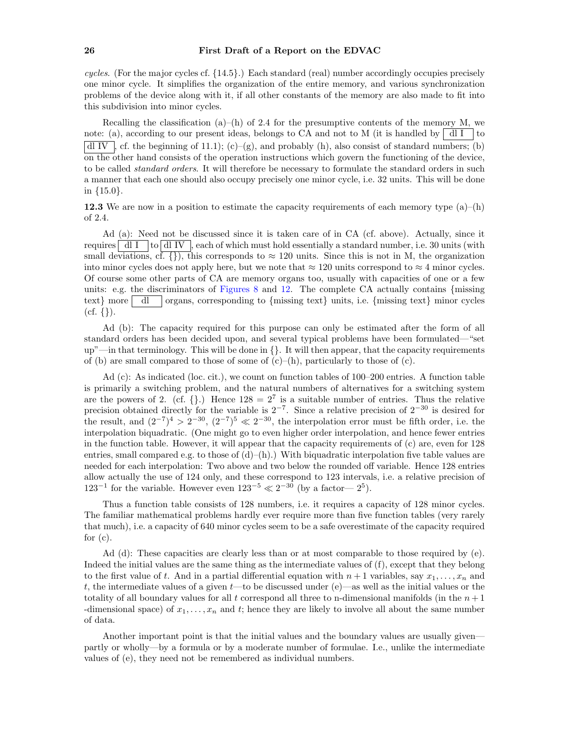cycles. (For the major cycles cf.  $\{14.5\}$ .) Each standard (real) number accordingly occupies precisely one minor cycle. It simplifies the organization of the entire memory, and various synchronization problems of the device along with it, if all other constants of the memory are also made to fit into this subdivision into minor cycles.

Recalling the classification (a)–(h) of 2.4 for the presumptive contents of the memory M, we note: (a), according to our present ideas, belongs to CA and not to M (it is handled by  $\|$  dl I  $\|$  to dl IV, cf. the beginning of 11.1); (c)–(g), and probably (h), also consist of standard numbers; (b) on the other hand consists of the operation instructions which govern the functioning of the device, to be called *standard orders*. It will therefore be necessary to formulate the standard orders in such a manner that each one should also occupy precisely one minor cycle, i.e. 32 units. This will be done in {15.0}.

<span id="page-31-0"></span>12.3 We are now in a position to estimate the capacity requirements of each memory type  $(a)$ – $(h)$ of 2.4.

Ad (a): Need not be discussed since it is taken care of in CA (cf. above). Actually, since it requires  $\boxed{\mathrm{d} \hspace{0.05cm} I}$  to  $\boxed{\mathrm{d} \hspace{0.05cm} IV}$ , each of which must hold essentially a standard number, i.e. 30 units (with small deviations, cf. {}), this corresponds to  $\approx 120$  units. Since this is not in M, the organization into minor cycles does not apply here, but we note that  $\approx 120$  units correspond to  $\approx 4$  minor cycles. Of course some other parts of CA are memory organs too, usually with capacities of one or a few units: e.g. the discriminators of [Figures 8](#page-19-1) and [12.](#page-21-2) The complete CA actually contains  $\{$ missing text} more dl organs, corresponding to  $\{$ missing text} units, i.e.  $\{$ missing text} minor cycles  $(cf. \{\})$ .

Ad (b): The capacity required for this purpose can only be estimated after the form of all standard orders has been decided upon, and several typical problems have been formulated—"set up"—in that terminology. This will be done in  $\{\}$ . It will then appear, that the capacity requirements of (b) are small compared to those of some of  $(c)$ –(h), particularly to those of  $(c)$ .

Ad (c): As indicated (loc. cit.), we count on function tables of 100–200 entries. A function table is primarily a switching problem, and the natural numbers of alternatives for a switching system are the powers of 2. (cf. {}.) Hence  $128 = 2^7$  is a suitable number of entries. Thus the relative precision obtained directly for the variable is  $2^{-7}$ . Since a relative precision of  $2^{-30}$  is desired for the result, and  $(2^{-7})^4 > 2^{-30}$ ,  $(2^{-7})^5 \ll 2^{-30}$ , the interpolation error must be fifth order, i.e. the interpolation biquadratic. (One might go to even higher order interpolation, and hence fewer entries in the function table. However, it will appear that the capacity requirements of (c) are, even for 128 entries, small compared e.g. to those of  $(d)$ –(h).) With biquadratic interpolation five table values are needed for each interpolation: Two above and two below the rounded off variable. Hence 128 entries allow actually the use of 124 only, and these correspond to 123 intervals, i.e. a relative precision of 123<sup>-1</sup> for the variable. However even  $123^{-5} \ll 2^{-30}$  (by a factor— $2^5$ ).

Thus a function table consists of 128 numbers, i.e. it requires a capacity of 128 minor cycles. The familiar mathematical problems hardly ever require more than five function tables (very rarely that much), i.e. a capacity of 640 minor cycles seem to be a safe overestimate of the capacity required for  $(c)$ .

Ad (d): These capacities are clearly less than or at most comparable to those required by (e). Indeed the initial values are the same thing as the intermediate values of (f), except that they belong to the first value of t. And in a partial differential equation with  $n + 1$  variables, say  $x_1, \ldots, x_n$  and t, the intermediate values of a given  $t$ —to be discussed under (e)—as well as the initial values or the totality of all boundary values for all t correspond all three to n-dimensional manifolds (in the  $n+1$ -dimensional space) of  $x_1, \ldots, x_n$  and t; hence they are likely to involve all about the same number of data.

Another important point is that the initial values and the boundary values are usually given partly or wholly—by a formula or by a moderate number of formulae. I.e., unlike the intermediate values of (e), they need not be remembered as individual numbers.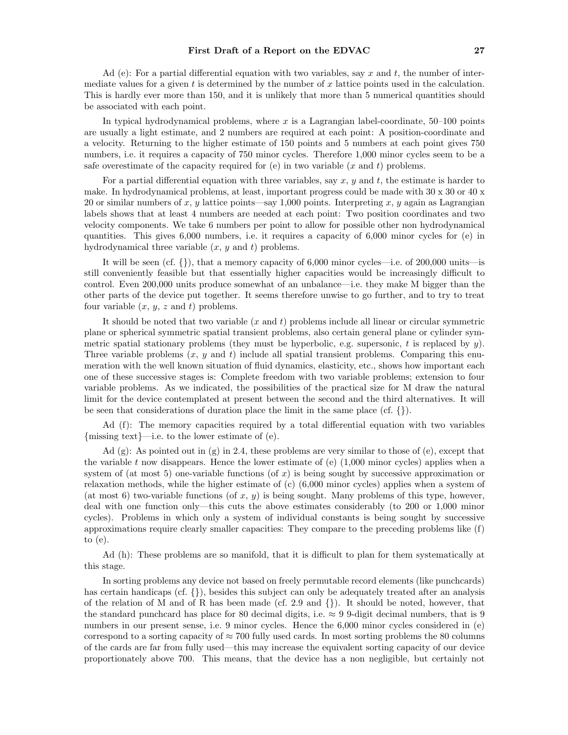Ad (e): For a partial differential equation with two variables, say x and t, the number of intermediate values for a given  $t$  is determined by the number of  $x$  lattice points used in the calculation. This is hardly ever more than 150, and it is unlikely that more than 5 numerical quantities should be associated with each point.

In typical hydrodynamical problems, where  $x$  is a Lagrangian label-coordinate, 50–100 points are usually a light estimate, and 2 numbers are required at each point: A position-coordinate and a velocity. Returning to the higher estimate of 150 points and 5 numbers at each point gives 750 numbers, i.e. it requires a capacity of 750 minor cycles. Therefore 1,000 minor cycles seem to be a safe overestimate of the capacity required for (e) in two variable  $(x \text{ and } t)$  problems.

For a partial differential equation with three variables, say  $x, y$  and  $t$ , the estimate is harder to make. In hydrodynamical problems, at least, important progress could be made with 30 x 30 or 40 x 20 or similar numbers of x, y lattice points—say 1,000 points. Interpreting x, y again as Lagrangian labels shows that at least 4 numbers are needed at each point: Two position coordinates and two velocity components. We take 6 numbers per point to allow for possible other non hydrodynamical quantities. This gives 6,000 numbers, i.e. it requires a capacity of 6,000 minor cycles for (e) in hydrodynamical three variable  $(x, y, y)$  problems.

It will be seen (cf.  $\{\}\right)$ , that a memory capacity of 6,000 minor cycles—i.e. of 200,000 units—is still conveniently feasible but that essentially higher capacities would be increasingly difficult to control. Even 200,000 units produce somewhat of an unbalance—i.e. they make M bigger than the other parts of the device put together. It seems therefore unwise to go further, and to try to treat four variable  $(x, y, z \text{ and } t)$  problems.

It should be noted that two variable  $(x \text{ and } t)$  problems include all linear or circular symmetric plane or spherical symmetric spatial transient problems, also certain general plane or cylinder symmetric spatial stationary problems (they must be hyperbolic, e.g. supersonic, t is replaced by  $y$ ). Three variable problems  $(x, y, y)$  and t) include all spatial transient problems. Comparing this enumeration with the well known situation of fluid dynamics, elasticity, etc., shows how important each one of these successive stages is: Complete freedom with two variable problems; extension to four variable problems. As we indicated, the possibilities of the practical size for M draw the natural limit for the device contemplated at present between the second and the third alternatives. It will be seen that considerations of duration place the limit in the same place (cf.  $\{\}\$ ).

Ad (f): The memory capacities required by a total differential equation with two variables {missing text}—i.e. to the lower estimate of (e).

Ad  $(g)$ : As pointed out in  $(g)$  in 2.4, these problems are very similar to those of  $(e)$ , except that the variable t now disappears. Hence the lower estimate of (e) (1,000 minor cycles) applies when a system of (at most 5) one-variable functions (of x) is being sought by successive approximation or relaxation methods, while the higher estimate of (c) (6,000 minor cycles) applies when a system of (at most 6) two-variable functions (of x, y) is being sought. Many problems of this type, however, deal with one function only—this cuts the above estimates considerably (to 200 or 1,000 minor cycles). Problems in which only a system of individual constants is being sought by successive approximations require clearly smaller capacities: They compare to the preceding problems like (f) to (e).

Ad (h): These problems are so manifold, that it is difficult to plan for them systematically at this stage.

In sorting problems any device not based on freely permutable record elements (like punchcards) has certain handicaps (cf.  $\{\}$ ), besides this subject can only be adequately treated after an analysis of the relation of M and of R has been made (cf. 2.9 and  $\{\}\$ ). It should be noted, however, that the standard punchcard has place for 80 decimal digits, i.e.  $\approx 9$  9-digit decimal numbers, that is 9 numbers in our present sense, i.e. 9 minor cycles. Hence the 6,000 minor cycles considered in (e) correspond to a sorting capacity of  $\approx 700$  fully used cards. In most sorting problems the 80 columns of the cards are far from fully used—this may increase the equivalent sorting capacity of our device proportionately above 700. This means, that the device has a non negligible, but certainly not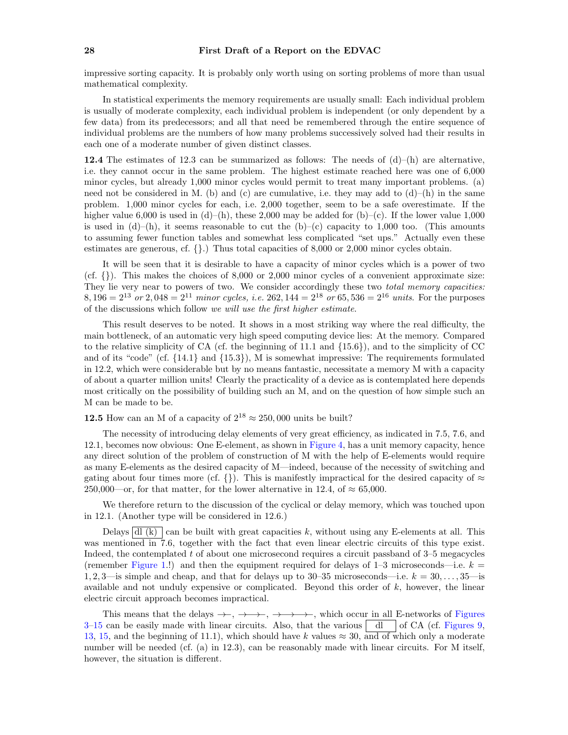impressive sorting capacity. It is probably only worth using on sorting problems of more than usual mathematical complexity.

In statistical experiments the memory requirements are usually small: Each individual problem is usually of moderate complexity, each individual problem is independent (or only dependent by a few data) from its predecessors; and all that need be remembered through the entire sequence of individual problems are the numbers of how many problems successively solved had their results in each one of a moderate number of given distinct classes.

<span id="page-33-0"></span>**12.4** The estimates of 12.3 can be summarized as follows: The needs of  $(d)$ –(h) are alternative, i.e. they cannot occur in the same problem. The highest estimate reached here was one of 6,000 minor cycles, but already 1,000 minor cycles would permit to treat many important problems. (a) need not be considered in M. (b) and (c) are cumulative, i.e. they may add to  $(d)$ –(h) in the same problem. 1,000 minor cycles for each, i.e. 2,000 together, seem to be a safe overestimate. If the higher value 6,000 is used in (d)–(h), these 2,000 may be added for (b)–(c). If the lower value 1,000 is used in  $(d)$ –(h), it seems reasonable to cut the (b)–(c) capacity to 1,000 too. (This amounts to assuming fewer function tables and somewhat less complicated "set ups." Actually even these estimates are generous, cf. {}.) Thus total capacities of 8,000 or 2,000 minor cycles obtain.

It will be seen that it is desirable to have a capacity of minor cycles which is a power of two (cf.  $\{\}\$ ). This makes the choices of 8,000 or 2,000 minor cycles of a convenient approximate size: They lie very near to powers of two. We consider accordingly these two *total memory capacities:*  $8,196 = 2^{13}$  or  $2,048 = 2^{11}$  minor cycles, i.e. 262, 144 =  $2^{18}$  or 65, 536 =  $2^{16}$  units. For the purposes of the discussions which follow we will use the first higher estimate.

This result deserves to be noted. It shows in a most striking way where the real difficulty, the main bottleneck, of an automatic very high speed computing device lies: At the memory. Compared to the relative simplicity of CA (cf. the beginning of 11.1 and  $\{15.6\}$ ), and to the simplicity of CC and of its "code" (cf.  $\{14.1\}$  and  $\{15.3\}$ ), M is somewhat impressive: The requirements formulated in 12.2, which were considerable but by no means fantastic, necessitate a memory M with a capacity of about a quarter million units! Clearly the practicality of a device as is contemplated here depends most critically on the possibility of building such an M, and on the question of how simple such an M can be made to be.

<span id="page-33-1"></span>12.5 How can an M of a capacity of  $2^{18} \approx 250,000$  units be built?

The necessity of introducing delay elements of very great efficiency, as indicated in 7.5, 7.6, and 12.1, becomes now obvious: One E-element, as shown in [Figure 4](#page-17-1), has a unit memory capacity, hence any direct solution of the problem of construction of M with the help of E-elements would require as many E-elements as the desired capacity of M—indeed, because of the necessity of switching and gating about four times more (cf. {}). This is manifestly impractical for the desired capacity of  $\approx$ 250,000—or, for that matter, for the lower alternative in 12.4, of  $\approx 65,000$ .

We therefore return to the discussion of the cyclical or delay memory, which was touched upon in 12.1. (Another type will be considered in 12.6.)

Delays  $\boxed{\mathrm{d}(k)}$  can be built with great capacities k, without using any E-elements at all. This was mentioned in 7.6, together with the fact that even linear electric circuits of this type exist. Indeed, the contemplated t of about one microsecond requires a circuit passband of 3–5 megacycles (remember [Figure 1.](#page-15-2)!) and then the equipment required for delays of  $1-3$  microseconds—i.e.  $k =$ 1, 2, 3—is simple and cheap, and that for delays up to 30–35 microseconds—i.e.  $k = 30, \ldots, 35$ —is available and not unduly expensive or complicated. Beyond this order of k, however, the linear electric circuit approach becomes impractical.

This means that the delays  $\rightarrow$ ,  $\rightarrow$   $\rightarrow$ ,  $\rightarrow$   $\rightarrow$ , which occur in all E-networks of [Figures](#page-16-5)  $3-15$  $3-15$  can be easily made with linear circuits. Also, that the various dl  $\parallel$  of CA (cf. [Figures 9,](#page-19-2) [13,](#page-22-1) [15,](#page-25-1) and the beginning of 11.1), which should have k values  $\approx 30$ , and of which only a moderate number will be needed (cf. (a) in 12.3), can be reasonably made with linear circuits. For M itself, however, the situation is different.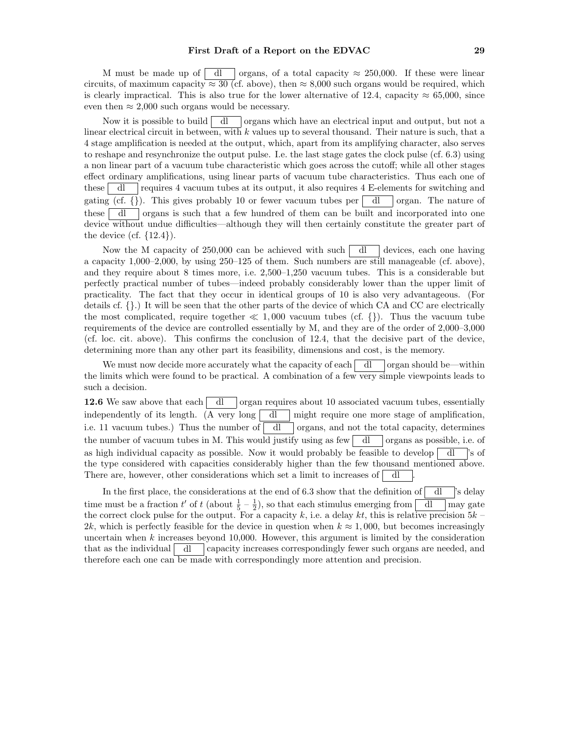M must be made up of dl organs, of a total capacity  $\approx 250,000$ . If these were linear circuits, of maximum capacity  $\approx 30$  (cf. above), then  $\approx 8,000$  such organs would be required, which is clearly impractical. This is also true for the lower alternative of 12.4, capacity  $\approx 65,000$ , since even then  $\approx 2,000$  such organs would be necessary.

Now it is possible to build  $\boxed{d}$  organs which have an electrical input and output, but not a linear electrical circuit in between, with k values up to several thousand. Their nature is such, that a 4 stage amplification is needed at the output, which, apart from its amplifying character, also serves to reshape and resynchronize the output pulse. I.e. the last stage gates the clock pulse (cf. 6.3) using a non linear part of a vacuum tube characteristic which goes across the cutoff; while all other stages effect ordinary amplifications, using linear parts of vacuum tube characteristics. Thus each one of these  $\ddot{\rm d}$  requires 4 vacuum tubes at its output, it also requires 4 E-elements for switching and gating (cf.  $\{\}\)$ ). This gives probably 10 or fewer vacuum tubes per dl organ. The nature of these  $\text{d}$  dl organs is such that a few hundred of them can be built and incorporated into one device without undue difficulties—although they will then certainly constitute the greater part of the device (cf.  $\{12.4\}$ ).

Now the M capacity of 250,000 can be achieved with such  $\vert$  dl  $\vert$  devices, each one having a capacity 1,000–2,000, by using 250–125 of them. Such numbers are still manageable (cf. above), and they require about 8 times more, i.e. 2,500–1,250 vacuum tubes. This is a considerable but perfectly practical number of tubes—indeed probably considerably lower than the upper limit of practicality. The fact that they occur in identical groups of 10 is also very advantageous. (For details cf. {}.) It will be seen that the other parts of the device of which CA and CC are electrically the most complicated, require together  $\ll 1,000$  vacuum tubes (cf. {}). Thus the vacuum tube requirements of the device are controlled essentially by M, and they are of the order of 2,000–3,000 (cf. loc. cit. above). This confirms the conclusion of 12.4, that the decisive part of the device, determining more than any other part its feasibility, dimensions and cost, is the memory.

We must now decide more accurately what the capacity of each dl  $\alpha$  organ should be—within the limits which were found to be practical. A combination of a few very simple viewpoints leads to such a decision.

<span id="page-34-0"></span>12.6 We saw above that each dl organ requires about 10 associated vacuum tubes, essentially independently of its length. (A very long dl might require one more stage of amplification, i.e. 11 vacuum tubes.) Thus the number of  $\boxed{dl}$  organs, and not the total capacity, determines the number of vacuum tubes in M. This would justify using as few  $\vert$  dl  $\vert$  organs as possible, i.e. of as high individual capacity as possible. Now it would probably be feasible to develop  $\begin{bmatrix} d \\ d \end{bmatrix}$  's of the type considered with capacities considerably higher than the few thousand mentioned above. There are, however, other considerations which set a limit to increases of  $\vert$  dl

In the first place, the considerations at the end of 6.3 show that the definition of dl  $\beta$  s delay time must be a fraction  $t'$  of  $t$  (about  $\frac{1}{5} - \frac{1}{2}$ ), so that each stimulus emerging from  $\boxed{dl}$  may gate the correct clock pulse for the output. For a capacity k, i.e. a delay kt, this is relative precision  $5k$ 2k, which is perfectly feasible for the device in question when  $k \approx 1,000$ , but becomes increasingly uncertain when  $k$  increases beyond 10,000. However, this argument is limited by the consideration that as the individual dl capacity increases correspondingly fewer such organs are needed, and therefore each one can be made with correspondingly more attention and precision.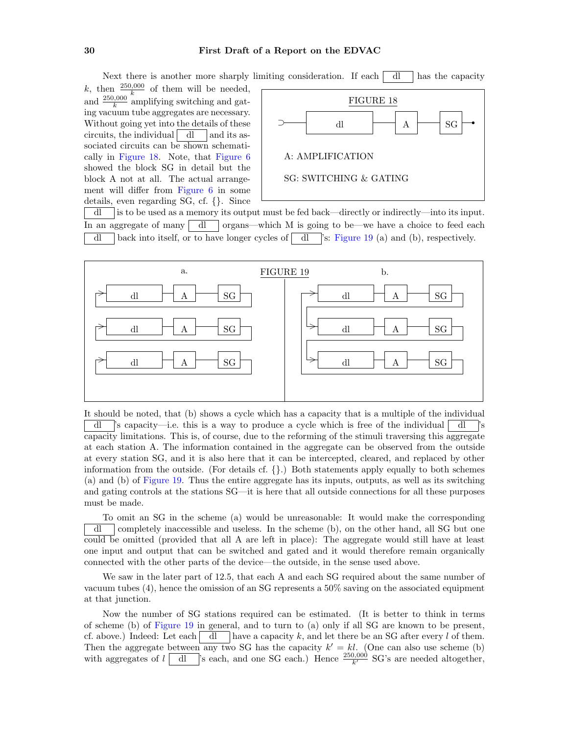<span id="page-35-0"></span>Next there is another more sharply limiting consideration. If each  $\vert$  dl  $\vert$  has the capacity k, then  $\frac{250,000}{k}$  of them will be needed, and  $\frac{250,000}{k}$  amplifying switching and gating vacuum tube aggregates are necessary. Without going yet into the details of these circuits, the individual dl  $\alpha$  and its associated circuits can be shown schematically in [Figure 18.](#page-35-0) Note, that [Figure 6](#page-18-2) showed the block SG in detail but the block A not at all. The actual arrangement will differ from [Figure 6](#page-18-2) in some details, even regarding SG, cf. {}. Since



dl is to be used as a memory its output must be fed back—directly or indirectly—into its input. In an aggregate of many  $\vert$  dl  $\vert$  organs—which M is going to be—we have a choice to feed each dl back into itself, or to have longer cycles of dl  $\vert$ s: [Figure 19](#page-35-1) (a) and (b), respectively.

<span id="page-35-1"></span>

It should be noted, that (b) shows a cycle which has a capacity that is a multiple of the individual dl 's capacity—i.e. this is a way to produce a cycle which is free of the individual  $\vert$  dl 's capacity limitations. This is, of course, due to the reforming of the stimuli traversing this aggregate at each station A. The information contained in the aggregate can be observed from the outside at every station SG, and it is also here that it can be intercepted, cleared, and replaced by other information from the outside. (For details cf.  $\{\}$ .) Both statements apply equally to both schemes (a) and (b) of [Figure 19.](#page-35-1) Thus the entire aggregate has its inputs, outputs, as well as its switching and gating controls at the stations SG—it is here that all outside connections for all these purposes must be made.

To omit an SG in the scheme (a) would be unreasonable: It would make the corresponding dl completely inaccessible and useless. In the scheme (b), on the other hand, all SG but one could be omitted (provided that all A are left in place): The aggregate would still have at least one input and output that can be switched and gated and it would therefore remain organically connected with the other parts of the device—the outside, in the sense used above.

We saw in the later part of 12.5, that each A and each SG required about the same number of vacuum tubes (4), hence the omission of an SG represents a 50% saving on the associated equipment at that junction.

Now the number of SG stations required can be estimated. (It is better to think in terms of scheme (b) of [Figure 19](#page-35-1) in general, and to turn to (a) only if all SG are known to be present, cf. above.) Indeed: Let each dl have a capacity k, and let there be an SG after every l of them. Then the aggregate between any two SG has the capacity  $k' = kl$ . (One can also use scheme (b) with aggregates of  $l$   $\boxed{dl}$  's each, and one SG each.) Hence  $\frac{250,000}{k'}$  SG's are needed altogether,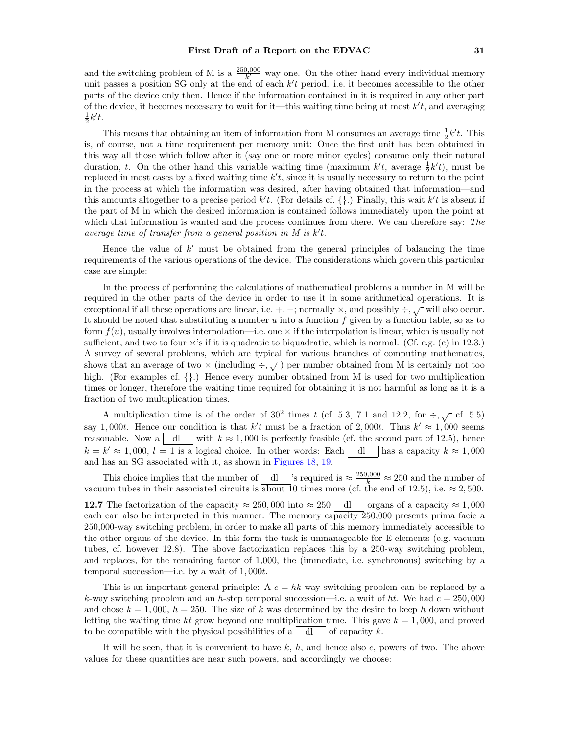and the switching problem of M is a  $\frac{250,000}{k'}$  way one. On the other hand every individual memory unit passes a position SG only at the end of each  $k't$  period. i.e. it becomes accessible to the other parts of the device only then. Hence if the information contained in it is required in any other part of the device, it becomes necessary to wait for it—this waiting time being at most  $k't$ , and averaging  $\frac{1}{2}k't$ .

This means that obtaining an item of information from M consumes an average time  $\frac{1}{2}k't$ . This is, of course, not a time requirement per memory unit: Once the first unit has been obtained in this way all those which follow after it (say one or more minor cycles) consume only their natural duration, t. On the other hand this variable waiting time (maximum  $k't$ , average  $\frac{1}{2}k't$ ), must be replaced in most cases by a fixed waiting time  $k't$ , since it is usually necessary to return to the point in the process at which the information was desired, after having obtained that information—and this amounts altogether to a precise period  $k't$ . (For details cf. {}.) Finally, this wait  $k't$  is absent if the part of M in which the desired information is contained follows immediately upon the point at which that information is wanted and the process continues from there. We can therefore say: The average time of transfer from a general position in  $M$  is  $k't$ .

Hence the value of  $k'$  must be obtained from the general principles of balancing the time requirements of the various operations of the device. The considerations which govern this particular case are simple:

In the process of performing the calculations of mathematical problems a number in M will be required in the other parts of the device in order to use it in some arithmetical operations. It is exceptional if all these operations are linear, i.e.  $+$ ,  $-$ ; normally  $\times$ , and possibly  $\div$ ,  $\sqrt{\ }$  will also occur. It should be noted that substituting a number  $u$  into a function  $f$  given by a function table, so as to form  $f(u)$ , usually involves interpolation—i.e. one  $\times$  if the interpolation is linear, which is usually not sufficient, and two to four  $\times$ 's if it is quadratic to biquadratic, which is normal. (Cf. e.g. (c) in 12.3.) A survey of several problems, which are typical for various branches of computing mathematics, shows that an average of two  $\times$  (including  $\div$ ,  $\sqrt{\ }$ ) per number obtained from M is certainly not too high. (For examples cf.  $\{\}$ .) Hence every number obtained from M is used for two multiplication times or longer, therefore the waiting time required for obtaining it is not harmful as long as it is a fraction of two multiplication times.

A multiplication time is of the order of  $30^2$  times t (cf. 5.3, 7.1 and 12.2, for  $\div, \sqrt{\ }$  cf. 5.5) say 1,000t. Hence our condition is that  $k't$  must be a fraction of 2,000t. Thus  $k' \approx 1,000$  seems reasonable. Now a dl with  $k \approx 1,000$  is perfectly feasible (cf. the second part of 12.5), hence  $k = k' \approx 1,000, l = 1$  is a logical choice. In other words: Each dl has a capacity  $k \approx 1,000$ and has an SG associated with it, as shown in [Figures 18,](#page-35-0) [19.](#page-35-1)

This choice implies that the number of  $\boxed{d\Gamma}$  's required is  $\approx \frac{250,000}{k} \approx 250$  and the number of vacuum tubes in their associated circuits is about 10 times more (cf. the end of 12.5), i.e.  $\approx 2,500$ .

<span id="page-36-0"></span>12.7 The factorization of the capacity  $\approx 250,000$  into  $\approx 250$  dl organs of a capacity  $\approx 1,000$ each can also be interpreted in this manner: The memory capacity 250,000 presents prima facie a 250,000-way switching problem, in order to make all parts of this memory immediately accessible to the other organs of the device. In this form the task is unmanageable for E-elements (e.g. vacuum tubes, cf. however 12.8). The above factorization replaces this by a 250-way switching problem, and replaces, for the remaining factor of 1,000, the (immediate, i.e. synchronous) switching by a temporal succession—i.e. by a wait of 1, 000t.

This is an important general principle: A  $c = hk$ -way switching problem can be replaced by a k-way switching problem and an h-step temporal succession—i.e. a wait of ht. We had  $c = 250,000$ and chose  $k = 1,000$ ,  $h = 250$ . The size of k was determined by the desire to keep h down without letting the waiting time kt grow beyond one multiplication time. This gave  $k = 1,000$ , and proved to be compatible with the physical possibilities of a dl  $\Box$  of capacity k.

It will be seen, that it is convenient to have  $k, h$ , and hence also c, powers of two. The above values for these quantities are near such powers, and accordingly we choose: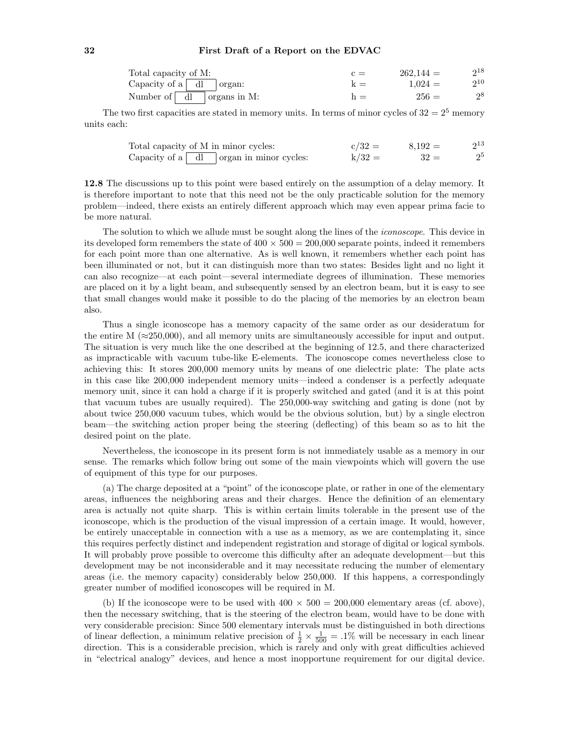| Total capacity of M:                      | $c =$ | $262.144 =$ | $2^{18}$ |
|-------------------------------------------|-------|-------------|----------|
| Capacity of a $\Box$ organ:               | $k =$ | $1.024 =$   | $2^{10}$ |
| Number of $\vert$ dl $\vert$ organs in M: | $h =$ | $256 =$     | $2^8$    |

The two first capacities are stated in memory units. In terms of minor cycles of  $32 = 2^5$  memory units each:

|  | Total capacity of M in minor cycles:                    | $c/32 =$ | $8.192 =$ | $2^{13}$ |
|--|---------------------------------------------------------|----------|-----------|----------|
|  | Capacity of a $\vert$ dl $\vert$ organ in minor cycles: | $k/32 =$ | $32 =$    | 25       |

<span id="page-37-0"></span>12.8 The discussions up to this point were based entirely on the assumption of a delay memory. It is therefore important to note that this need not be the only practicable solution for the memory problem—indeed, there exists an entirely different approach which may even appear prima facie to be more natural.

The solution to which we allude must be sought along the lines of the *iconoscope*. This device in its developed form remembers the state of  $400 \times 500 = 200{,}000$  separate points, indeed it remembers for each point more than one alternative. As is well known, it remembers whether each point has been illuminated or not, but it can distinguish more than two states: Besides light and no light it can also recognize—at each point—several intermediate degrees of illumination. These memories are placed on it by a light beam, and subsequently sensed by an electron beam, but it is easy to see that small changes would make it possible to do the placing of the memories by an electron beam also.

Thus a single iconoscope has a memory capacity of the same order as our desideratum for the entire M  $(\approx 250,000)$ , and all memory units are simultaneously accessible for input and output. The situation is very much like the one described at the beginning of 12.5, and there characterized as impracticable with vacuum tube-like E-elements. The iconoscope comes nevertheless close to achieving this: It stores 200,000 memory units by means of one dielectric plate: The plate acts in this case like 200,000 independent memory units—indeed a condenser is a perfectly adequate memory unit, since it can hold a charge if it is properly switched and gated (and it is at this point that vacuum tubes are usually required). The 250,000-way switching and gating is done (not by about twice 250,000 vacuum tubes, which would be the obvious solution, but) by a single electron beam—the switching action proper being the steering (deflecting) of this beam so as to hit the desired point on the plate.

Nevertheless, the iconoscope in its present form is not immediately usable as a memory in our sense. The remarks which follow bring out some of the main viewpoints which will govern the use of equipment of this type for our purposes.

(a) The charge deposited at a "point" of the iconoscope plate, or rather in one of the elementary areas, influences the neighboring areas and their charges. Hence the definition of an elementary area is actually not quite sharp. This is within certain limits tolerable in the present use of the iconoscope, which is the production of the visual impression of a certain image. It would, however, be entirely unacceptable in connection with a use as a memory, as we are contemplating it, since this requires perfectly distinct and independent registration and storage of digital or logical symbols. It will probably prove possible to overcome this difficulty after an adequate development—but this development may be not inconsiderable and it may necessitate reducing the number of elementary areas (i.e. the memory capacity) considerably below 250,000. If this happens, a correspondingly greater number of modified iconoscopes will be required in M.

(b) If the iconoscope were to be used with  $400 \times 500 = 200,000$  elementary areas (cf. above), then the necessary switching, that is the steering of the electron beam, would have to be done with very considerable precision: Since 500 elementary intervals must be distinguished in both directions of linear deflection, a minimum relative precision of  $\frac{1}{2} \times \frac{1}{500} = .1\%$  will be necessary in each linear direction. This is a considerable precision, which is rarely and only with great difficulties achieved in "electrical analogy" devices, and hence a most inopportune requirement for our digital device.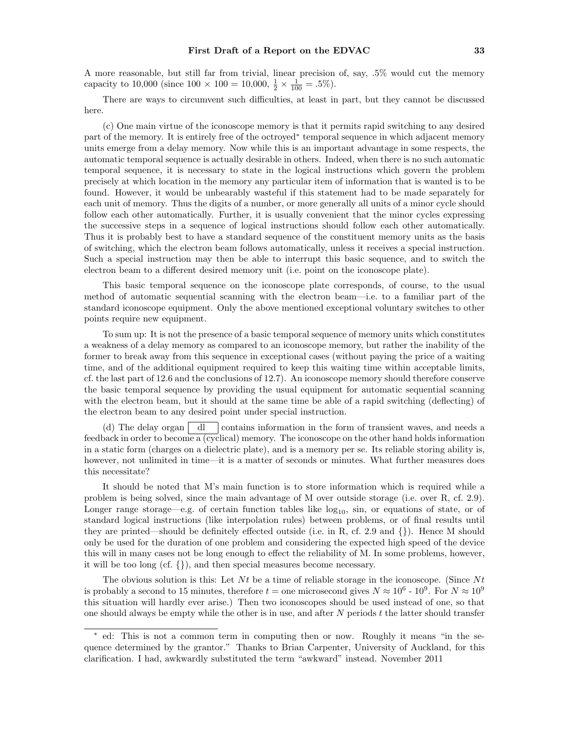A more reasonable, but still far from trivial, linear precision of, say, .5% would cut the memory capacity to 10,000 (since  $100 \times 100 = 10,000, \frac{1}{2} \times \frac{1}{100} = .5\%).$ 

There are ways to circumvent such difficulties, at least in part, but they cannot be discussed here.

(c) One main virtue of the iconoscope memory is that it permits rapid switching to any desired part of the memory. It is entirely free of the octroyed<sup>∗</sup> temporal sequence in which adjacent memory units emerge from a delay memory. Now while this is an important advantage in some respects, the automatic temporal sequence is actually desirable in others. Indeed, when there is no such automatic temporal sequence, it is necessary to state in the logical instructions which govern the problem precisely at which location in the memory any particular item of information that is wanted is to be found. However, it would be unbearably wasteful if this statement had to be made separately for each unit of memory. Thus the digits of a number, or more generally all units of a minor cycle should follow each other automatically. Further, it is usually convenient that the minor cycles expressing the successive steps in a sequence of logical instructions should follow each other automatically. Thus it is probably best to have a standard sequence of the constituent memory units as the basis of switching, which the electron beam follows automatically, unless it receives a special instruction. Such a special instruction may then be able to interrupt this basic sequence, and to switch the electron beam to a different desired memory unit (i.e. point on the iconoscope plate).

This basic temporal sequence on the iconoscope plate corresponds, of course, to the usual method of automatic sequential scanning with the electron beam—i.e. to a familiar part of the standard iconoscope equipment. Only the above mentioned exceptional voluntary switches to other points require new equipment.

To sum up: It is not the presence of a basic temporal sequence of memory units which constitutes a weakness of a delay memory as compared to an iconoscope memory, but rather the inability of the former to break away from this sequence in exceptional cases (without paying the price of a waiting time, and of the additional equipment required to keep this waiting time within acceptable limits, cf. the last part of 12.6 and the conclusions of 12.7). An iconoscope memory should therefore conserve the basic temporal sequence by providing the usual equipment for automatic sequential scanning with the electron beam, but it should at the same time be able of a rapid switching (deflecting) of the electron beam to any desired point under special instruction.

(d) The delay organ dl contains information in the form of transient waves, and needs a feedback in order to become a (cyclical) memory. The iconoscope on the other hand holds information in a static form (charges on a dielectric plate), and is a memory per se. Its reliable storing ability is, however, not unlimited in time—it is a matter of seconds or minutes. What further measures does this necessitate?

It should be noted that M's main function is to store information which is required while a problem is being solved, since the main advantage of M over outside storage (i.e. over R, cf. 2.9). Longer range storage—e.g. of certain function tables like  $log_{10}$ , sin, or equations of state, or of standard logical instructions (like interpolation rules) between problems, or of final results until they are printed—should be definitely effected outside (i.e. in R, cf. 2.9 and {}). Hence M should only be used for the duration of one problem and considering the expected high speed of the device this will in many cases not be long enough to effect the reliability of M. In some problems, however, it will be too long (cf. {}), and then special measures become necessary.

The obvious solution is this: Let  $Nt$  be a time of reliable storage in the iconoscope. (Since  $Nt$ is probably a second to 15 minutes, therefore  $t =$  one microsecond gives  $N \approx 10^6$  -  $10^9$ . For  $N \approx 10^9$ this situation will hardly ever arise.) Then two iconoscopes should be used instead of one, so that one should always be empty while the other is in use, and after  $N$  periods  $t$  the latter should transfer

<sup>∗</sup> ed: This is not a common term in computing then or now. Roughly it means "in the sequence determined by the grantor." Thanks to Brian Carpenter, University of Auckland, for this clarification. I had, awkwardly substituted the term "awkward" instead. November 2011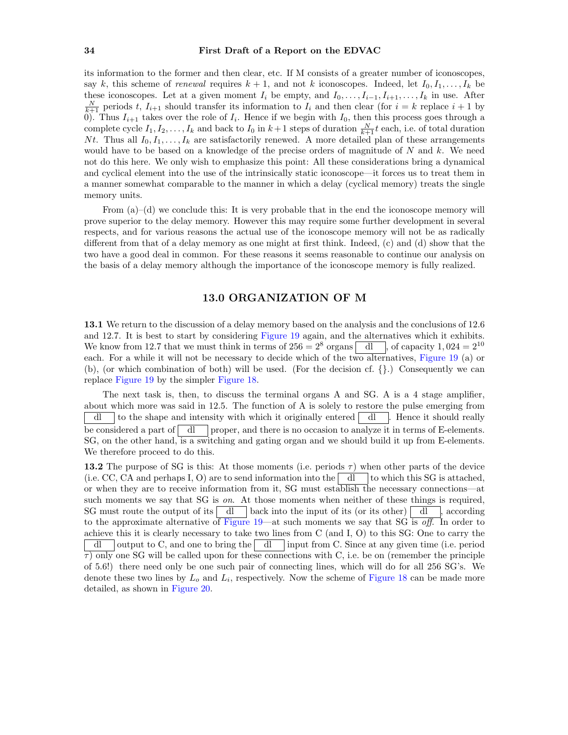its information to the former and then clear, etc. If M consists of a greater number of iconoscopes, say k, this scheme of *renewal* requires  $k + 1$ , and not k iconoscopes. Indeed, let  $I_0, I_1, \ldots, I_k$  be these iconoscopes. Let at a given moment  $I_i$  be empty, and  $I_0, \ldots, I_{i-1}, I_{i+1}, \ldots, I_k$  in use. After  $\frac{N}{k+1}$  periods t,  $I_{i+1}$  should transfer its information to  $I_i$  and then clear (for  $i = k$  replace  $i + 1$  by 0). Thus  $I_{i+1}$  takes over the role of  $I_i$ . Hence if we begin with  $I_0$ , then this process goes through a complete cycle  $I_1, I_2, \ldots, I_k$  and back to  $I_0$  in  $k+1$  steps of duration  $\frac{N}{k+1}t$  each, i.e. of total duration Nt. Thus all  $I_0, I_1, \ldots, I_k$  are satisfactorily renewed. A more detailed plan of these arrangements would have to be based on a knowledge of the precise orders of magnitude of  $N$  and  $k$ . We need not do this here. We only wish to emphasize this point: All these considerations bring a dynamical and cyclical element into the use of the intrinsically static iconoscope—it forces us to treat them in a manner somewhat comparable to the manner in which a delay (cyclical memory) treats the single memory units.

From  $(a)$ – $(d)$  we conclude this: It is very probable that in the end the iconoscope memory will prove superior to the delay memory. However this may require some further development in several respects, and for various reasons the actual use of the iconoscope memory will not be as radically different from that of a delay memory as one might at first think. Indeed, (c) and (d) show that the two have a good deal in common. For these reasons it seems reasonable to continue our analysis on the basis of a delay memory although the importance of the iconoscope memory is fully realized.

#### 13.0 ORGANIZATION OF M

<span id="page-39-1"></span><span id="page-39-0"></span>13.1 We return to the discussion of a delay memory based on the analysis and the conclusions of 12.6 and 12.7. It is best to start by considering [Figure 19](#page-35-1) again, and the alternatives which it exhibits. We know from 12.7 that we must think in terms of  $256 = 2^8$  organs  $\boxed{dl}$ , of capacity 1, 024 =  $2^{10}$ each. For a while it will not be necessary to decide which of the two alternatives, [Figure 19](#page-35-1) (a) or (b), (or which combination of both) will be used. (For the decision cf.  $\{\}$ ). Consequently we can replace [Figure 19](#page-35-1) by the simpler [Figure 18.](#page-35-0)

The next task is, then, to discuss the terminal organs A and SG. A is a 4 stage amplifier, about which more was said in 12.5. The function of A is solely to restore the pulse emerging from dl  $\vert$  to the shape and intensity with which it originally entered  $\vert$  dl  $\vert$ . Hence it should really be considered a part of dl proper, and there is no occasion to analyze it in terms of E-elements. SG, on the other hand, is a switching and gating organ and we should build it up from E-elements. We therefore proceed to do this.

<span id="page-39-2"></span>**13.2** The purpose of SG is this: At those moments (i.e. periods  $\tau$ ) when other parts of the device (i.e. CC, CA and perhaps I, O) are to send information into the dl  $\mid$  dl  $\mid$  to which this SG is attached, or when they are to receive information from it, SG must establish the necessary connections—at such moments we say that SG is *on*. At those moments when neither of these things is required, SG must route the output of its  $\boxed{d}$  back into the input of its (or its other)  $\boxed{d}$ , according to the approximate alternative of [Figure 19](#page-35-1)—at such moments we say that SG is off. In order to achieve this it is clearly necessary to take two lines from C (and I, O) to this SG: One to carry the  $\overline{dl}$  output to C, and one to bring the  $\overline{dl}$  input from C. Since at any given time (i.e. period  $\tau$ ) only one SG will be called upon for these connections with C, i.e. be on (remember the principle of 5.6!) there need only be one such pair of connecting lines, which will do for all 256 SG's. We denote these two lines by  $L<sub>o</sub>$  and  $L<sub>i</sub>$ , respectively. Now the scheme of [Figure 18](#page-35-0) can be made more detailed, as shown in [Figure 20.](#page-40-2)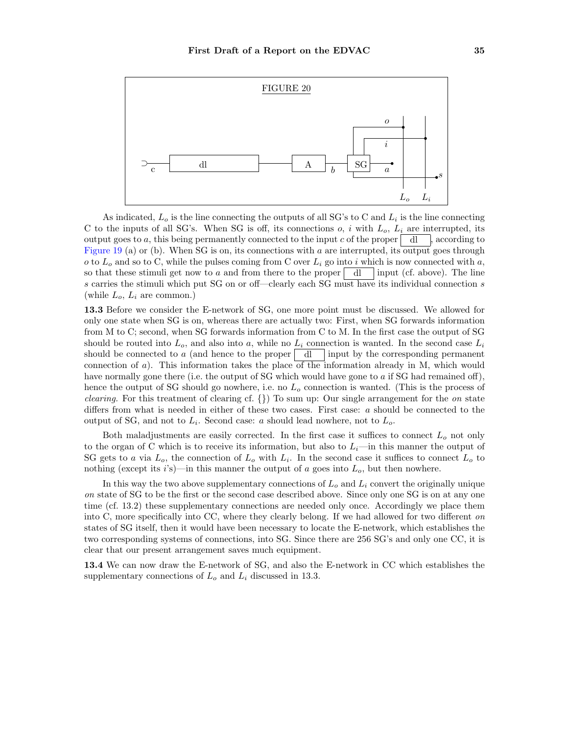<span id="page-40-2"></span>

As indicated,  $L_o$  is the line connecting the outputs of all SG's to C and  $L_i$  is the line connecting C to the inputs of all SG's. When SG is off, its connections  $o, i$  with  $L_o, L_i$  are interrupted, its output goes to a, this being permanently connected to the input c of the proper  $\boxed{d\phantom{d}d\phantom{d}}$ , according to [Figure 19](#page-35-1) (a) or (b). When SG is on, its connections with a are interrupted, its output goes through o to  $L_0$  and so to C, while the pulses coming from C over  $L_i$  go into i which is now connected with a, so that these stimuli get now to a and from there to the proper  $\boxed{dl}$  input (cf. above). The line s carries the stimuli which put SG on or off—clearly each SG must have its individual connection s (while  $L_o$ ,  $L_i$  are common.)

<span id="page-40-0"></span>13.3 Before we consider the E-network of SG, one more point must be discussed. We allowed for only one state when SG is on, whereas there are actually two: First, when SG forwards information from M to C; second, when SG forwards information from C to M. In the first case the output of SG should be routed into  $L_0$ , and also into a, while no  $L_i$  connection is wanted. In the second case  $L_i$ should be connected to a (and hence to the proper dl  $\vert$  input by the corresponding permanent connection of  $a$ ). This information takes the place of the information already in M, which would have normally gone there (i.e. the output of SG which would have gone to a if SG had remained off), hence the output of SG should go nowhere, i.e. no  $L<sub>o</sub>$  connection is wanted. (This is the process of *clearing*. For this treatment of clearing cf.  $\{\}\$  To sum up: Our single arrangement for the on state differs from what is needed in either of these two cases. First case: a should be connected to the output of SG, and not to  $L_i$ . Second case: a should lead nowhere, not to  $L_o$ .

Both maladjustments are easily corrected. In the first case it suffices to connect  $L<sub>o</sub>$  not only to the organ of C which is to receive its information, but also to  $L_i$ —in this manner the output of SG gets to a via  $L_o$ , the connection of  $L_o$  with  $L_i$ . In the second case it suffices to connect  $L_o$  to nothing (except its i's)—in this manner the output of a goes into  $L_o$ , but then nowhere.

In this way the two above supplementary connections of  $L<sub>o</sub>$  and  $L<sub>i</sub>$  convert the originally unique on state of SG to be the first or the second case described above. Since only one SG is on at any one time (cf. 13.2) these supplementary connections are needed only once. Accordingly we place them into C, more specifically into CC, where they clearly belong. If we had allowed for two different on states of SG itself, then it would have been necessary to locate the E-network, which establishes the two corresponding systems of connections, into SG. Since there are 256 SG's and only one CC, it is clear that our present arrangement saves much equipment.

<span id="page-40-1"></span>13.4 We can now draw the E-network of SG, and also the E-network in CC which establishes the supplementary connections of  $L<sub>o</sub>$  and  $L<sub>i</sub>$  discussed in 13.3.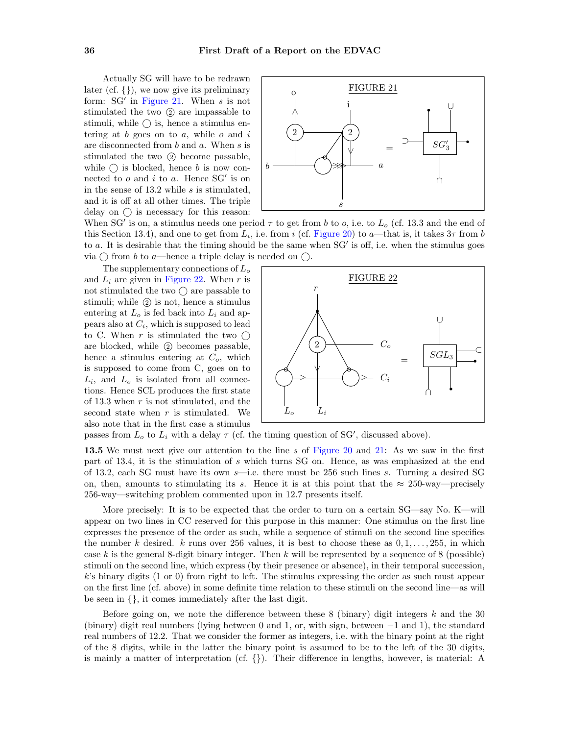<span id="page-41-1"></span>Actually SG will have to be redrawn later (cf. {}), we now give its preliminary form:  $SG'$  in [Figure 21.](#page-41-1) When s is not stimulated the two  $(2)$  are impassable to stimuli, while  $\bigcap$  is, hence a stimulus entering at  $b$  goes on to  $a$ , while  $o$  and  $i$ are disconnected from b and a. When s is stimulated the two  $\Omega$  become passable, while  $\bigcirc$  is blocked, hence b is now connected to  $o$  and  $i$  to  $a$ . Hence  $SG'$  is on in the sense of  $13.2$  while s is stimulated, and it is off at all other times. The triple delay on  $\bigcap$  is necessary for this reason:



When SG' is on, a stimulus needs one period  $\tau$  to get from b to o, i.e. to  $L_o$  (cf. 13.3 and the end of this Section 13.4), and one to get from  $L_i$ , i.e. from i (cf. [Figure 20](#page-40-2)) to a—that is, it takes  $3\tau$  from b to  $a$ . It is desirable that the timing should be the same when  $SG'$  is off, i.e. when the stimulus goes via  $\bigcap$  from b to a—hence a triple delay is needed on  $\bigcap$ .

<span id="page-41-2"></span>The supplementary connections of  $L<sub>o</sub>$ and  $L_i$  are given in [Figure 22.](#page-41-2) When r is not stimulated the two  $\bigcirc$  are passable to stimuli; while  $(2)$  is not, hence a stimulus entering at  $L<sub>o</sub>$  is fed back into  $L<sub>i</sub>$  and appears also at  $C_i$ , which is supposed to lead to C. When r is stimulated the two  $\bigcap$ are blocked, while <sup>2</sup> becomes passable, hence a stimulus entering at  $C<sub>o</sub>$ , which is supposed to come from C, goes on to  $L_i$ , and  $L_o$  is isolated from all connections. Hence SCL produces the first state of 13.3 when  $r$  is not stimulated, and the second state when  $r$  is stimulated. We also note that in the first case a stimulus



passes from  $L_o$  to  $L_i$  with a delay  $\tau$  (cf. the timing question of SG', discussed above).

<span id="page-41-0"></span>13.5 We must next give our attention to the line s of [Figure 20](#page-40-2) and [21](#page-41-1): As we saw in the first part of 13.4, it is the stimulation of s which turns SG on. Hence, as was emphasized at the end of 13.2, each SG must have its own  $s$ —i.e. there must be 256 such lines s. Turning a desired SG on, then, amounts to stimulating its s. Hence it is at this point that the  $\approx 250$ -way—precisely 256-way—switching problem commented upon in 12.7 presents itself.

More precisely: It is to be expected that the order to turn on a certain SG—say No. K—will appear on two lines in CC reserved for this purpose in this manner: One stimulus on the first line expresses the presence of the order as such, while a sequence of stimuli on the second line specifies the number k desired. k runs over 256 values, it is best to choose these as  $0, 1, \ldots, 255$ , in which case k is the general 8-digit binary integer. Then k will be represented by a sequence of 8 (possible) stimuli on the second line, which express (by their presence or absence), in their temporal succession, k's binary digits (1 or 0) from right to left. The stimulus expressing the order as such must appear on the first line (cf. above) in some definite time relation to these stimuli on the second line—as will be seen in {}, it comes immediately after the last digit.

Before going on, we note the difference between these 8 (binary) digit integers  $k$  and the 30 (binary) digit real numbers (lying between 0 and 1, or, with sign, between −1 and 1), the standard real numbers of 12.2. That we consider the former as integers, i.e. with the binary point at the right of the 8 digits, while in the latter the binary point is assumed to be to the left of the 30 digits, is mainly a matter of interpretation (cf. {}). Their difference in lengths, however, is material: A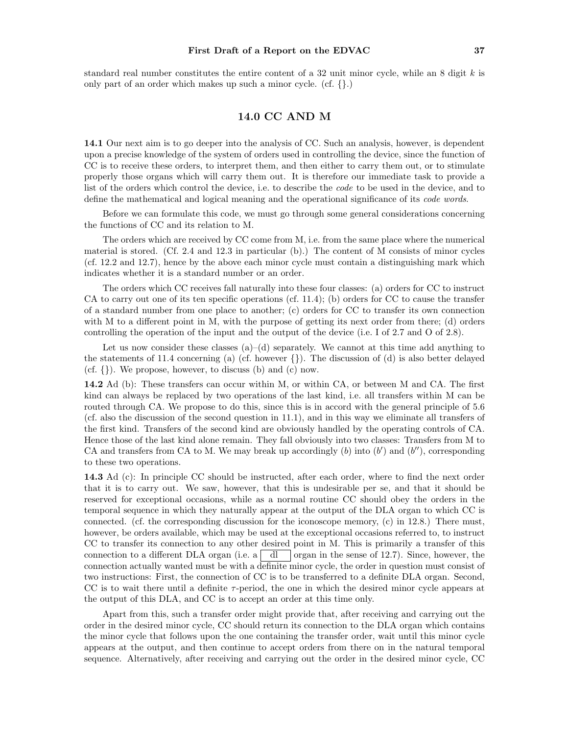<span id="page-42-0"></span>standard real number constitutes the entire content of a 32 unit minor cycle, while an  $8$  digit k is only part of an order which makes up such a minor cycle.  $(cf. \{\})$ 

#### 14.0 CC AND M

<span id="page-42-1"></span>14.1 Our next aim is to go deeper into the analysis of CC. Such an analysis, however, is dependent upon a precise knowledge of the system of orders used in controlling the device, since the function of CC is to receive these orders, to interpret them, and then either to carry them out, or to stimulate properly those organs which will carry them out. It is therefore our immediate task to provide a list of the orders which control the device, i.e. to describe the code to be used in the device, and to define the mathematical and logical meaning and the operational significance of its code words.

Before we can formulate this code, we must go through some general considerations concerning the functions of CC and its relation to M.

The orders which are received by CC come from M, i.e. from the same place where the numerical material is stored. (Cf. 2.4 and 12.3 in particular (b).) The content of M consists of minor cycles (cf. 12.2 and 12.7), hence by the above each minor cycle must contain a distinguishing mark which indicates whether it is a standard number or an order.

The orders which CC receives fall naturally into these four classes: (a) orders for CC to instruct CA to carry out one of its ten specific operations (cf. 11.4); (b) orders for CC to cause the transfer of a standard number from one place to another; (c) orders for CC to transfer its own connection with M to a different point in M, with the purpose of getting its next order from there; (d) orders controlling the operation of the input and the output of the device (i.e. I of 2.7 and O of 2.8).

Let us now consider these classes  $(a)$ – $(d)$  separately. We cannot at this time add anything to the statements of 11.4 concerning (a) (cf. however  $\{\}$ ). The discussion of (d) is also better delayed (cf.  $\{\}\)$ ). We propose, however, to discuss (b) and (c) now.

<span id="page-42-2"></span>14.2 Ad (b): These transfers can occur within M, or within CA, or between M and CA. The first kind can always be replaced by two operations of the last kind, i.e. all transfers within M can be routed through CA. We propose to do this, since this is in accord with the general principle of 5.6 (cf. also the discussion of the second question in 11.1), and in this way we eliminate all transfers of the first kind. Transfers of the second kind are obviously handled by the operating controls of CA. Hence those of the last kind alone remain. They fall obviously into two classes: Transfers from M to CA and transfers from CA to M. We may break up accordingly  $(b)$  into  $(b')$  and  $(b'')$ , corresponding to these two operations.

<span id="page-42-3"></span>14.3 Ad (c): In principle CC should be instructed, after each order, where to find the next order that it is to carry out. We saw, however, that this is undesirable per se, and that it should be reserved for exceptional occasions, while as a normal routine CC should obey the orders in the temporal sequence in which they naturally appear at the output of the DLA organ to which CC is connected. (cf. the corresponding discussion for the iconoscope memory, (c) in 12.8.) There must, however, be orders available, which may be used at the exceptional occasions referred to, to instruct CC to transfer its connection to any other desired point in M. This is primarily a transfer of this connection to a different DLA organ (i.e. a  $\boxed{d\phantom{d\phantom{d\!}}d\phantom{d\!}}$  organ in the sense of 12.7). Since, however, the connection actually wanted must be with a definite minor cycle, the order in question must consist of two instructions: First, the connection of CC is to be transferred to a definite DLA organ. Second, CC is to wait there until a definite  $\tau$ -period, the one in which the desired minor cycle appears at the output of this DLA, and CC is to accept an order at this time only.

Apart from this, such a transfer order might provide that, after receiving and carrying out the order in the desired minor cycle, CC should return its connection to the DLA organ which contains the minor cycle that follows upon the one containing the transfer order, wait until this minor cycle appears at the output, and then continue to accept orders from there on in the natural temporal sequence. Alternatively, after receiving and carrying out the order in the desired minor cycle, CC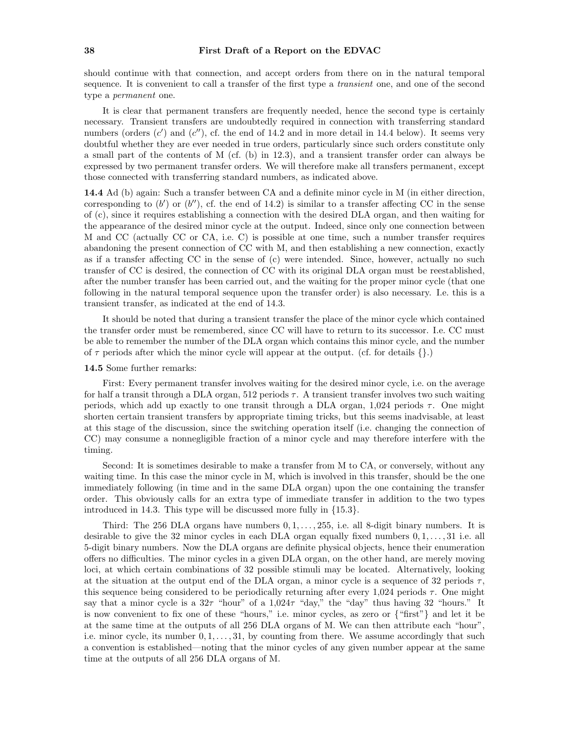should continue with that connection, and accept orders from there on in the natural temporal sequence. It is convenient to call a transfer of the first type a transient one, and one of the second type a permanent one.

It is clear that permanent transfers are frequently needed, hence the second type is certainly necessary. Transient transfers are undoubtedly required in connection with transferring standard numbers (orders  $(c')$  and  $(c'')$ , cf. the end of 14.2 and in more detail in 14.4 below). It seems very doubtful whether they are ever needed in true orders, particularly since such orders constitute only a small part of the contents of M (cf. (b) in 12.3), and a transient transfer order can always be expressed by two permanent transfer orders. We will therefore make all transfers permanent, except those connected with transferring standard numbers, as indicated above.

<span id="page-43-0"></span>14.4 Ad (b) again: Such a transfer between CA and a definite minor cycle in M (in either direction, corresponding to  $(b')$  or  $(b'')$ , cf. the end of 14.2) is similar to a transfer affecting CC in the sense of (c), since it requires establishing a connection with the desired DLA organ, and then waiting for the appearance of the desired minor cycle at the output. Indeed, since only one connection between M and CC (actually CC or CA, i.e. C) is possible at one time, such a number transfer requires abandoning the present connection of CC with M, and then establishing a new connection, exactly as if a transfer affecting  $CC$  in the sense of  $(c)$  were intended. Since, however, actually no such transfer of CC is desired, the connection of CC with its original DLA organ must be reestablished, after the number transfer has been carried out, and the waiting for the proper minor cycle (that one following in the natural temporal sequence upon the transfer order) is also necessary. I.e. this is a transient transfer, as indicated at the end of 14.3.

It should be noted that during a transient transfer the place of the minor cycle which contained the transfer order must be remembered, since CC will have to return to its successor. I.e. CC must be able to remember the number of the DLA organ which contains this minor cycle, and the number of  $\tau$  periods after which the minor cycle will appear at the output. (cf. for details  $\{\}\$ .)

#### <span id="page-43-1"></span>14.5 Some further remarks:

First: Every permanent transfer involves waiting for the desired minor cycle, i.e. on the average for half a transit through a DLA organ, 512 periods  $\tau$ . A transient transfer involves two such waiting periods, which add up exactly to one transit through a DLA organ,  $1,024$  periods  $\tau$ . One might shorten certain transient transfers by appropriate timing tricks, but this seems inadvisable, at least at this stage of the discussion, since the switching operation itself (i.e. changing the connection of CC) may consume a nonnegligible fraction of a minor cycle and may therefore interfere with the timing.

Second: It is sometimes desirable to make a transfer from M to CA, or conversely, without any waiting time. In this case the minor cycle in M, which is involved in this transfer, should be the one immediately following (in time and in the same DLA organ) upon the one containing the transfer order. This obviously calls for an extra type of immediate transfer in addition to the two types introduced in 14.3. This type will be discussed more fully in {15.3}.

Third: The 256 DLA organs have numbers  $0, 1, \ldots, 255$ , i.e. all 8-digit binary numbers. It is desirable to give the 32 minor cycles in each DLA organ equally fixed numbers  $0, 1, \ldots, 31$  i.e. all 5-digit binary numbers. Now the DLA organs are definite physical objects, hence their enumeration offers no difficulties. The minor cycles in a given DLA organ, on the other hand, are merely moving loci, at which certain combinations of 32 possible stimuli may be located. Alternatively, looking at the situation at the output end of the DLA organ, a minor cycle is a sequence of 32 periods  $\tau$ , this sequence being considered to be periodically returning after every 1,024 periods  $\tau$ . One might say that a minor cycle is a  $32\tau$  "hour" of a  $1,024\tau$  "day," the "day" thus having 32 "hours." It is now convenient to fix one of these "hours," i.e. minor cycles, as zero or {"first"} and let it be at the same time at the outputs of all 256 DLA organs of M. We can then attribute each "hour", i.e. minor cycle, its number  $0, 1, \ldots, 31$ , by counting from there. We assume accordingly that such a convention is established—noting that the minor cycles of any given number appear at the same time at the outputs of all 256 DLA organs of M.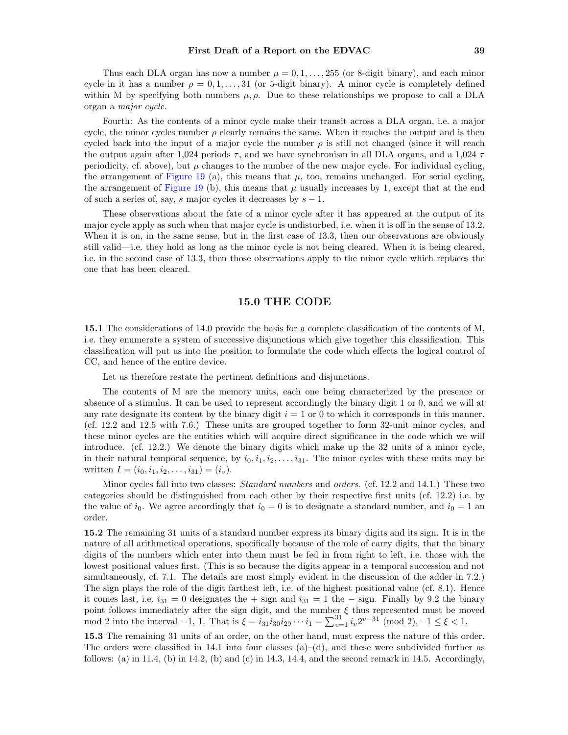Thus each DLA organ has now a number  $\mu = 0, 1, \ldots, 255$  (or 8-digit binary), and each minor cycle in it has a number  $\rho = 0, 1, \ldots, 31$  (or 5-digit binary). A minor cycle is completely defined within M by specifying both numbers  $\mu$ ,  $\rho$ . Due to these relationships we propose to call a DLA organ a major cycle.

Fourth: As the contents of a minor cycle make their transit across a DLA organ, i.e. a major cycle, the minor cycles number  $\rho$  clearly remains the same. When it reaches the output and is then cycled back into the input of a major cycle the number  $\rho$  is still not changed (since it will reach the output again after 1,024 periods  $\tau$ , and we have synchronism in all DLA organs, and a 1,024  $\tau$ periodicity, cf. above), but  $\mu$  changes to the number of the new major cycle. For individual cycling, the arrangement of [Figure 19](#page-35-1) (a), this means that  $\mu$ , too, remains unchanged. For serial cycling, the arrangement of [Figure 19](#page-35-1) (b), this means that  $\mu$  usually increases by 1, except that at the end of such a series of, say, s major cycles it decreases by  $s - 1$ .

These observations about the fate of a minor cycle after it has appeared at the output of its major cycle apply as such when that major cycle is undisturbed, i.e. when it is off in the sense of 13.2. When it is on, in the same sense, but in the first case of 13.3, then our observations are obviously still valid—i.e. they hold as long as the minor cycle is not being cleared. When it is being cleared, i.e. in the second case of 13.3, then those observations apply to the minor cycle which replaces the one that has been cleared.

#### 15.0 THE CODE

<span id="page-44-1"></span><span id="page-44-0"></span>15.1 The considerations of 14.0 provide the basis for a complete classification of the contents of M, i.e. they enumerate a system of successive disjunctions which give together this classification. This classification will put us into the position to formulate the code which effects the logical control of CC, and hence of the entire device.

Let us therefore restate the pertinent definitions and disjunctions.

The contents of M are the memory units, each one being characterized by the presence or absence of a stimulus. It can be used to represent accordingly the binary digit 1 or 0, and we will at any rate designate its content by the binary digit  $i = 1$  or 0 to which it corresponds in this manner. (cf. 12.2 and 12.5 with 7.6.) These units are grouped together to form 32-unit minor cycles, and these minor cycles are the entities which will acquire direct significance in the code which we will introduce. (cf. 12.2.) We denote the binary digits which make up the 32 units of a minor cycle, in their natural temporal sequence, by  $i_0, i_1, i_2, \ldots, i_{31}$ . The minor cycles with these units may be written  $I = (i_0, i_1, i_2, \ldots, i_{31}) = (i_v).$ 

Minor cycles fall into two classes: *Standard numbers* and *orders*. (cf. 12.2 and 14.1.) These two categories should be distinguished from each other by their respective first units (cf. 12.2) i.e. by the value of  $i_0$ . We agree accordingly that  $i_0 = 0$  is to designate a standard number, and  $i_0 = 1$  and order.

<span id="page-44-2"></span>15.2 The remaining 31 units of a standard number express its binary digits and its sign. It is in the nature of all arithmetical operations, specifically because of the role of carry digits, that the binary digits of the numbers which enter into them must be fed in from right to left, i.e. those with the lowest positional values first. (This is so because the digits appear in a temporal succession and not simultaneously, cf. 7.1. The details are most simply evident in the discussion of the adder in 7.2.) The sign plays the role of the digit farthest left, i.e. of the highest positional value (cf. 8.1). Hence it comes last, i.e.  $i_{31} = 0$  designates the + sign and  $i_{31} = 1$  the  $-$  sign. Finally by 9.2 the binary point follows immediately after the sign digit, and the number  $\xi$  thus represented must be moved mod 2 into the interval  $-1$ , 1. That is  $\xi = i_{31}i_{30}i_{29}\cdots i_1 = \sum_{v=1}^{31} i_v 2^{v-31} \pmod{2}$ ,  $-1 \le \xi < 1$ .

<span id="page-44-3"></span>15.3 The remaining 31 units of an order, on the other hand, must express the nature of this order. The orders were classified in 14.1 into four classes  $(a)$ – $(d)$ , and these were subdivided further as follows: (a) in 11.4, (b) in 14.2, (b) and (c) in 14.3, 14.4, and the second remark in 14.5. Accordingly,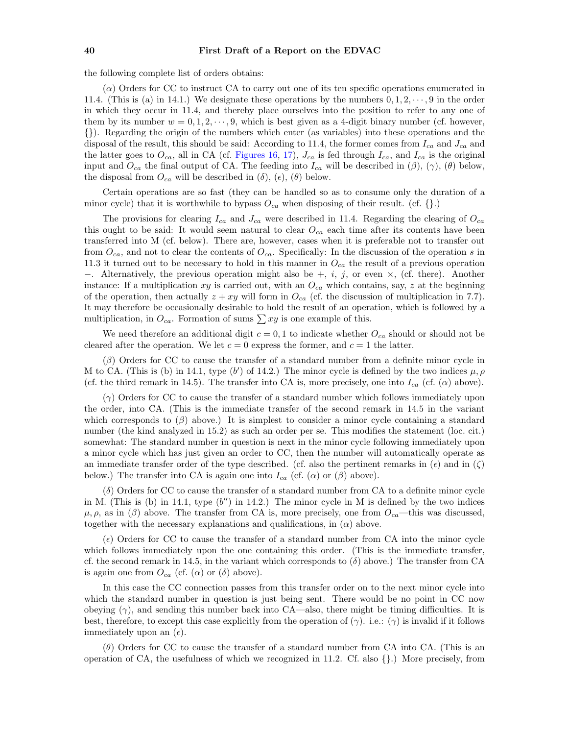the following complete list of orders obtains:

(α) Orders for CC to instruct CA to carry out one of its ten specific operations enumerated in 11.4. (This is (a) in 14.1.) We designate these operations by the numbers  $0, 1, 2, \dots, 9$  in the order in which they occur in 11.4, and thereby place ourselves into the position to refer to any one of them by its number  $w = 0, 1, 2, \dots, 9$ , which is best given as a 4-digit binary number (cf. however, {}). Regarding the origin of the numbers which enter (as variables) into these operations and the disposal of the result, this should be said: According to 11.4, the former comes from  $I_{ca}$  and  $J_{ca}$  and the latter goes to  $O_{ca}$ , all in CA (cf. [Figures 16](#page-28-1), [17](#page-28-2)),  $J_{ca}$  is fed through  $I_{ca}$ , and  $I_{ca}$  is the original input and  $O_{ca}$  the final output of CA. The feeding into  $I_{ca}$  will be described in  $(\beta)$ ,  $(\gamma)$ ,  $(\theta)$  below, the disposal from  $O_{ca}$  will be described in  $(\delta)$ ,  $(\epsilon)$ ,  $(\theta)$  below.

Certain operations are so fast (they can be handled so as to consume only the duration of a minor cycle) that it is worthwhile to bypass  $O_{ca}$  when disposing of their result. (cf. {}.)

The provisions for clearing  $I_{ca}$  and  $J_{ca}$  were described in 11.4. Regarding the clearing of  $O_{ca}$ this ought to be said: It would seem natural to clear  $O_{ca}$  each time after its contents have been transferred into M (cf. below). There are, however, cases when it is preferable not to transfer out from  $O_{ca}$ , and not to clear the contents of  $O_{ca}$ . Specifically: In the discussion of the operation s in 11.3 it turned out to be necessary to hold in this manner in  $O_{ca}$  the result of a previous operation −. Alternatively, the previous operation might also be +, i, j, or even ×, (cf. there). Another instance: If a multiplication xy is carried out, with an  $O_{ca}$  which contains, say, z at the beginning of the operation, then actually  $z + xy$  will form in  $O_{ca}$  (cf. the discussion of multiplication in 7.7). It may therefore be occasionally desirable to hold the result of an operation, which is followed by a multiplication, in  $O_{ca}$ . Formation of sums  $\sum xy$  is one example of this.

We need therefore an additional digit  $c = 0, 1$  to indicate whether  $O_{ca}$  should or should not be cleared after the operation. We let  $c = 0$  express the former, and  $c = 1$  the latter.

 $(\beta)$  Orders for CC to cause the transfer of a standard number from a definite minor cycle in M to CA. (This is (b) in 14.1, type  $(b')$  of 14.2.) The minor cycle is defined by the two indices  $\mu, \rho$ (cf. the third remark in 14.5). The transfer into CA is, more precisely, one into  $I_{ca}$  (cf. ( $\alpha$ ) above).

 $(\gamma)$  Orders for CC to cause the transfer of a standard number which follows immediately upon the order, into CA. (This is the immediate transfer of the second remark in 14.5 in the variant which corresponds to  $(\beta)$  above.) It is simplest to consider a minor cycle containing a standard number (the kind analyzed in 15.2) as such an order per se. This modifies the statement (loc. cit.) somewhat: The standard number in question is next in the minor cycle following immediately upon a minor cycle which has just given an order to CC, then the number will automatically operate as an immediate transfer order of the type described. (cf. also the pertinent remarks in  $(\epsilon)$  and in  $(\zeta)$ ) below.) The transfer into CA is again one into  $I_{ca}$  (cf. ( $\alpha$ ) or ( $\beta$ ) above).

 $(\delta)$  Orders for CC to cause the transfer of a standard number from CA to a definite minor cycle in M. (This is (b) in 14.1, type  $(b'')$  in 14.2.) The minor cycle in M is defined by the two indices  $\mu$ ,  $\rho$ , as in (β) above. The transfer from CA is, more precisely, one from  $O_{ca}$ —this was discussed, together with the necessary explanations and qualifications, in  $(\alpha)$  above.

 $(\epsilon)$  Orders for CC to cause the transfer of a standard number from CA into the minor cycle which follows immediately upon the one containing this order. (This is the immediate transfer, cf. the second remark in 14.5, in the variant which corresponds to  $(\delta)$  above.) The transfer from CA is again one from  $O_{ca}$  (cf. ( $\alpha$ ) or ( $\delta$ ) above).

In this case the CC connection passes from this transfer order on to the next minor cycle into which the standard number in question is just being sent. There would be no point in CC now obeying  $(\gamma)$ , and sending this number back into CA—also, there might be timing difficulties. It is best, therefore, to except this case explicitly from the operation of  $(\gamma)$ . i.e.:  $(\gamma)$  is invalid if it follows immediately upon an  $(\epsilon)$ .

 $(\theta)$  Orders for CC to cause the transfer of a standard number from CA into CA. (This is an operation of CA, the usefulness of which we recognized in 11.2. Cf. also  $\{\}$ .) More precisely, from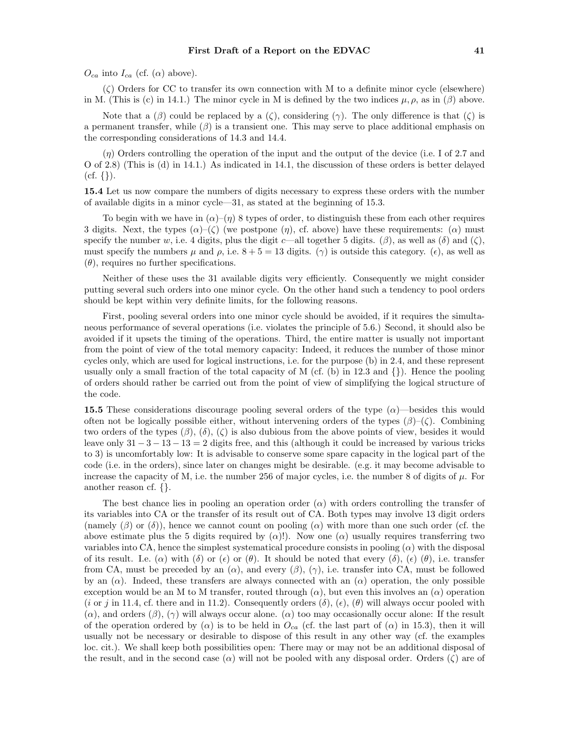$O_{ca}$  into  $I_{ca}$  (cf. ( $\alpha$ ) above).

 $(\zeta)$  Orders for CC to transfer its own connection with M to a definite minor cycle (elsewhere) in M. (This is (c) in 14.1.) The minor cycle in M is defined by the two indices  $\mu$ ,  $\rho$ , as in ( $\beta$ ) above.

Note that a  $(\beta)$  could be replaced by a  $(\zeta)$ , considering  $(\gamma)$ . The only difference is that  $(\zeta)$  is a permanent transfer, while  $(\beta)$  is a transient one. This may serve to place additional emphasis on the corresponding considerations of 14.3 and 14.4.

 $(\eta)$  Orders controlling the operation of the input and the output of the device (i.e. I of 2.7 and O of 2.8) (This is (d) in 14.1.) As indicated in 14.1, the discussion of these orders is better delayed  $(cf. \{\})$ .

<span id="page-46-0"></span>15.4 Let us now compare the numbers of digits necessary to express these orders with the number of available digits in a minor cycle—31, as stated at the beginning of 15.3.

To begin with we have in  $(\alpha)$ – $(\eta)$  8 types of order, to distinguish these from each other requires 3 digits. Next, the types  $(\alpha)$ –(ζ) (we postpone  $(\eta)$ , cf. above) have these requirements:  $(\alpha)$  must specify the number w, i.e. 4 digits, plus the digit c—all together 5 digits. ( $\beta$ ), as well as ( $\delta$ ) and ( $\zeta$ ), must specify the numbers  $\mu$  and  $\rho$ , i.e.  $8 + 5 = 13$  digits. ( $\gamma$ ) is outside this category. ( $\epsilon$ ), as well as  $(\theta)$ , requires no further specifications.

Neither of these uses the 31 available digits very efficiently. Consequently we might consider putting several such orders into one minor cycle. On the other hand such a tendency to pool orders should be kept within very definite limits, for the following reasons.

First, pooling several orders into one minor cycle should be avoided, if it requires the simultaneous performance of several operations (i.e. violates the principle of 5.6.) Second, it should also be avoided if it upsets the timing of the operations. Third, the entire matter is usually not important from the point of view of the total memory capacity: Indeed, it reduces the number of those minor cycles only, which are used for logical instructions, i.e. for the purpose (b) in 2.4, and these represent usually only a small fraction of the total capacity of M (cf. (b) in 12.3 and  $\{\}\)$ . Hence the pooling of orders should rather be carried out from the point of view of simplifying the logical structure of the code.

<span id="page-46-1"></span>15.5 These considerations discourage pooling several orders of the type  $(\alpha)$ —besides this would often not be logically possible either, without intervening orders of the types  $(\beta)$ –(ζ). Combining two orders of the types  $(\beta)$ ,  $(\delta)$ ,  $(\zeta)$  is also dubious from the above points of view, besides it would leave only  $31 - 3 - 13 - 13 = 2$  digits free, and this (although it could be increased by various tricks to 3) is uncomfortably low: It is advisable to conserve some spare capacity in the logical part of the code (i.e. in the orders), since later on changes might be desirable. (e.g. it may become advisable to increase the capacity of M, i.e. the number 256 of major cycles, i.e. the number 8 of digits of  $\mu$ . For another reason cf. {}.

The best chance lies in pooling an operation order  $(\alpha)$  with orders controlling the transfer of its variables into CA or the transfer of its result out of CA. Both types may involve 13 digit orders (namely  $(\beta)$  or  $(\delta)$ ), hence we cannot count on pooling  $(\alpha)$  with more than one such order (cf. the above estimate plus the 5 digits required by  $(\alpha)!$ . Now one  $(\alpha)$  usually requires transferring two variables into CA, hence the simplest systematical procedure consists in pooling  $(\alpha)$  with the disposal of its result. I.e. ( $\alpha$ ) with (δ) or ( $\epsilon$ ) or ( $\theta$ ). It should be noted that every (δ), ( $\epsilon$ ) ( $\theta$ ), i.e. transfer from CA, must be preceded by an  $(\alpha)$ , and every  $(\beta)$ ,  $(\gamma)$ , i.e. transfer into CA, must be followed by an  $(\alpha)$ . Indeed, these transfers are always connected with an  $(\alpha)$  operation, the only possible exception would be an M to M transfer, routed through  $(\alpha)$ , but even this involves an  $(\alpha)$  operation (*i* or j in 11.4, cf. there and in 11.2). Consequently orders  $(\delta)$ ,  $(\epsilon)$ ,  $(\theta)$  will always occur pooled with  $(\alpha)$ , and orders  $(\beta)$ ,  $(\gamma)$  will always occur alone.  $(\alpha)$  too may occasionally occur alone: If the result of the operation ordered by  $(\alpha)$  is to be held in  $O_{ca}$  (cf. the last part of  $(\alpha)$  in 15.3), then it will usually not be necessary or desirable to dispose of this result in any other way (cf. the examples loc. cit.). We shall keep both possibilities open: There may or may not be an additional disposal of the result, and in the second case  $(\alpha)$  will not be pooled with any disposal order. Orders  $(\zeta)$  are of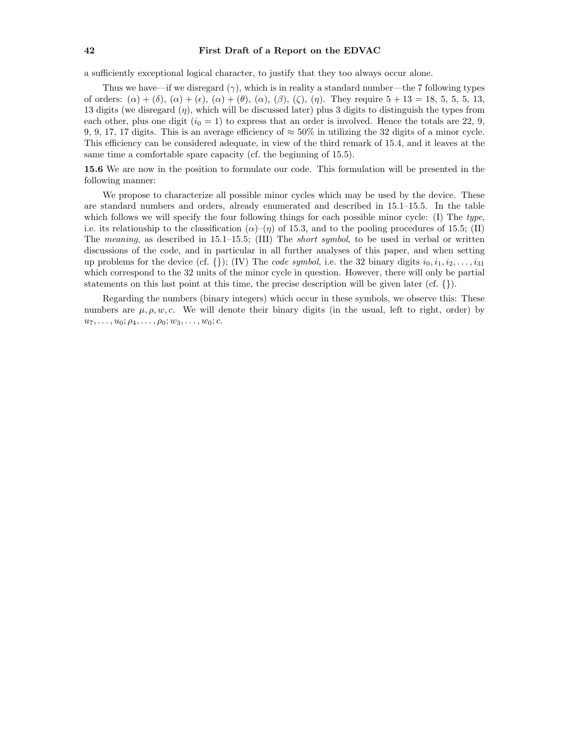a sufficiently exceptional logical character, to justify that they too always occur alone.

Thus we have—if we disregard  $(\gamma)$ , which is in reality a standard number—the 7 following types of orders:  $(\alpha) + (\delta)$ ,  $(\alpha) + (\epsilon)$ ,  $(\alpha) + (\theta)$ ,  $(\alpha)$ ,  $(\beta)$ ,  $(\zeta)$ ,  $(\eta)$ . They require  $5 + 13 = 18, 5, 5, 5, 13$ , 13 digits (we disregard  $(\eta)$ , which will be discussed later) plus 3 digits to distinguish the types from each other, plus one digit  $(i_0 = 1)$  to express that an order is involved. Hence the totals are 22, 9, 9, 9, 17, 17 digits. This is an average efficiency of  $\approx 50\%$  in utilizing the 32 digits of a minor cycle. This efficiency can be considered adequate, in view of the third remark of 15.4, and it leaves at the same time a comfortable spare capacity (cf. the beginning of 15.5).

<span id="page-47-0"></span>15.6 We are now in the position to formulate our code. This formulation will be presented in the following manner:

We propose to characterize all possible minor cycles which may be used by the device. These are standard numbers and orders, already enumerated and described in 15.1–15.5. In the table which follows we will specify the four following things for each possible minor cycle: (I) The type, i.e. its relationship to the classification  $(\alpha)$ – $(\eta)$  of 15.3, and to the pooling procedures of 15.5; (II) The meaning, as described in  $15.1-15.5$ ; (III) The *short symbol*, to be used in verbal or written discussions of the code, and in particular in all further analyses of this paper, and when setting up problems for the device (cf. {}); (IV) The code symbol, i.e. the 32 binary digits  $i_0, i_1, i_2, \ldots, i_{31}$ which correspond to the 32 units of the minor cycle in question. However, there will only be partial statements on this last point at this time, the precise description will be given later (cf.  $\{\}\$ ).

Regarding the numbers (binary integers) which occur in these symbols, we observe this: These numbers are  $\mu, \rho, w, c$ . We will denote their binary digits (in the usual, left to right, order) by  $u_7, \ldots, u_0; \rho_4, \ldots, \rho_0; w_3, \ldots, w_0; c.$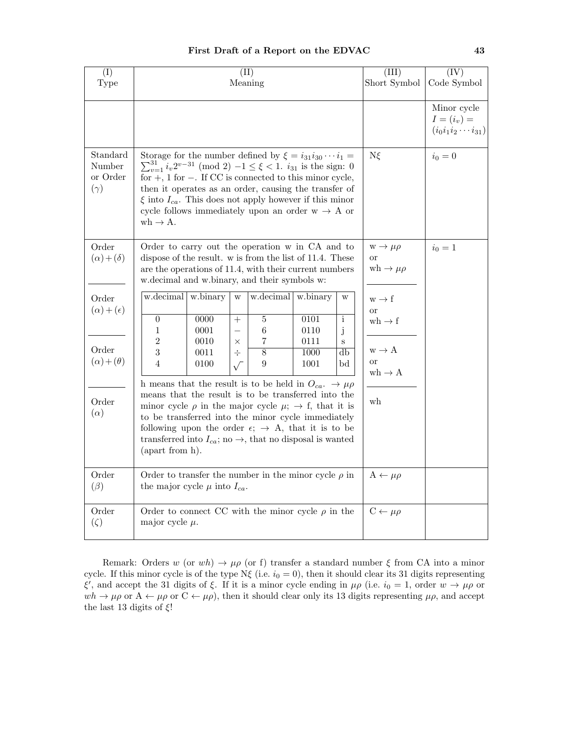| (I)<br>Type                                                                             | (II)<br>Meaning                                                                                                                                                                                                                                                                                                                                                                                                                                                                                                                                                                                                                                                                                                                                                                                                  | (III)<br>Short Symbol                                                                                      | (IV)<br>Code Symbol                                           |
|-----------------------------------------------------------------------------------------|------------------------------------------------------------------------------------------------------------------------------------------------------------------------------------------------------------------------------------------------------------------------------------------------------------------------------------------------------------------------------------------------------------------------------------------------------------------------------------------------------------------------------------------------------------------------------------------------------------------------------------------------------------------------------------------------------------------------------------------------------------------------------------------------------------------|------------------------------------------------------------------------------------------------------------|---------------------------------------------------------------|
|                                                                                         |                                                                                                                                                                                                                                                                                                                                                                                                                                                                                                                                                                                                                                                                                                                                                                                                                  |                                                                                                            | Minor cycle<br>$I = (i_v) =$<br>$(i_0 i_1 i_2 \cdots i_{31})$ |
| Standard<br>Number<br>or Order<br>$(\gamma)$                                            | Storage for the number defined by $\xi = i_{31}i_{30}\cdots i_1 =$<br>$\sum_{v=1}^{31} i_v 2^{v-31} \pmod{2} -1 \le \xi < 1.$ $i_{31}$ is the sign: 0<br>for $+$ , 1 for $-$ . If CC is connected to this minor cycle,<br>then it operates as an order, causing the transfer of<br>$\xi$ into $I_{ca}$ . This does not apply however if this minor<br>cycle follows immediately upon an order $w \rightarrow A$ or<br>$wh \rightarrow A.$                                                                                                                                                                                                                                                                                                                                                                        | $N\xi$                                                                                                     | $i_0 = 0$                                                     |
| Order<br>$(\alpha) + (\delta)$                                                          | Order to carry out the operation w in CA and to<br>dispose of the result. w is from the list of 11.4. These<br>are the operations of 11.4, with their current numbers<br>w.decimal and w.binary, and their symbols w:                                                                                                                                                                                                                                                                                                                                                                                                                                                                                                                                                                                            | $w \rightarrow \mu \rho$<br>or<br>wh $\rightarrow \mu \rho$                                                | $i_0 = 1$                                                     |
| Order<br>$(\alpha)+(\epsilon)$<br>Order<br>$(\alpha) + (\theta)$<br>Order<br>$(\alpha)$ | w.decimal   w.binary<br>w.decimal   w.binary<br>$\ensuremath{\text{W}}$<br>$\ensuremath{\text{W}}$<br>$0000\,$<br>$\theta$<br>5<br>0101<br>$^{+}$<br>$\mathbf{i}$<br>$\,6$<br>1<br>0001<br>0110<br>J<br>$\overline{2}$<br>0010<br>0111<br>7<br>$\times$<br>S<br>3<br>$\overline{8}$<br>1000<br>0011<br>$\div$<br>db<br>4<br>0100<br>9<br>1001<br>bd<br>$\sqrt{}$<br>h means that the result is to be held in $O_{ca.} \rightarrow \mu \rho$<br>means that the result is to be transferred into the<br>minor cycle $\rho$ in the major cycle $\mu$ ; $\rightarrow$ f, that it is<br>to be transferred into the minor cycle immediately<br>following upon the order $\epsilon$ ; $\rightarrow$ A, that it is to be<br>transferred into $I_{ca}$ ; no $\rightarrow$ , that no disposal is wanted<br>(apart from h). | $w \rightarrow f$<br><b>or</b><br>$wh \rightarrow f$<br>$w \rightarrow A$<br><b>or</b><br>$wh \to A$<br>wh |                                                               |
| Order<br>$(\beta)$                                                                      | Order to transfer the number in the minor cycle $\rho$ in<br>the major cycle $\mu$ into $I_{ca}$ .                                                                                                                                                                                                                                                                                                                                                                                                                                                                                                                                                                                                                                                                                                               | $A \leftarrow \mu \rho$                                                                                    |                                                               |
| Order<br>$(\zeta)$                                                                      | Order to connect CC with the minor cycle $\rho$ in the<br>major cycle $\mu$ .                                                                                                                                                                                                                                                                                                                                                                                                                                                                                                                                                                                                                                                                                                                                    | $C \leftarrow \mu \rho$                                                                                    |                                                               |

Remark: Orders w (or wh)  $\rightarrow \mu \rho$  (or f) transfer a standard number  $\xi$  from CA into a minor cycle. If this minor cycle is of the type  $N\xi$  (i.e.  $i_0 = 0$ ), then it should clear its 31 digits representing ξ', and accept the 31 digits of ξ. If it is a minor cycle ending in  $\mu \rho$  (i.e.  $i_0 = 1$ , order  $w \to \mu \rho$  or  $wh \to \mu\rho$  or  $A \leftarrow \mu\rho$  or  $C \leftarrow \mu\rho$ , then it should clear only its 13 digits representing  $\mu\rho$ , and accept the last 13 digits of  $\xi$ !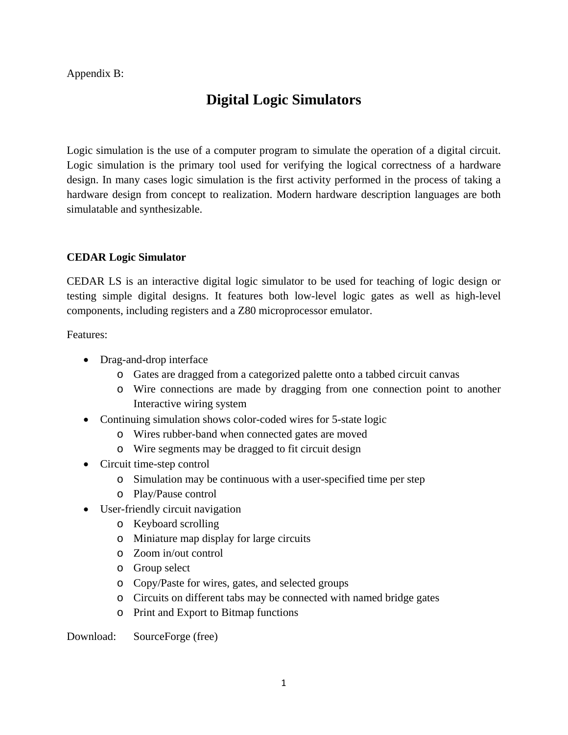## Appendix B:

## **Digital Logic Simulators**

Logic simulation is the use of a computer program to simulate the operation of a digital circuit. Logic simulation is the primary tool used for verifying the logical correctness of a hardware design. In many cases logic simulation is the first activity performed in the process of taking a hardware design from concept to realization. Modern hardware description languages are both simulatable and synthesizable.

## **CEDAR Logic Simulator**

CEDAR LS is an interactive digital logic simulator to be used for teaching of logic design or testing simple digital designs. It features both low-level logic gates as well as high-level components, including registers and a Z80 microprocessor emulator.

Features:

- Drag-and-drop interface
	- o Gates are dragged from a categorized palette onto a tabbed circuit canvas
	- o Wire connections are made by dragging from one connection point to another Interactive wiring system
- Continuing simulation shows color-coded wires for 5-state logic
	- o Wires rubber-band when connected gates are moved
	- o Wire segments may be dragged to fit circuit design
- Circuit time-step control
	- o Simulation may be continuous with a user-specified time per step
	- o Play/Pause control
- User-friendly circuit navigation
	- o Keyboard scrolling
	- o Miniature map display for large circuits
	- o Zoom in/out control
	- o Group select
	- o Copy/Paste for wires, gates, and selected groups
	- o Circuits on different tabs may be connected with named bridge gates
	- o Print and Export to Bitmap functions

Download: SourceForge (free)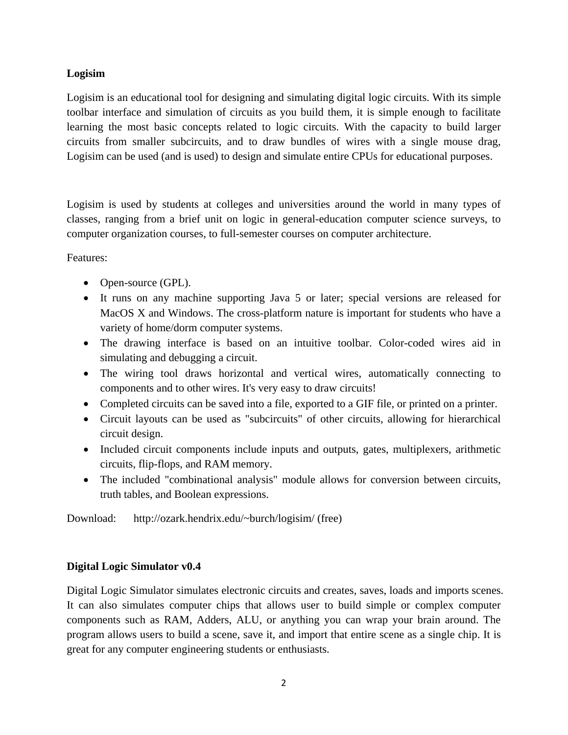## **Logisim**

Logisim is an educational tool for designing and simulating digital logic circuits. With its simple toolbar interface and simulation of circuits as you build them, it is simple enough to facilitate learning the most basic concepts related to logic circuits. With the capacity to build larger circuits from smaller subcircuits, and to draw bundles of wires with a single mouse drag, Logisim can be used (and is used) to design and simulate entire CPUs for educational purposes.

Logisim is used by students at colleges and universities around the world in many types of classes, ranging from a brief unit on logic in general-education computer science surveys, to computer organization courses, to full-semester courses on computer architecture.

## Features:

- Open-source (GPL).
- It runs on any machine supporting Java 5 or later; special versions are released for MacOS X and Windows. The cross-platform nature is important for students who have a variety of home/dorm computer systems.
- The drawing interface is based on an intuitive toolbar. Color-coded wires aid in simulating and debugging a circuit.
- The wiring tool draws horizontal and vertical wires, automatically connecting to components and to other wires. It's very easy to draw circuits!
- Completed circuits can be saved into a file, exported to a GIF file, or printed on a printer.
- Circuit layouts can be used as "subcircuits" of other circuits, allowing for hierarchical circuit design.
- Included circuit components include inputs and outputs, gates, multiplexers, arithmetic circuits, flip-flops, and RAM memory.
- The included "combinational analysis" module allows for conversion between circuits, truth tables, and Boolean expressions.

Download: http://ozark.hendrix.edu/~burch/logisim/ (free)

## **Digital Logic Simulator v0.4**

Digital Logic Simulator simulates electronic circuits and creates, saves, loads and imports scenes. It can also simulates computer chips that allows user to build simple or complex computer components such as RAM, Adders, ALU, or anything you can wrap your brain around. The program allows users to build a scene, save it, and import that entire scene as a single chip. It is great for any computer engineering students or enthusiasts.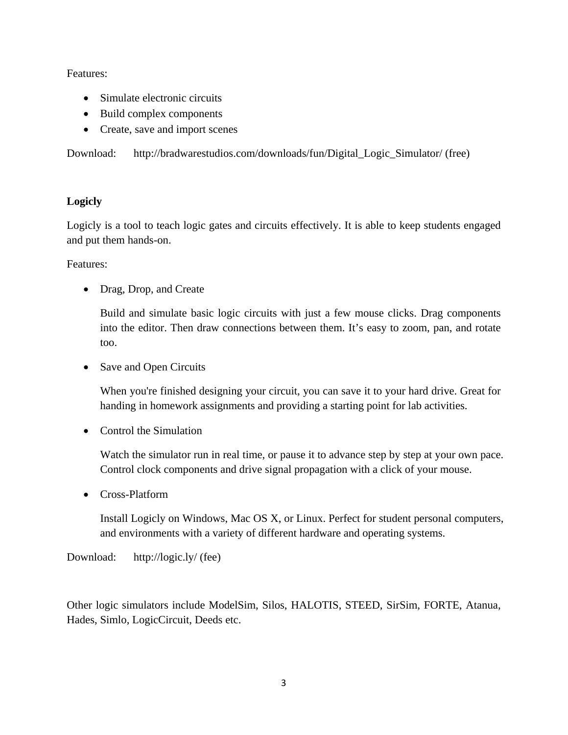## Features:

- Simulate electronic circuits
- Build complex components
- Create, save and import scenes

Download: http://bradwarestudios.com/downloads/fun/Digital\_Logic\_Simulator/ (free)

## **Logicly**

Logicly is a tool to teach logic gates and circuits effectively. It is able to keep students engaged and put them hands-on.

Features:

• Drag, Drop, and Create

Build and simulate basic logic circuits with just a few mouse clicks. Drag components into the editor. Then draw connections between them. It's easy to zoom, pan, and rotate too.

• Save and Open Circuits

When you're finished designing your circuit, you can save it to your hard drive. Great for handing in homework assignments and providing a starting point for lab activities.

• Control the Simulation

Watch the simulator run in real time, or pause it to advance step by step at your own pace. Control clock components and drive signal propagation with a click of your mouse.

Cross-Platform

Install Logicly on Windows, Mac OS X, or Linux. Perfect for student personal computers, and environments with a variety of different hardware and operating systems.

Download: http://logic.ly/ (fee)

Other logic simulators include ModelSim, Silos, HALOTIS, STEED, SirSim, FORTE, Atanua, Hades, Simlo, LogicCircuit, Deeds etc.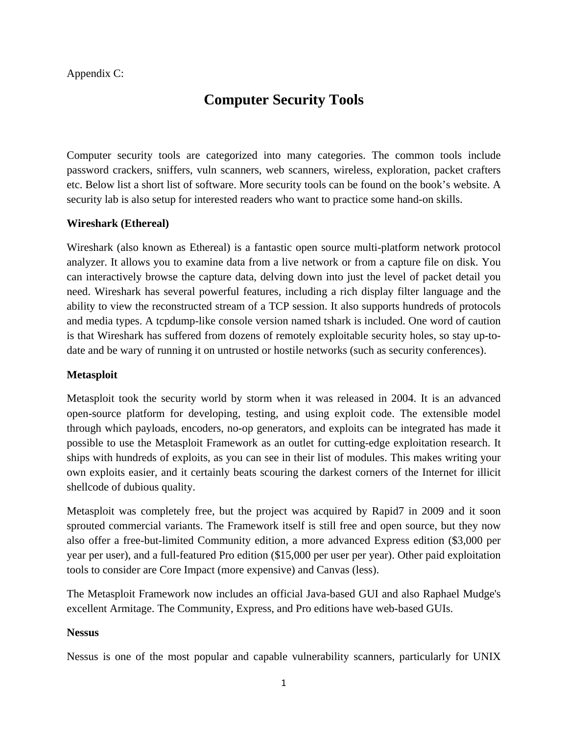## Appendix C:

## **Computer Security Tools**

Computer security tools are categorized into many categories. The common tools include password crackers, sniffers, vuln scanners, web scanners, wireless, exploration, packet crafters etc. Below list a short list of software. More security tools can be found on the book's website. A security lab is also setup for interested readers who want to practice some hand-on skills.

## **Wireshark (Ethereal)**

Wireshark (also known as Ethereal) is a fantastic open source multi-platform network protocol analyzer. It allows you to examine data from a live network or from a capture file on disk. You can interactively browse the capture data, delving down into just the level of packet detail you need. Wireshark has several powerful features, including a rich display filter language and the ability to view the reconstructed stream of a TCP session. It also supports hundreds of protocols and media types. A tcpdump-like console version named tshark is included. One word of caution is that Wireshark has suffered from dozens of remotely exploitable security holes, so stay up-todate and be wary of running it on untrusted or hostile networks (such as security conferences).

## **Metasploit**

Metasploit took the security world by storm when it was released in 2004. It is an advanced open-source platform for developing, testing, and using exploit code. The extensible model through which payloads, encoders, no-op generators, and exploits can be integrated has made it possible to use the Metasploit Framework as an outlet for cutting-edge exploitation research. It ships with hundreds of exploits, as you can see in their list of modules. This makes writing your own exploits easier, and it certainly beats scouring the darkest corners of the Internet for illicit shellcode of dubious quality.

Metasploit was completely free, but the project was acquired by Rapid7 in 2009 and it soon sprouted commercial variants. The Framework itself is still free and open source, but they now also offer a free-but-limited Community edition, a more advanced Express edition (\$3,000 per year per user), and a full-featured Pro edition (\$15,000 per user per year). Other paid exploitation tools to consider are Core Impact (more expensive) and Canvas (less).

The Metasploit Framework now includes an official Java-based GUI and also Raphael Mudge's excellent Armitage. The Community, Express, and Pro editions have web-based GUIs.

## **Nessus**

Nessus is one of the most popular and capable vulnerability scanners, particularly for UNIX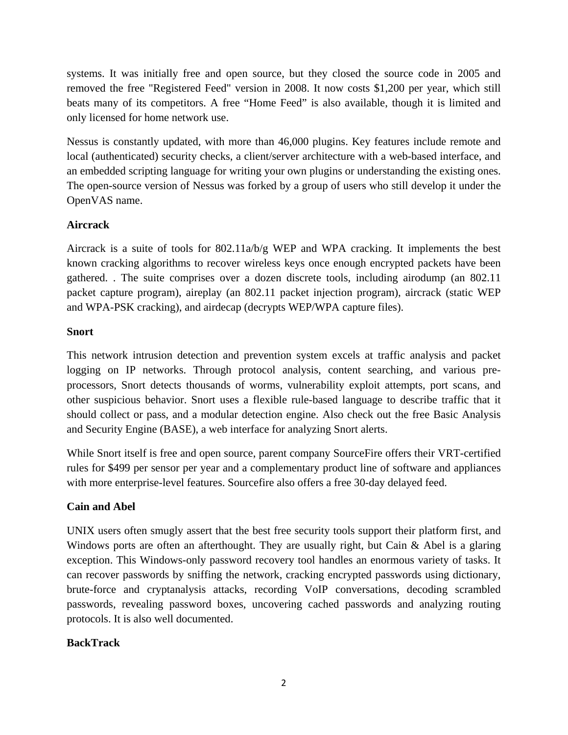systems. It was initially free and open source, but they closed the source code in 2005 and removed the free "Registered Feed" version in 2008. It now costs \$1,200 per year, which still beats many of its competitors. A free "Home Feed" is also available, though it is limited and only licensed for home network use.

Nessus is constantly updated, with more than 46,000 plugins. Key features include remote and local (authenticated) security checks, a client/server architecture with a web-based interface, and an embedded scripting language for writing your own plugins or understanding the existing ones. The open-source version of Nessus was forked by a group of users who still develop it under the OpenVAS name.

## **Aircrack**

Aircrack is a suite of tools for  $802.11a/b/g$  WEP and WPA cracking. It implements the best known cracking algorithms to recover wireless keys once enough encrypted packets have been gathered. . The suite comprises over a dozen discrete tools, including airodump (an 802.11 packet capture program), aireplay (an 802.11 packet injection program), aircrack (static WEP and WPA-PSK cracking), and airdecap (decrypts WEP/WPA capture files).

## **Snort**

This network intrusion detection and prevention system excels at traffic analysis and packet logging on IP networks. Through protocol analysis, content searching, and various preprocessors, Snort detects thousands of worms, vulnerability exploit attempts, port scans, and other suspicious behavior. Snort uses a flexible rule-based language to describe traffic that it should collect or pass, and a modular detection engine. Also check out the free Basic Analysis and Security Engine (BASE), a web interface for analyzing Snort alerts.

While Snort itself is free and open source, parent company SourceFire offers their VRT-certified rules for \$499 per sensor per year and a complementary product line of software and appliances with more enterprise-level features. Sourcefire also offers a free 30-day delayed feed.

## **Cain and Abel**

UNIX users often smugly assert that the best free security tools support their platform first, and Windows ports are often an afterthought. They are usually right, but Cain & Abel is a glaring exception. This Windows-only password recovery tool handles an enormous variety of tasks. It can recover passwords by sniffing the network, cracking encrypted passwords using dictionary, brute-force and cryptanalysis attacks, recording VoIP conversations, decoding scrambled passwords, revealing password boxes, uncovering cached passwords and analyzing routing protocols. It is also well documented.

## **BackTrack**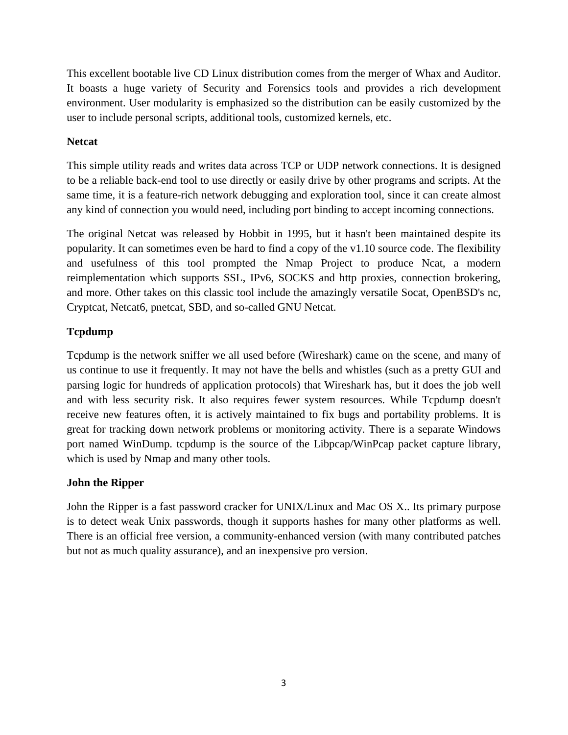This excellent bootable live CD Linux distribution comes from the merger of Whax and Auditor. It boasts a huge variety of Security and Forensics tools and provides a rich development environment. User modularity is emphasized so the distribution can be easily customized by the user to include personal scripts, additional tools, customized kernels, etc.

## **Netcat**

This simple utility reads and writes data across TCP or UDP network connections. It is designed to be a reliable back-end tool to use directly or easily drive by other programs and scripts. At the same time, it is a feature-rich network debugging and exploration tool, since it can create almost any kind of connection you would need, including port binding to accept incoming connections.

The original Netcat was released by Hobbit in 1995, but it hasn't been maintained despite its popularity. It can sometimes even be hard to find a copy of the v1.10 source code. The flexibility and usefulness of this tool prompted the Nmap Project to produce Ncat, a modern reimplementation which supports SSL, IPv6, SOCKS and http proxies, connection brokering, and more. Other takes on this classic tool include the amazingly versatile Socat, OpenBSD's nc, Cryptcat, Netcat6, pnetcat, SBD, and so-called GNU Netcat.

## **Tcpdump**

Tcpdump is the network sniffer we all used before (Wireshark) came on the scene, and many of us continue to use it frequently. It may not have the bells and whistles (such as a pretty GUI and parsing logic for hundreds of application protocols) that Wireshark has, but it does the job well and with less security risk. It also requires fewer system resources. While Tcpdump doesn't receive new features often, it is actively maintained to fix bugs and portability problems. It is great for tracking down network problems or monitoring activity. There is a separate Windows port named WinDump. tcpdump is the source of the Libpcap/WinPcap packet capture library, which is used by Nmap and many other tools.

## **John the Ripper**

John the Ripper is a fast password cracker for UNIX/Linux and Mac OS X.. Its primary purpose is to detect weak Unix passwords, though it supports hashes for many other platforms as well. There is an official free version, a community-enhanced version (with many contributed patches but not as much quality assurance), and an inexpensive pro version.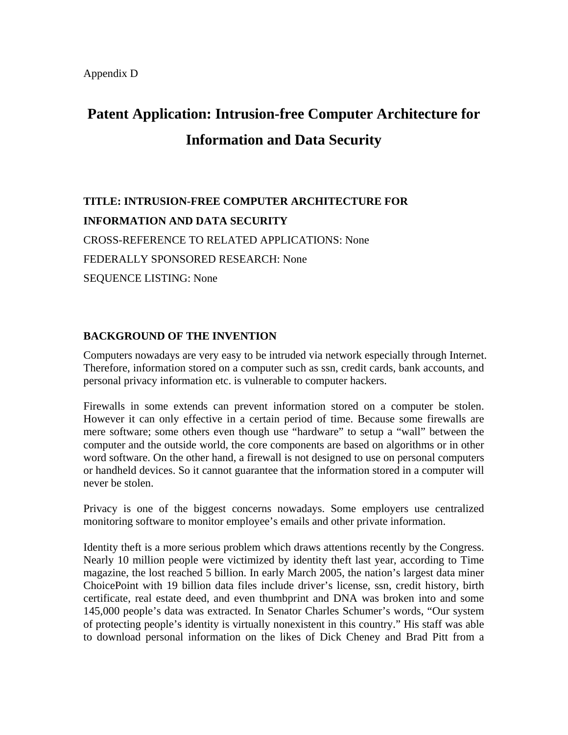Appendix D

# **Patent Application: Intrusion-free Computer Architecture for Information and Data Security**

## **TITLE: INTRUSION-FREE COMPUTER ARCHITECTURE FOR INFORMATION AND DATA SECURITY**  CROSS-REFERENCE TO RELATED APPLICATIONS: None FEDERALLY SPONSORED RESEARCH: None SEQUENCE LISTING: None

## **BACKGROUND OF THE INVENTION**

Computers nowadays are very easy to be intruded via network especially through Internet. Therefore, information stored on a computer such as ssn, credit cards, bank accounts, and personal privacy information etc. is vulnerable to computer hackers.

Firewalls in some extends can prevent information stored on a computer be stolen. However it can only effective in a certain period of time. Because some firewalls are mere software; some others even though use "hardware" to setup a "wall" between the computer and the outside world, the core components are based on algorithms or in other word software. On the other hand, a firewall is not designed to use on personal computers or handheld devices. So it cannot guarantee that the information stored in a computer will never be stolen.

Privacy is one of the biggest concerns nowadays. Some employers use centralized monitoring software to monitor employee's emails and other private information.

Identity theft is a more serious problem which draws attentions recently by the Congress. Nearly 10 million people were victimized by identity theft last year, according to Time magazine, the lost reached 5 billion. In early March 2005, the nation's largest data miner ChoicePoint with 19 billion data files include driver's license, ssn, credit history, birth certificate, real estate deed, and even thumbprint and DNA was broken into and some 145,000 people's data was extracted. In Senator Charles Schumer's words, "Our system of protecting people's identity is virtually nonexistent in this country." His staff was able to download personal information on the likes of Dick Cheney and Brad Pitt from a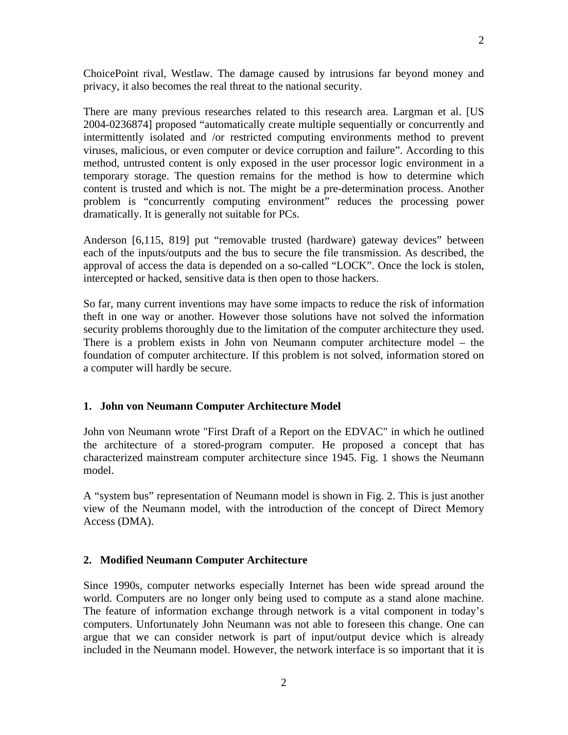ChoicePoint rival, Westlaw. The damage caused by intrusions far beyond money and privacy, it also becomes the real threat to the national security.

There are many previous researches related to this research area. Largman et al. [US 2004-0236874] proposed "automatically create multiple sequentially or concurrently and intermittently isolated and /or restricted computing environments method to prevent viruses, malicious, or even computer or device corruption and failure". According to this method, untrusted content is only exposed in the user processor logic environment in a temporary storage. The question remains for the method is how to determine which content is trusted and which is not. The might be a pre-determination process. Another problem is "concurrently computing environment" reduces the processing power dramatically. It is generally not suitable for PCs.

Anderson [6,115, 819] put "removable trusted (hardware) gateway devices" between each of the inputs/outputs and the bus to secure the file transmission. As described, the approval of access the data is depended on a so-called "LOCK". Once the lock is stolen, intercepted or hacked, sensitive data is then open to those hackers.

So far, many current inventions may have some impacts to reduce the risk of information theft in one way or another. However those solutions have not solved the information security problems thoroughly due to the limitation of the computer architecture they used. There is a problem exists in John von Neumann computer architecture model – the foundation of computer architecture. If this problem is not solved, information stored on a computer will hardly be secure.

#### **1. John von Neumann Computer Architecture Model**

John von Neumann wrote "First Draft of a Report on the EDVAC" in which he outlined the architecture of a stored-program computer. He proposed a concept that has characterized mainstream computer architecture since 1945. Fig. 1 shows the Neumann model.

A "system bus" representation of Neumann model is shown in Fig. 2. This is just another view of the Neumann model, with the introduction of the concept of Direct Memory Access (DMA).

#### **2. Modified Neumann Computer Architecture**

Since 1990s, computer networks especially Internet has been wide spread around the world. Computers are no longer only being used to compute as a stand alone machine. The feature of information exchange through network is a vital component in today's computers. Unfortunately John Neumann was not able to foreseen this change. One can argue that we can consider network is part of input/output device which is already included in the Neumann model. However, the network interface is so important that it is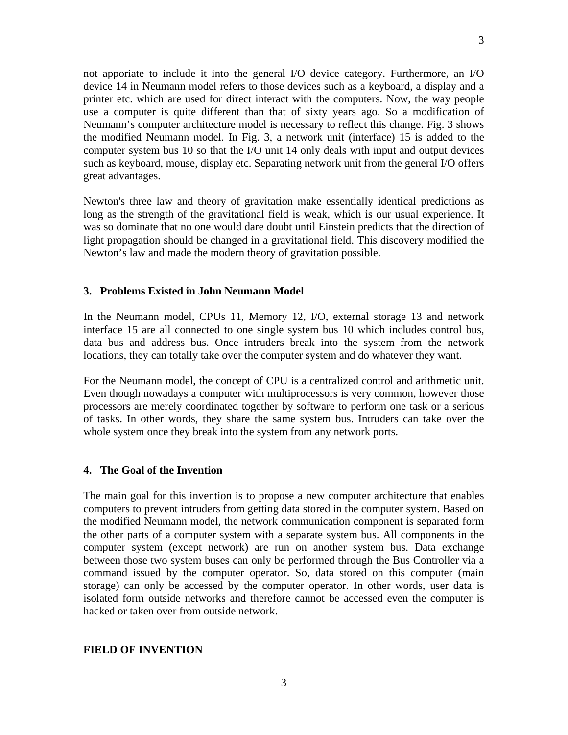not apporiate to include it into the general I/O device category. Furthermore, an I/O device 14 in Neumann model refers to those devices such as a keyboard, a display and a printer etc. which are used for direct interact with the computers. Now, the way people use a computer is quite different than that of sixty years ago. So a modification of Neumann's computer architecture model is necessary to reflect this change. Fig. 3 shows the modified Neumann model. In Fig. 3, a network unit (interface) 15 is added to the computer system bus 10 so that the I/O unit 14 only deals with input and output devices such as keyboard, mouse, display etc. Separating network unit from the general I/O offers great advantages.

Newton's three law and theory of gravitation make essentially identical predictions as long as the strength of the gravitational field is weak, which is our usual experience. It was so dominate that no one would dare doubt until Einstein predicts that the direction of light propagation should be changed in a gravitational field. This discovery modified the Newton's law and made the modern theory of gravitation possible.

#### **3. Problems Existed in John Neumann Model**

In the Neumann model, CPUs 11, Memory 12, I/O, external storage 13 and network interface 15 are all connected to one single system bus 10 which includes control bus, data bus and address bus. Once intruders break into the system from the network locations, they can totally take over the computer system and do whatever they want.

For the Neumann model, the concept of CPU is a centralized control and arithmetic unit. Even though nowadays a computer with multiprocessors is very common, however those processors are merely coordinated together by software to perform one task or a serious of tasks. In other words, they share the same system bus. Intruders can take over the whole system once they break into the system from any network ports.

#### **4. The Goal of the Invention**

The main goal for this invention is to propose a new computer architecture that enables computers to prevent intruders from getting data stored in the computer system. Based on the modified Neumann model, the network communication component is separated form the other parts of a computer system with a separate system bus. All components in the computer system (except network) are run on another system bus. Data exchange between those two system buses can only be performed through the Bus Controller via a command issued by the computer operator. So, data stored on this computer (main storage) can only be accessed by the computer operator. In other words, user data is isolated form outside networks and therefore cannot be accessed even the computer is hacked or taken over from outside network.

#### **FIELD OF INVENTION**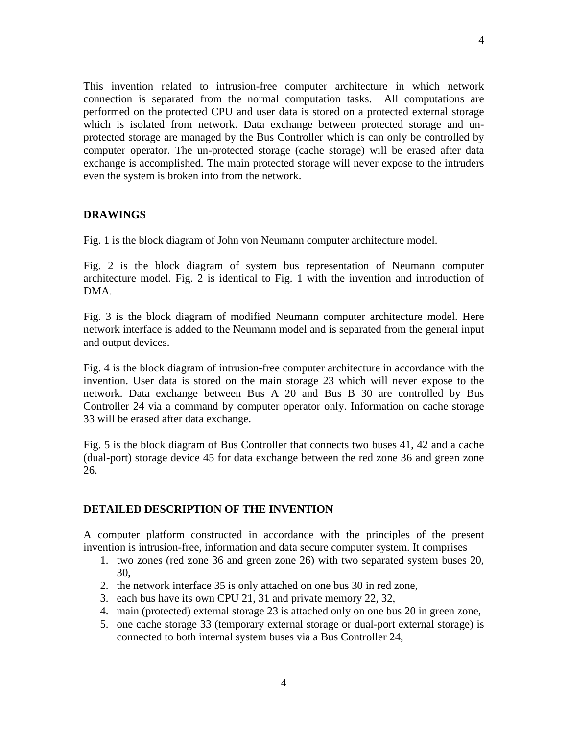This invention related to intrusion-free computer architecture in which network connection is separated from the normal computation tasks. All computations are performed on the protected CPU and user data is stored on a protected external storage which is isolated from network. Data exchange between protected storage and unprotected storage are managed by the Bus Controller which is can only be controlled by computer operator. The un-protected storage (cache storage) will be erased after data exchange is accomplished. The main protected storage will never expose to the intruders even the system is broken into from the network.

## **DRAWINGS**

Fig. 1 is the block diagram of John von Neumann computer architecture model.

Fig. 2 is the block diagram of system bus representation of Neumann computer architecture model. Fig. 2 is identical to Fig. 1 with the invention and introduction of DMA.

Fig. 3 is the block diagram of modified Neumann computer architecture model. Here network interface is added to the Neumann model and is separated from the general input and output devices.

Fig. 4 is the block diagram of intrusion-free computer architecture in accordance with the invention. User data is stored on the main storage 23 which will never expose to the network. Data exchange between Bus A 20 and Bus B 30 are controlled by Bus Controller 24 via a command by computer operator only. Information on cache storage 33 will be erased after data exchange.

Fig. 5 is the block diagram of Bus Controller that connects two buses 41, 42 and a cache (dual-port) storage device 45 for data exchange between the red zone 36 and green zone 26.

## **DETAILED DESCRIPTION OF THE INVENTION**

A computer platform constructed in accordance with the principles of the present invention is intrusion-free, information and data secure computer system. It comprises

- 1. two zones (red zone 36 and green zone 26) with two separated system buses 20, 30,
- 2. the network interface 35 is only attached on one bus 30 in red zone,
- 3. each bus have its own CPU 21, 31 and private memory 22, 32,
- 4. main (protected) external storage 23 is attached only on one bus 20 in green zone,
- 5. one cache storage 33 (temporary external storage or dual-port external storage) is connected to both internal system buses via a Bus Controller 24,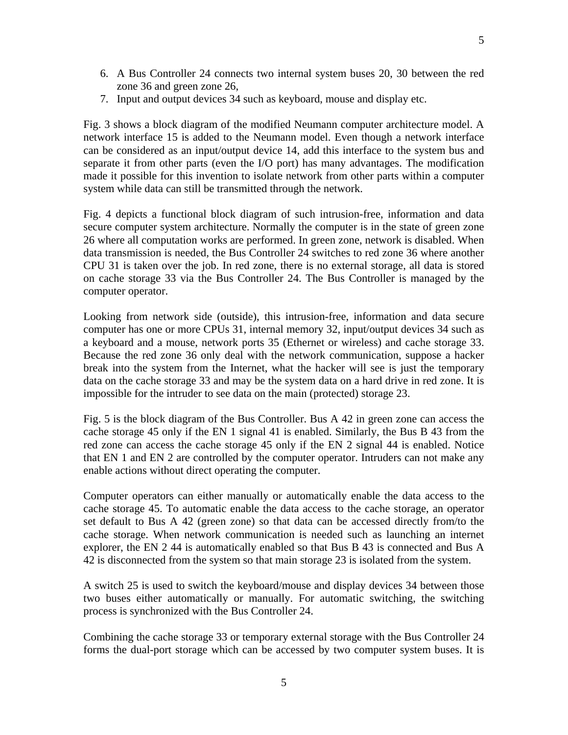7. Input and output devices 34 such as keyboard, mouse and display etc.

Fig. 3 shows a block diagram of the modified Neumann computer architecture model. A network interface 15 is added to the Neumann model. Even though a network interface can be considered as an input/output device 14, add this interface to the system bus and separate it from other parts (even the I/O port) has many advantages. The modification made it possible for this invention to isolate network from other parts within a computer system while data can still be transmitted through the network.

Fig. 4 depicts a functional block diagram of such intrusion-free, information and data secure computer system architecture. Normally the computer is in the state of green zone 26 where all computation works are performed. In green zone, network is disabled. When data transmission is needed, the Bus Controller 24 switches to red zone 36 where another CPU 31 is taken over the job. In red zone, there is no external storage, all data is stored on cache storage 33 via the Bus Controller 24. The Bus Controller is managed by the computer operator.

Looking from network side (outside), this intrusion-free, information and data secure computer has one or more CPUs 31, internal memory 32, input/output devices 34 such as a keyboard and a mouse, network ports 35 (Ethernet or wireless) and cache storage 33. Because the red zone 36 only deal with the network communication, suppose a hacker break into the system from the Internet, what the hacker will see is just the temporary data on the cache storage 33 and may be the system data on a hard drive in red zone. It is impossible for the intruder to see data on the main (protected) storage 23.

Fig. 5 is the block diagram of the Bus Controller. Bus A 42 in green zone can access the cache storage 45 only if the EN 1 signal 41 is enabled. Similarly, the Bus B 43 from the red zone can access the cache storage 45 only if the EN 2 signal 44 is enabled. Notice that EN 1 and EN 2 are controlled by the computer operator. Intruders can not make any enable actions without direct operating the computer.

Computer operators can either manually or automatically enable the data access to the cache storage 45. To automatic enable the data access to the cache storage, an operator set default to Bus A 42 (green zone) so that data can be accessed directly from/to the cache storage. When network communication is needed such as launching an internet explorer, the EN 2 44 is automatically enabled so that Bus B 43 is connected and Bus A 42 is disconnected from the system so that main storage 23 is isolated from the system.

A switch 25 is used to switch the keyboard/mouse and display devices 34 between those two buses either automatically or manually. For automatic switching, the switching process is synchronized with the Bus Controller 24.

Combining the cache storage 33 or temporary external storage with the Bus Controller 24 forms the dual-port storage which can be accessed by two computer system buses. It is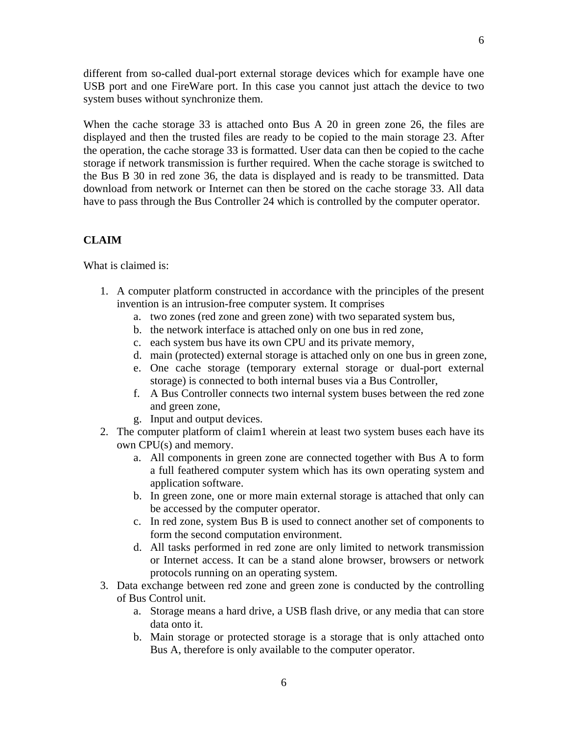different from so-called dual-port external storage devices which for example have one USB port and one FireWare port. In this case you cannot just attach the device to two system buses without synchronize them.

When the cache storage 33 is attached onto Bus A 20 in green zone 26, the files are displayed and then the trusted files are ready to be copied to the main storage 23. After the operation, the cache storage 33 is formatted. User data can then be copied to the cache storage if network transmission is further required. When the cache storage is switched to the Bus B 30 in red zone 36, the data is displayed and is ready to be transmitted. Data download from network or Internet can then be stored on the cache storage 33. All data have to pass through the Bus Controller 24 which is controlled by the computer operator.

### **CLAIM**

What is claimed is:

- 1. A computer platform constructed in accordance with the principles of the present invention is an intrusion-free computer system. It comprises
	- a. two zones (red zone and green zone) with two separated system bus,
	- b. the network interface is attached only on one bus in red zone,
	- c. each system bus have its own CPU and its private memory,
	- d. main (protected) external storage is attached only on one bus in green zone,
	- e. One cache storage (temporary external storage or dual-port external storage) is connected to both internal buses via a Bus Controller,
	- f. A Bus Controller connects two internal system buses between the red zone and green zone,
	- g. Input and output devices.
- 2. The computer platform of claim1 wherein at least two system buses each have its own CPU(s) and memory.
	- a. All components in green zone are connected together with Bus A to form a full feathered computer system which has its own operating system and application software.
	- b. In green zone, one or more main external storage is attached that only can be accessed by the computer operator.
	- c. In red zone, system Bus B is used to connect another set of components to form the second computation environment.
	- d. All tasks performed in red zone are only limited to network transmission or Internet access. It can be a stand alone browser, browsers or network protocols running on an operating system.
- 3. Data exchange between red zone and green zone is conducted by the controlling of Bus Control unit.
	- a. Storage means a hard drive, a USB flash drive, or any media that can store data onto it.
	- b. Main storage or protected storage is a storage that is only attached onto Bus A, therefore is only available to the computer operator.